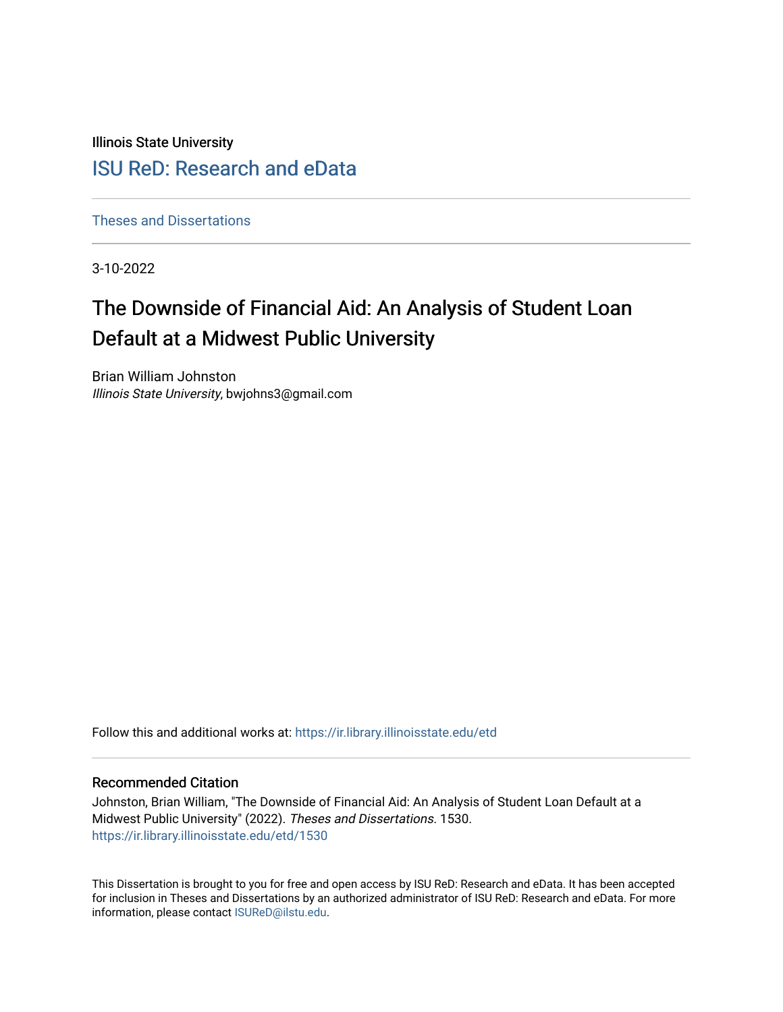Illinois State University

# [ISU ReD: Research and eData](https://ir.library.illinoisstate.edu/)

[Theses and Dissertations](https://ir.library.illinoisstate.edu/etd)

3-10-2022

# The Downside of Financial Aid: An Analysis of Student Loan Default at a Midwest Public University

Brian William Johnston Illinois State University, bwjohns3@gmail.com

Follow this and additional works at: [https://ir.library.illinoisstate.edu/etd](https://ir.library.illinoisstate.edu/etd?utm_source=ir.library.illinoisstate.edu%2Fetd%2F1530&utm_medium=PDF&utm_campaign=PDFCoverPages) 

# Recommended Citation

Johnston, Brian William, "The Downside of Financial Aid: An Analysis of Student Loan Default at a Midwest Public University" (2022). Theses and Dissertations. 1530. [https://ir.library.illinoisstate.edu/etd/1530](https://ir.library.illinoisstate.edu/etd/1530?utm_source=ir.library.illinoisstate.edu%2Fetd%2F1530&utm_medium=PDF&utm_campaign=PDFCoverPages) 

This Dissertation is brought to you for free and open access by ISU ReD: Research and eData. It has been accepted for inclusion in Theses and Dissertations by an authorized administrator of ISU ReD: Research and eData. For more information, please contact [ISUReD@ilstu.edu.](mailto:ISUReD@ilstu.edu)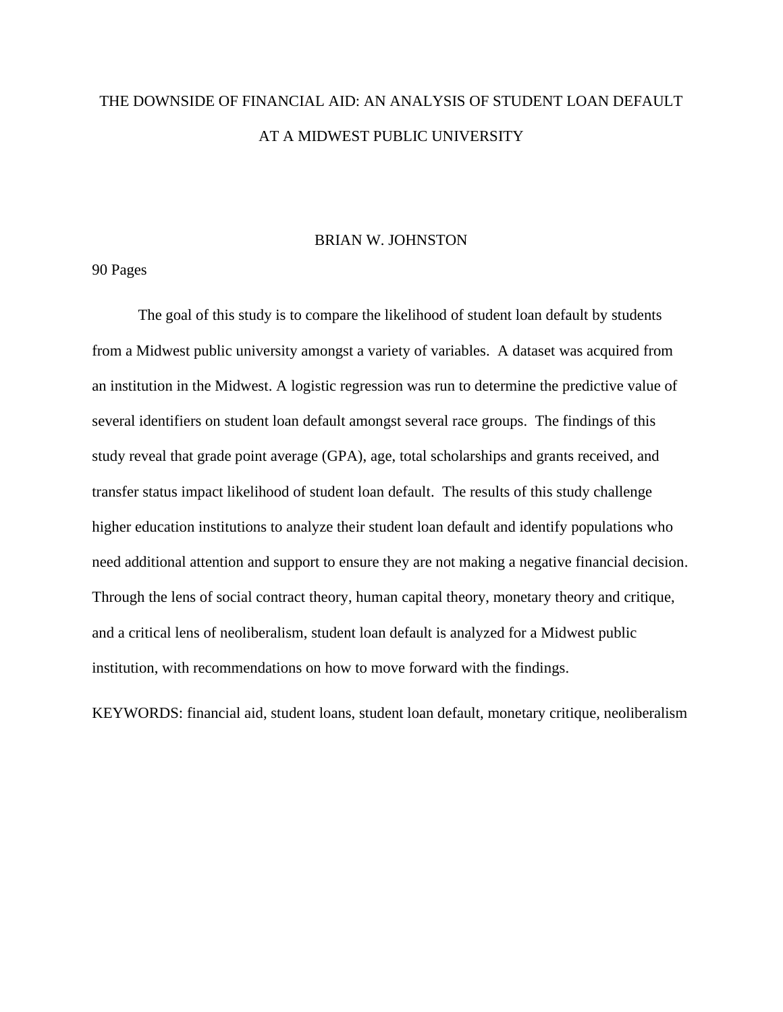# THE DOWNSIDE OF FINANCIAL AID: AN ANALYSIS OF STUDENT LOAN DEFAULT AT A MIDWEST PUBLIC UNIVERSITY

## BRIAN W. JOHNSTON

90 Pages

The goal of this study is to compare the likelihood of student loan default by students from a Midwest public university amongst a variety of variables. A dataset was acquired from an institution in the Midwest. A logistic regression was run to determine the predictive value of several identifiers on student loan default amongst several race groups. The findings of this study reveal that grade point average (GPA), age, total scholarships and grants received, and transfer status impact likelihood of student loan default. The results of this study challenge higher education institutions to analyze their student loan default and identify populations who need additional attention and support to ensure they are not making a negative financial decision. Through the lens of social contract theory, human capital theory, monetary theory and critique, and a critical lens of neoliberalism, student loan default is analyzed for a Midwest public institution, with recommendations on how to move forward with the findings.

KEYWORDS: financial aid, student loans, student loan default, monetary critique, neoliberalism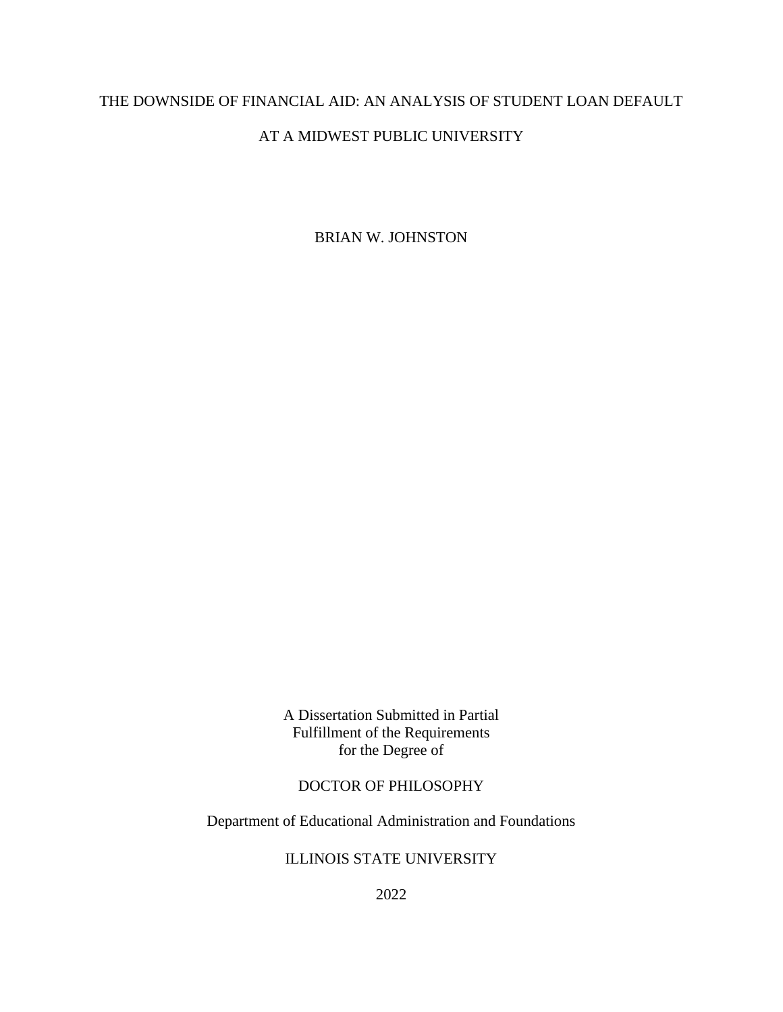# THE DOWNSIDE OF FINANCIAL AID: AN ANALYSIS OF STUDENT LOAN DEFAULT

# AT A MIDWEST PUBLIC UNIVERSITY

BRIAN W. JOHNSTON

A Dissertation Submitted in Partial Fulfillment of the Requirements for the Degree of

# DOCTOR OF PHILOSOPHY

Department of Educational Administration and Foundations

# ILLINOIS STATE UNIVERSITY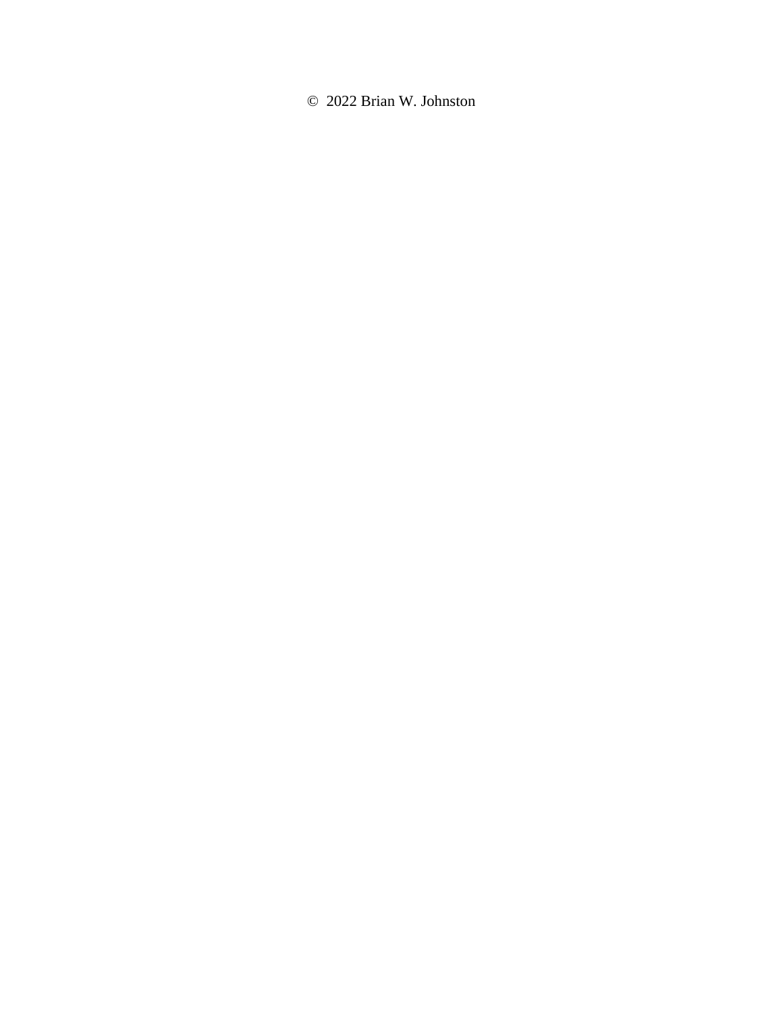© 2022 Brian W. Johnston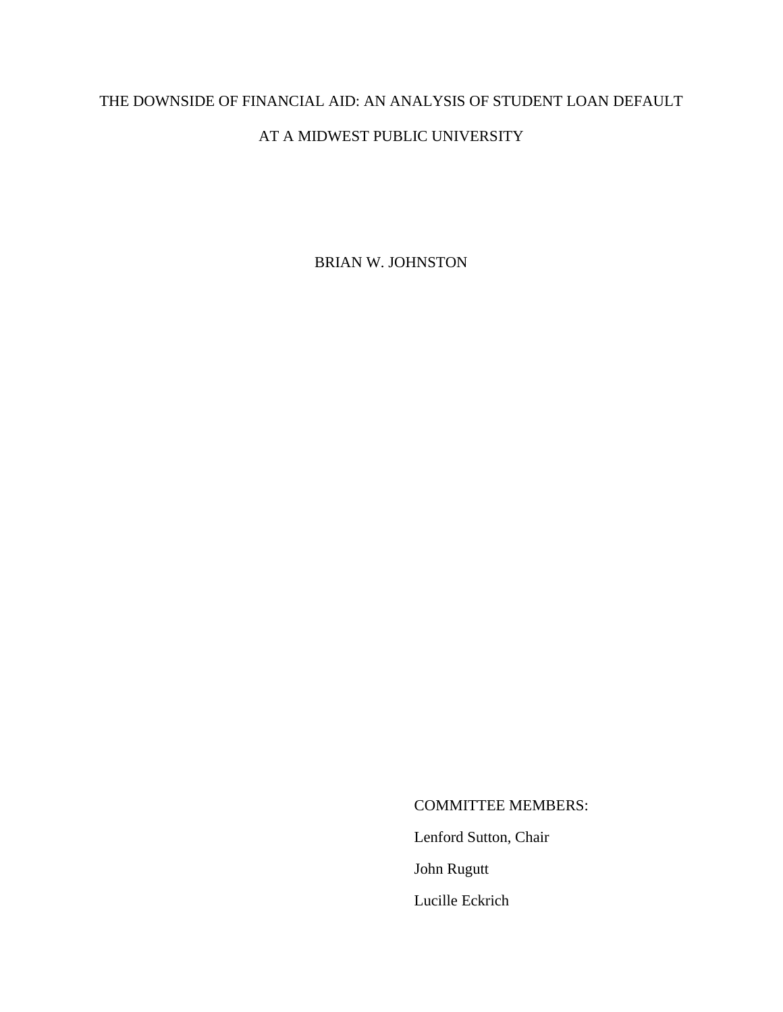# THE DOWNSIDE OF FINANCIAL AID: AN ANALYSIS OF STUDENT LOAN DEFAULT

# AT A MIDWEST PUBLIC UNIVERSITY

BRIAN W. JOHNSTON

COMMITTEE MEMBERS:

Lenford Sutton, Chair

John Rugutt

Lucille Eckrich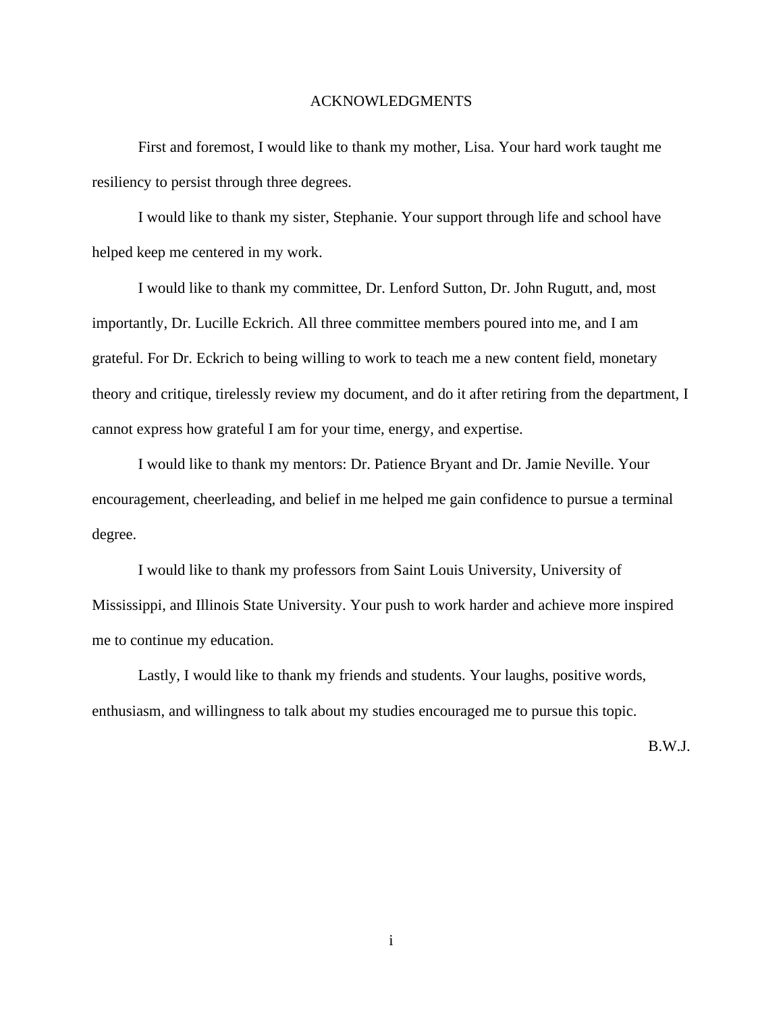## ACKNOWLEDGMENTS

<span id="page-5-0"></span>First and foremost, I would like to thank my mother, Lisa. Your hard work taught me resiliency to persist through three degrees.

I would like to thank my sister, Stephanie. Your support through life and school have helped keep me centered in my work.

I would like to thank my committee, Dr. Lenford Sutton, Dr. John Rugutt, and, most importantly, Dr. Lucille Eckrich. All three committee members poured into me, and I am grateful. For Dr. Eckrich to being willing to work to teach me a new content field, monetary theory and critique, tirelessly review my document, and do it after retiring from the department, I cannot express how grateful I am for your time, energy, and expertise.

I would like to thank my mentors: Dr. Patience Bryant and Dr. Jamie Neville. Your encouragement, cheerleading, and belief in me helped me gain confidence to pursue a terminal degree.

I would like to thank my professors from Saint Louis University, University of Mississippi, and Illinois State University. Your push to work harder and achieve more inspired me to continue my education.

Lastly, I would like to thank my friends and students. Your laughs, positive words, enthusiasm, and willingness to talk about my studies encouraged me to pursue this topic.

B.W.J.

i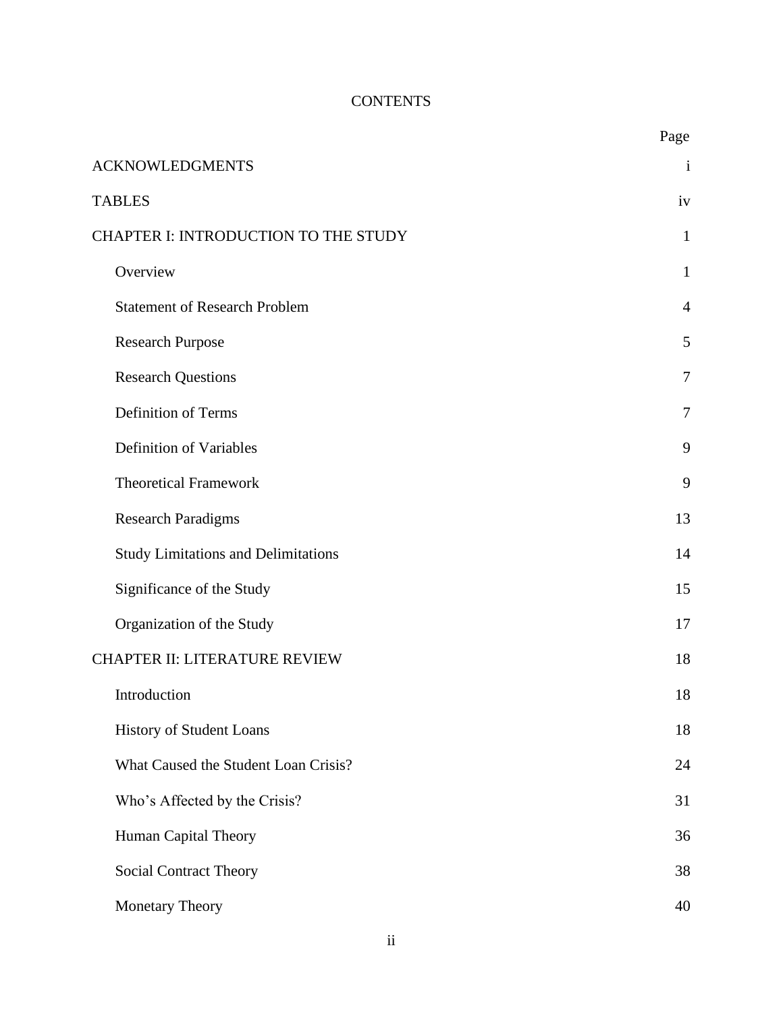# **CONTENTS**

|                                            | Page           |
|--------------------------------------------|----------------|
| <b>ACKNOWLEDGMENTS</b>                     | $\mathbf{i}$   |
| <b>TABLES</b>                              | iv             |
| CHAPTER I: INTRODUCTION TO THE STUDY       |                |
| Overview                                   | 1              |
| <b>Statement of Research Problem</b>       | $\overline{4}$ |
| <b>Research Purpose</b>                    | 5              |
| <b>Research Questions</b>                  | 7              |
| <b>Definition of Terms</b>                 | $\overline{7}$ |
| <b>Definition of Variables</b>             | 9              |
| <b>Theoretical Framework</b>               | 9              |
| <b>Research Paradigms</b>                  | 13             |
| <b>Study Limitations and Delimitations</b> | 14             |
| Significance of the Study                  | 15             |
| Organization of the Study                  | 17             |
| <b>CHAPTER II: LITERATURE REVIEW</b>       | 18             |
| Introduction                               | 18             |
| History of Student Loans                   | 18             |
| What Caused the Student Loan Crisis?       | 24             |
| Who's Affected by the Crisis?              | 31             |
| Human Capital Theory                       | 36             |
| <b>Social Contract Theory</b>              | 38             |
| Monetary Theory                            | 40             |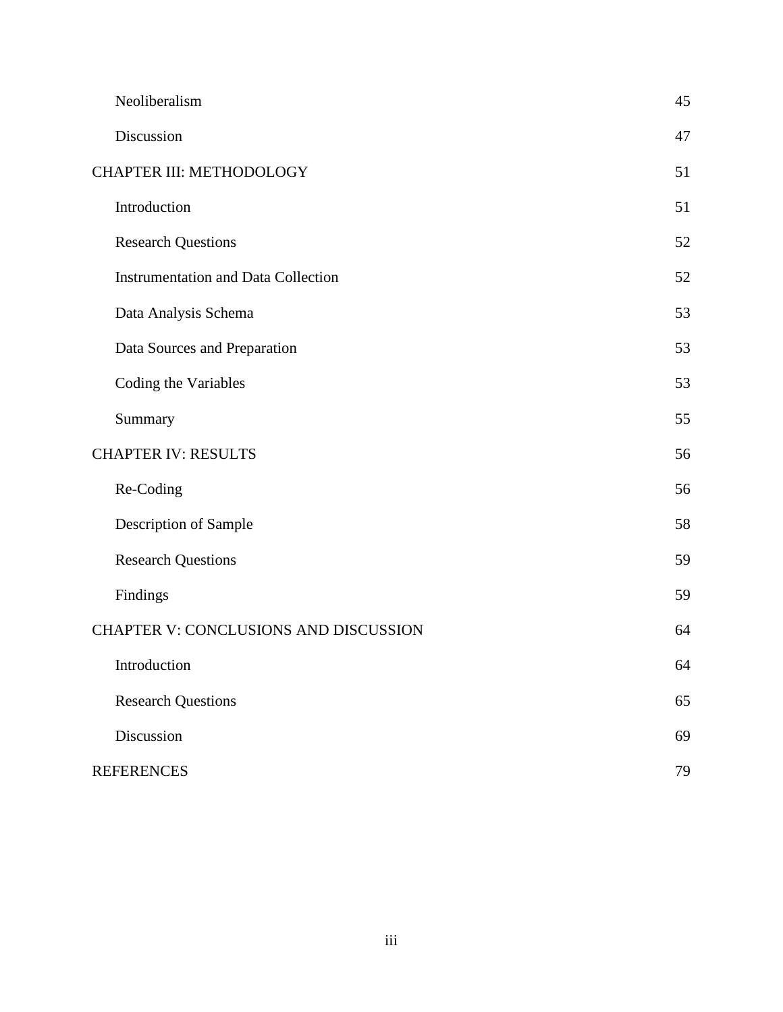|                                       | Neoliberalism                              | 45 |
|---------------------------------------|--------------------------------------------|----|
|                                       | Discussion                                 | 47 |
| CHAPTER III: METHODOLOGY              |                                            | 51 |
|                                       | Introduction                               | 51 |
|                                       | <b>Research Questions</b>                  | 52 |
|                                       | <b>Instrumentation and Data Collection</b> | 52 |
|                                       | Data Analysis Schema                       | 53 |
|                                       | Data Sources and Preparation               | 53 |
|                                       | Coding the Variables                       | 53 |
|                                       | Summary                                    | 55 |
| <b>CHAPTER IV: RESULTS</b>            |                                            | 56 |
|                                       | Re-Coding                                  | 56 |
|                                       | Description of Sample                      | 58 |
|                                       | <b>Research Questions</b>                  | 59 |
|                                       | Findings                                   | 59 |
| CHAPTER V: CONCLUSIONS AND DISCUSSION |                                            | 64 |
|                                       | Introduction                               | 64 |
|                                       | <b>Research Questions</b>                  | 65 |
|                                       | Discussion                                 | 69 |
|                                       | <b>REFERENCES</b>                          | 79 |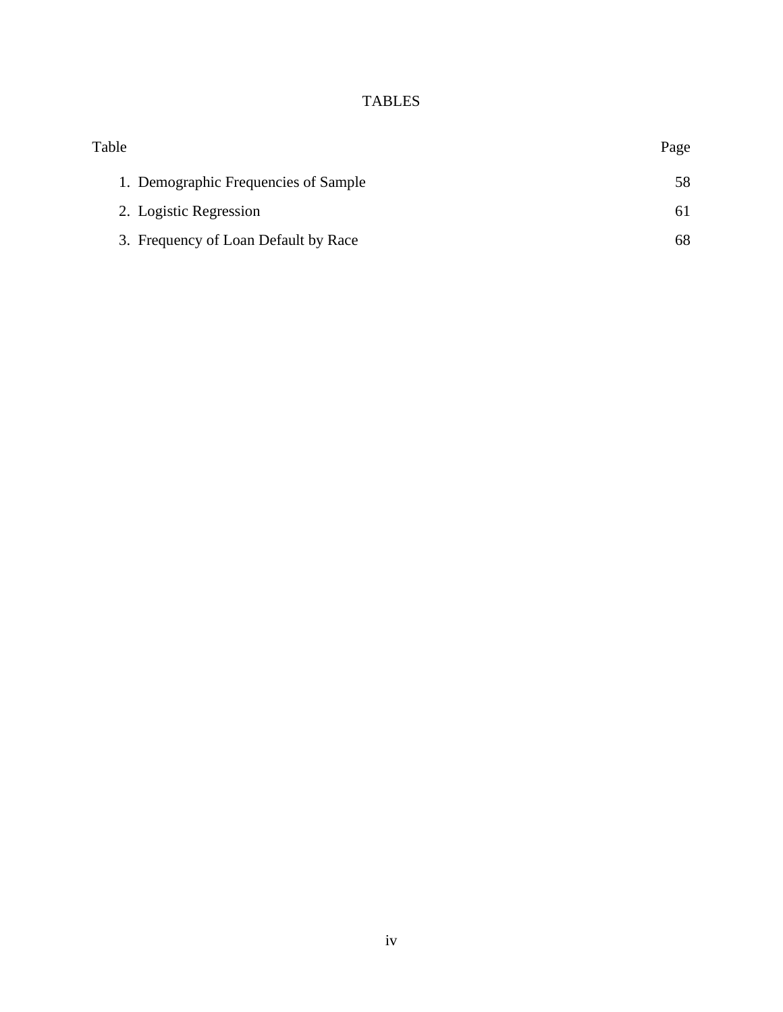# TABLES

<span id="page-8-0"></span>

| Table                                | Page |
|--------------------------------------|------|
| 1. Demographic Frequencies of Sample | 58   |
| 2. Logistic Regression               | 61   |
| 3. Frequency of Loan Default by Race | 68   |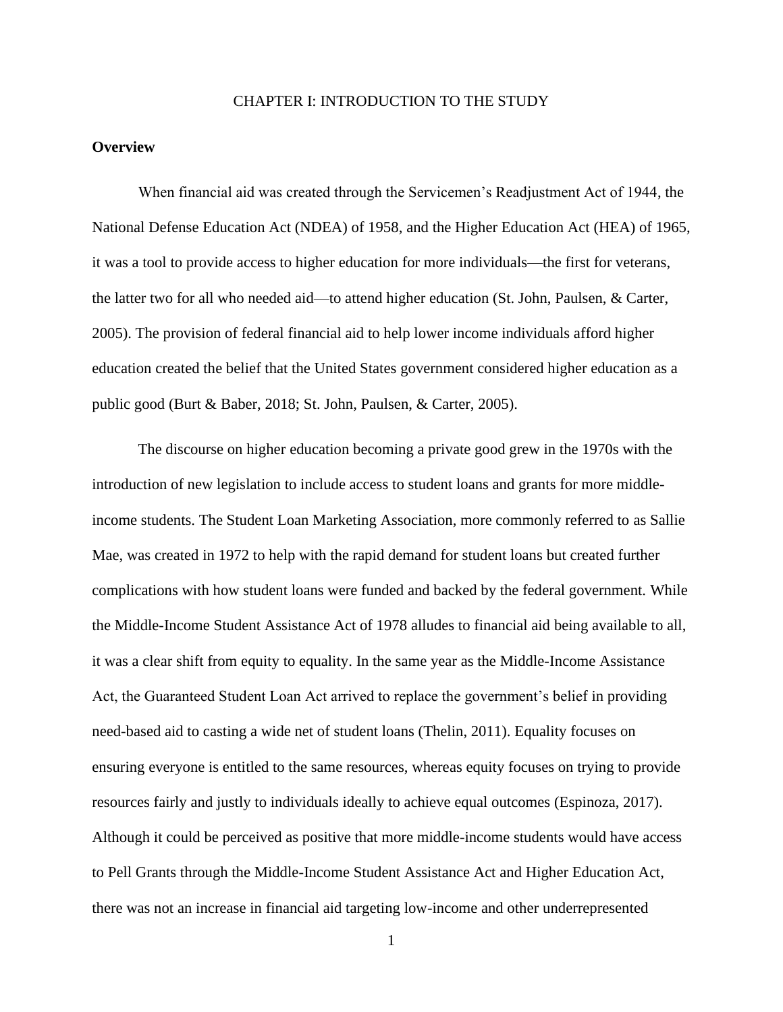### CHAPTER I: INTRODUCTION TO THE STUDY

### <span id="page-9-1"></span><span id="page-9-0"></span>**Overview**

When financial aid was created through the Servicemen's Readjustment Act of 1944, the National Defense Education Act (NDEA) of 1958, and the Higher Education Act (HEA) of 1965, it was a tool to provide access to higher education for more individuals—the first for veterans, the latter two for all who needed aid—to attend higher education (St. John, Paulsen, & Carter, 2005). The provision of federal financial aid to help lower income individuals afford higher education created the belief that the United States government considered higher education as a public good (Burt & Baber, 2018; St. John, Paulsen, & Carter, 2005).

The discourse on higher education becoming a private good grew in the 1970s with the introduction of new legislation to include access to student loans and grants for more middleincome students. The Student Loan Marketing Association, more commonly referred to as Sallie Mae, was created in 1972 to help with the rapid demand for student loans but created further complications with how student loans were funded and backed by the federal government. While the Middle-Income Student Assistance Act of 1978 alludes to financial aid being available to all, it was a clear shift from equity to equality. In the same year as the Middle-Income Assistance Act, the Guaranteed Student Loan Act arrived to replace the government's belief in providing need-based aid to casting a wide net of student loans (Thelin, 2011). Equality focuses on ensuring everyone is entitled to the same resources, whereas equity focuses on trying to provide resources fairly and justly to individuals ideally to achieve equal outcomes (Espinoza, 2017). Although it could be perceived as positive that more middle-income students would have access to Pell Grants through the Middle-Income Student Assistance Act and Higher Education Act, there was not an increase in financial aid targeting low-income and other underrepresented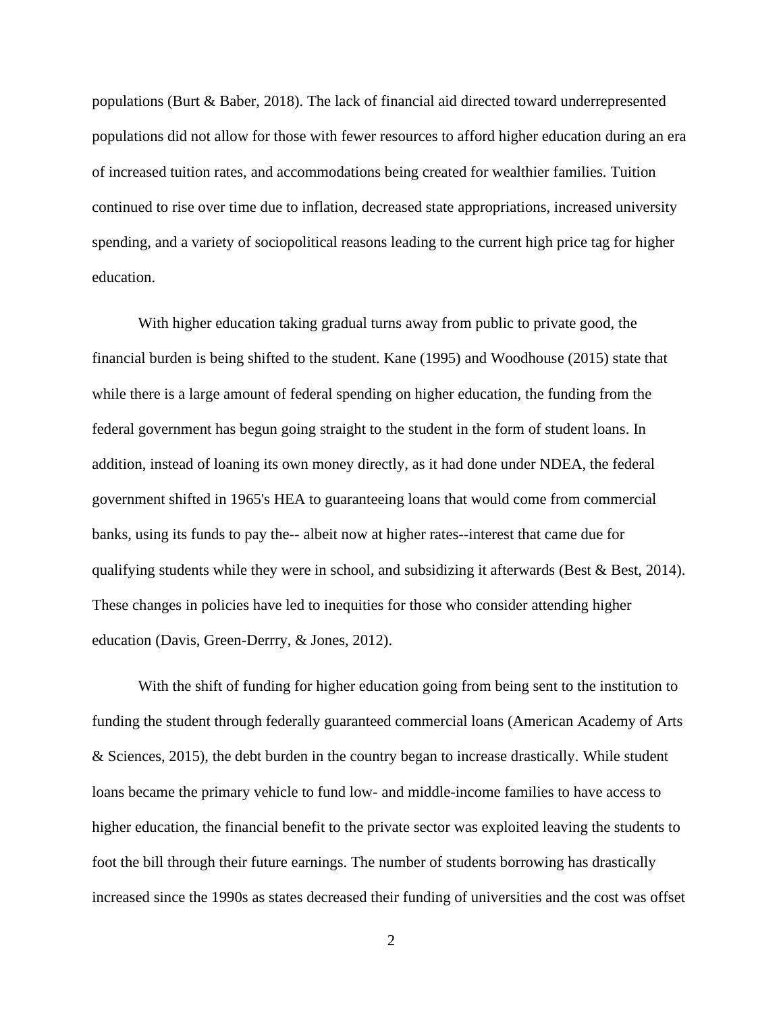populations (Burt & Baber, 2018). The lack of financial aid directed toward underrepresented populations did not allow for those with fewer resources to afford higher education during an era of increased tuition rates, and accommodations being created for wealthier families. Tuition continued to rise over time due to inflation, decreased state appropriations, increased university spending, and a variety of sociopolitical reasons leading to the current high price tag for higher education.

With higher education taking gradual turns away from public to private good, the financial burden is being shifted to the student. Kane (1995) and Woodhouse (2015) state that while there is a large amount of federal spending on higher education, the funding from the federal government has begun going straight to the student in the form of student loans. In addition, instead of loaning its own money directly, as it had done under NDEA, the federal government shifted in 1965's HEA to guaranteeing loans that would come from commercial banks, using its funds to pay the-- albeit now at higher rates--interest that came due for qualifying students while they were in school, and subsidizing it afterwards (Best & Best, 2014). These changes in policies have led to inequities for those who consider attending higher education (Davis, Green-Derrry, & Jones, 2012).

With the shift of funding for higher education going from being sent to the institution to funding the student through federally guaranteed commercial loans (American Academy of Arts & Sciences, 2015), the debt burden in the country began to increase drastically. While student loans became the primary vehicle to fund low- and middle-income families to have access to higher education, the financial benefit to the private sector was exploited leaving the students to foot the bill through their future earnings. The number of students borrowing has drastically increased since the 1990s as states decreased their funding of universities and the cost was offset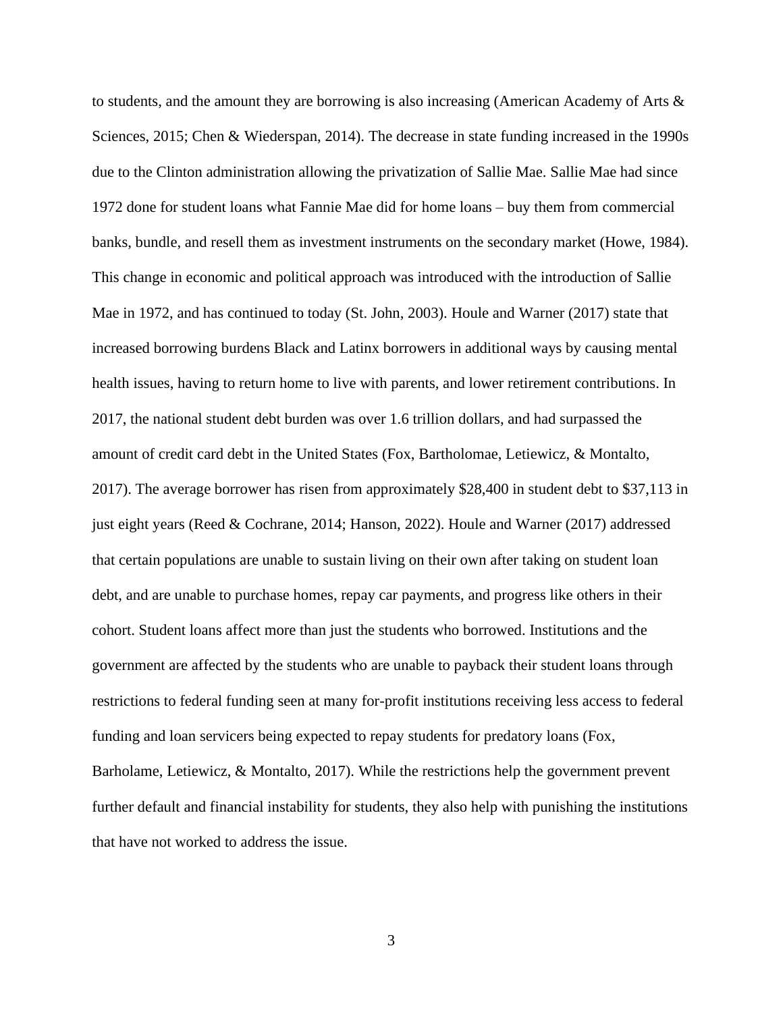to students, and the amount they are borrowing is also increasing (American Academy of Arts & Sciences, 2015; Chen & Wiederspan, 2014). The decrease in state funding increased in the 1990s due to the Clinton administration allowing the privatization of Sallie Mae. Sallie Mae had since 1972 done for student loans what Fannie Mae did for home loans – buy them from commercial banks, bundle, and resell them as investment instruments on the secondary market (Howe, 1984). This change in economic and political approach was introduced with the introduction of Sallie Mae in 1972, and has continued to today (St. John, 2003). Houle and Warner (2017) state that increased borrowing burdens Black and Latinx borrowers in additional ways by causing mental health issues, having to return home to live with parents, and lower retirement contributions. In 2017, the national student debt burden was over 1.6 trillion dollars, and had surpassed the amount of credit card debt in the United States (Fox, Bartholomae, Letiewicz, & Montalto, 2017). The average borrower has risen from approximately \$28,400 in student debt to \$37,113 in just eight years (Reed & Cochrane, 2014; Hanson, 2022). Houle and Warner (2017) addressed that certain populations are unable to sustain living on their own after taking on student loan debt, and are unable to purchase homes, repay car payments, and progress like others in their cohort. Student loans affect more than just the students who borrowed. Institutions and the government are affected by the students who are unable to payback their student loans through restrictions to federal funding seen at many for-profit institutions receiving less access to federal funding and loan servicers being expected to repay students for predatory loans (Fox, Barholame, Letiewicz, & Montalto, 2017). While the restrictions help the government prevent further default and financial instability for students, they also help with punishing the institutions that have not worked to address the issue.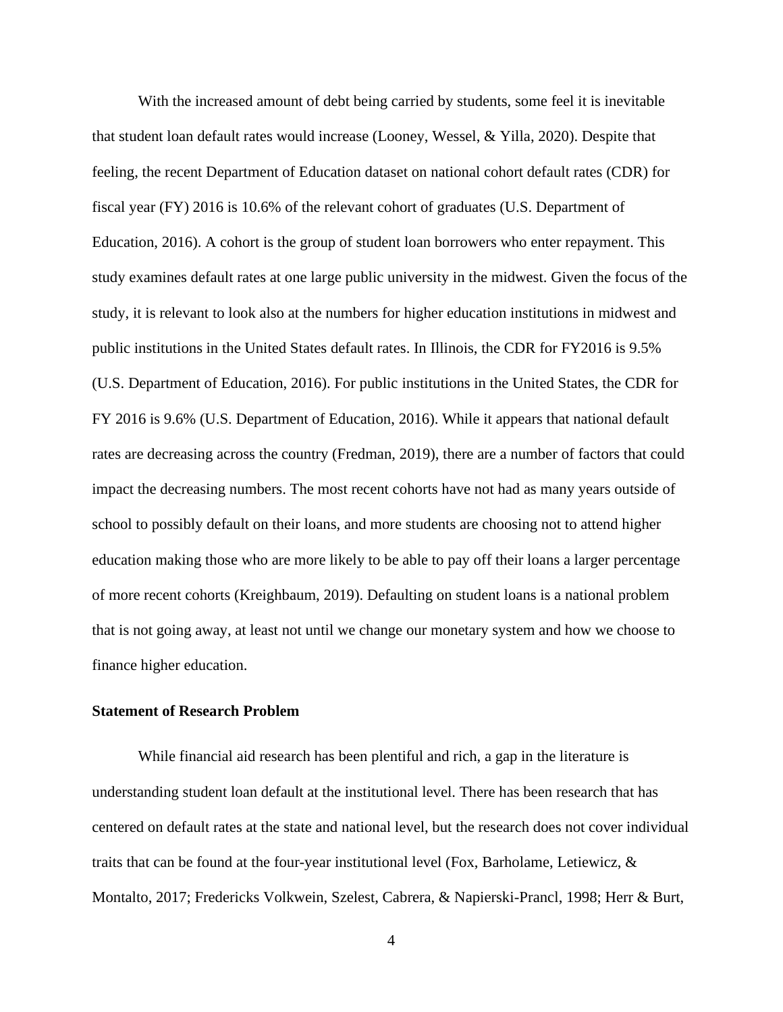With the increased amount of debt being carried by students, some feel it is inevitable that student loan default rates would increase (Looney, Wessel, & Yilla, 2020). Despite that feeling, the recent Department of Education dataset on national cohort default rates (CDR) for fiscal year (FY) 2016 is 10.6% of the relevant cohort of graduates (U.S. Department of Education, 2016). A cohort is the group of student loan borrowers who enter repayment. This study examines default rates at one large public university in the midwest. Given the focus of the study, it is relevant to look also at the numbers for higher education institutions in midwest and public institutions in the United States default rates. In Illinois, the CDR for FY2016 is 9.5% (U.S. Department of Education, 2016). For public institutions in the United States, the CDR for FY 2016 is 9.6% (U.S. Department of Education, 2016). While it appears that national default rates are decreasing across the country (Fredman, 2019), there are a number of factors that could impact the decreasing numbers. The most recent cohorts have not had as many years outside of school to possibly default on their loans, and more students are choosing not to attend higher education making those who are more likely to be able to pay off their loans a larger percentage of more recent cohorts (Kreighbaum, 2019). Defaulting on student loans is a national problem that is not going away, at least not until we change our monetary system and how we choose to finance higher education.

# <span id="page-12-0"></span>**Statement of Research Problem**

While financial aid research has been plentiful and rich, a gap in the literature is understanding student loan default at the institutional level. There has been research that has centered on default rates at the state and national level, but the research does not cover individual traits that can be found at the four-year institutional level (Fox, Barholame, Letiewicz, & Montalto, 2017; Fredericks Volkwein, Szelest, Cabrera, & Napierski-Prancl, 1998; Herr & Burt,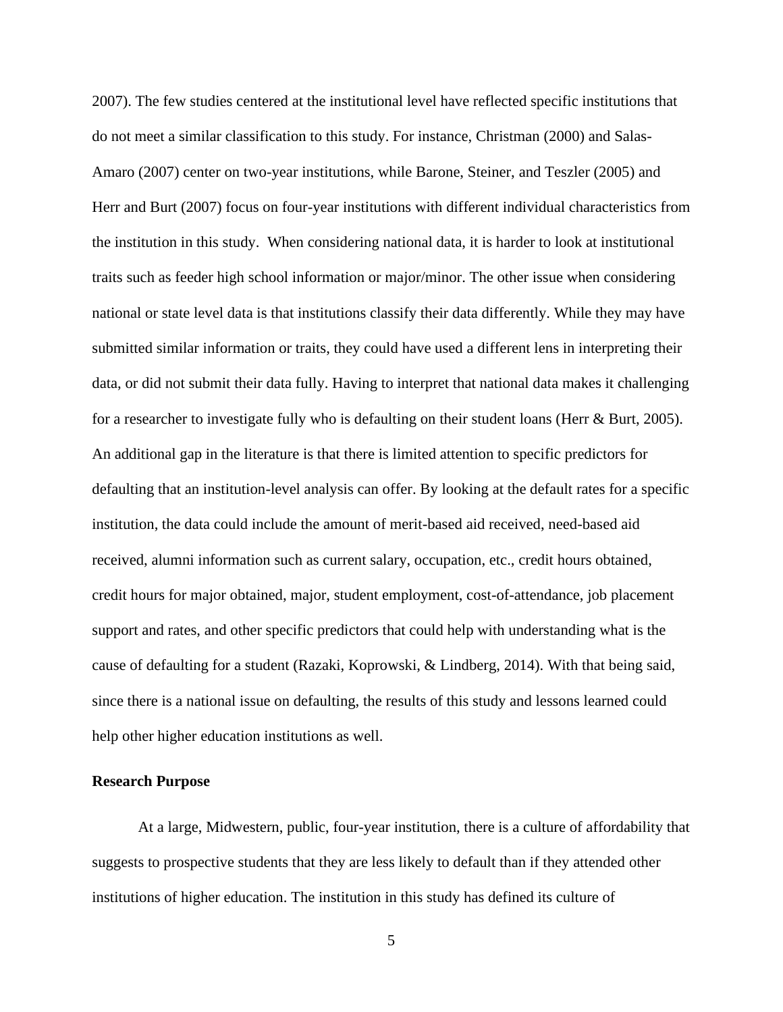2007). The few studies centered at the institutional level have reflected specific institutions that do not meet a similar classification to this study. For instance, Christman (2000) and Salas-Amaro (2007) center on two-year institutions, while Barone, Steiner, and Teszler (2005) and Herr and Burt (2007) focus on four-year institutions with different individual characteristics from the institution in this study. When considering national data, it is harder to look at institutional traits such as feeder high school information or major/minor. The other issue when considering national or state level data is that institutions classify their data differently. While they may have submitted similar information or traits, they could have used a different lens in interpreting their data, or did not submit their data fully. Having to interpret that national data makes it challenging for a researcher to investigate fully who is defaulting on their student loans (Herr & Burt, 2005). An additional gap in the literature is that there is limited attention to specific predictors for defaulting that an institution-level analysis can offer. By looking at the default rates for a specific institution, the data could include the amount of merit-based aid received, need-based aid received, alumni information such as current salary, occupation, etc., credit hours obtained, credit hours for major obtained, major, student employment, cost-of-attendance, job placement support and rates, and other specific predictors that could help with understanding what is the cause of defaulting for a student (Razaki, Koprowski, & Lindberg, 2014). With that being said, since there is a national issue on defaulting, the results of this study and lessons learned could help other higher education institutions as well.

## <span id="page-13-0"></span>**Research Purpose**

At a large, Midwestern, public, four-year institution, there is a culture of affordability that suggests to prospective students that they are less likely to default than if they attended other institutions of higher education. The institution in this study has defined its culture of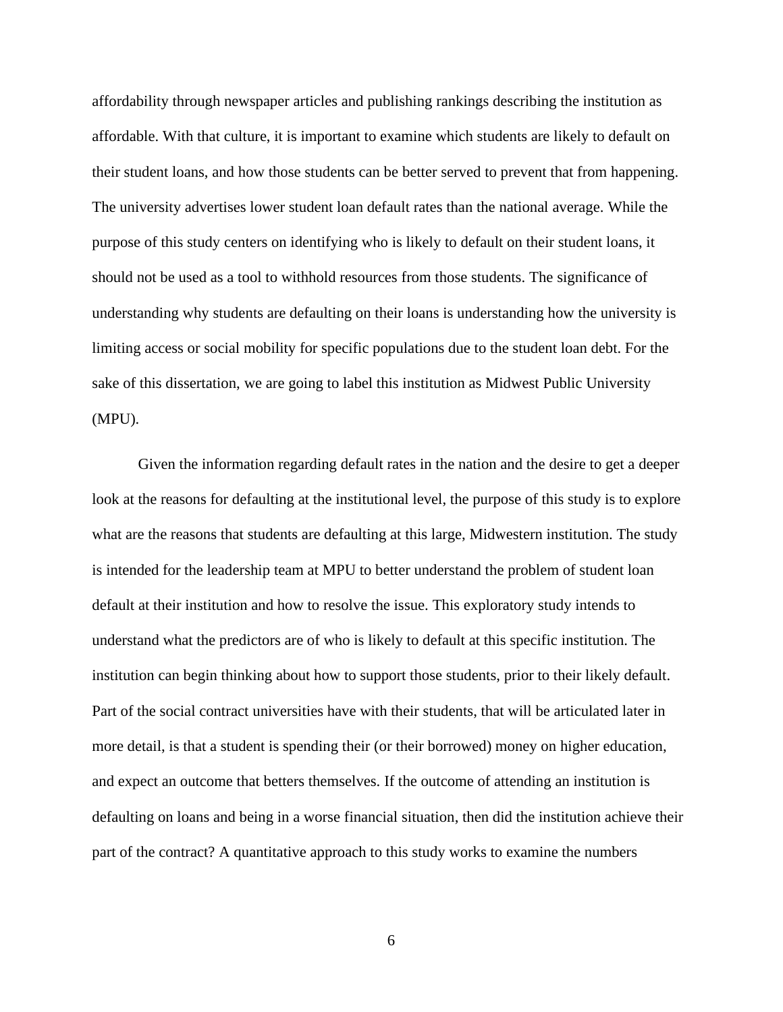affordability through newspaper articles and publishing rankings describing the institution as affordable. With that culture, it is important to examine which students are likely to default on their student loans, and how those students can be better served to prevent that from happening. The university advertises lower student loan default rates than the national average. While the purpose of this study centers on identifying who is likely to default on their student loans, it should not be used as a tool to withhold resources from those students. The significance of understanding why students are defaulting on their loans is understanding how the university is limiting access or social mobility for specific populations due to the student loan debt. For the sake of this dissertation, we are going to label this institution as Midwest Public University (MPU).

Given the information regarding default rates in the nation and the desire to get a deeper look at the reasons for defaulting at the institutional level, the purpose of this study is to explore what are the reasons that students are defaulting at this large, Midwestern institution. The study is intended for the leadership team at MPU to better understand the problem of student loan default at their institution and how to resolve the issue. This exploratory study intends to understand what the predictors are of who is likely to default at this specific institution. The institution can begin thinking about how to support those students, prior to their likely default. Part of the social contract universities have with their students, that will be articulated later in more detail, is that a student is spending their (or their borrowed) money on higher education, and expect an outcome that betters themselves. If the outcome of attending an institution is defaulting on loans and being in a worse financial situation, then did the institution achieve their part of the contract? A quantitative approach to this study works to examine the numbers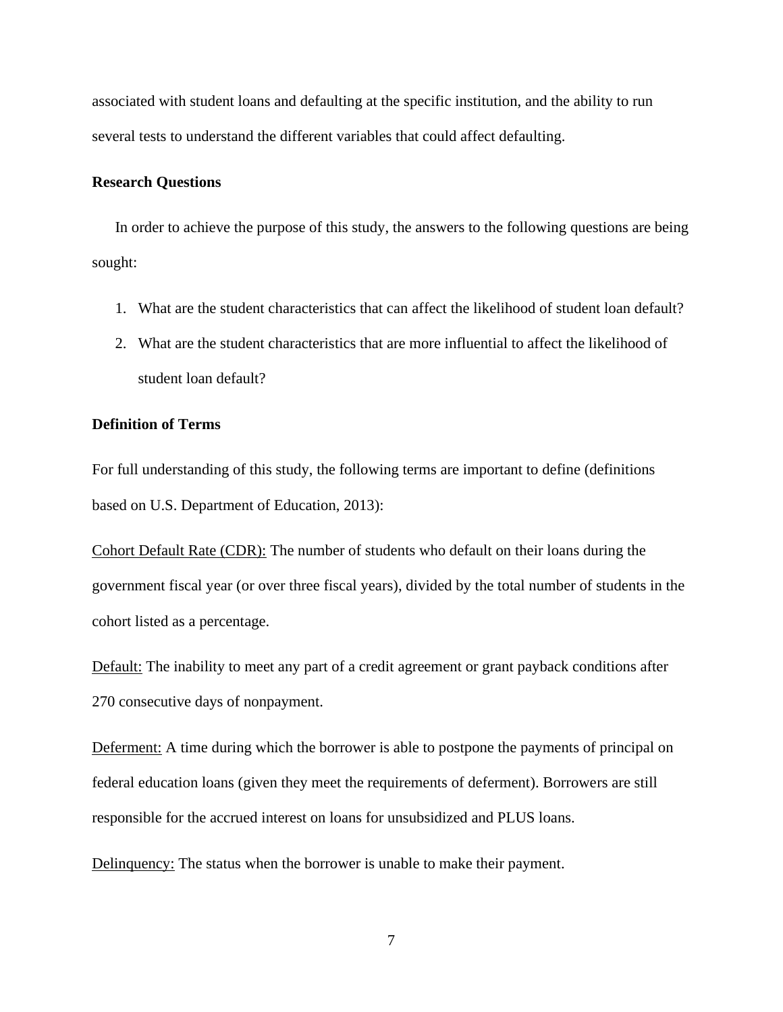associated with student loans and defaulting at the specific institution, and the ability to run several tests to understand the different variables that could affect defaulting.

# <span id="page-15-0"></span>**Research Questions**

In order to achieve the purpose of this study, the answers to the following questions are being sought:

- 1. What are the student characteristics that can affect the likelihood of student loan default?
- 2. What are the student characteristics that are more influential to affect the likelihood of student loan default?

# <span id="page-15-1"></span>**Definition of Terms**

For full understanding of this study, the following terms are important to define (definitions based on U.S. Department of Education, 2013):

Cohort Default Rate (CDR): The number of students who default on their loans during the government fiscal year (or over three fiscal years), divided by the total number of students in the cohort listed as a percentage.

Default: The inability to meet any part of a credit agreement or grant payback conditions after 270 consecutive days of nonpayment.

Deferment: A time during which the borrower is able to postpone the payments of principal on federal education loans (given they meet the requirements of deferment). Borrowers are still responsible for the accrued interest on loans for unsubsidized and PLUS loans.

Delinquency: The status when the borrower is unable to make their payment.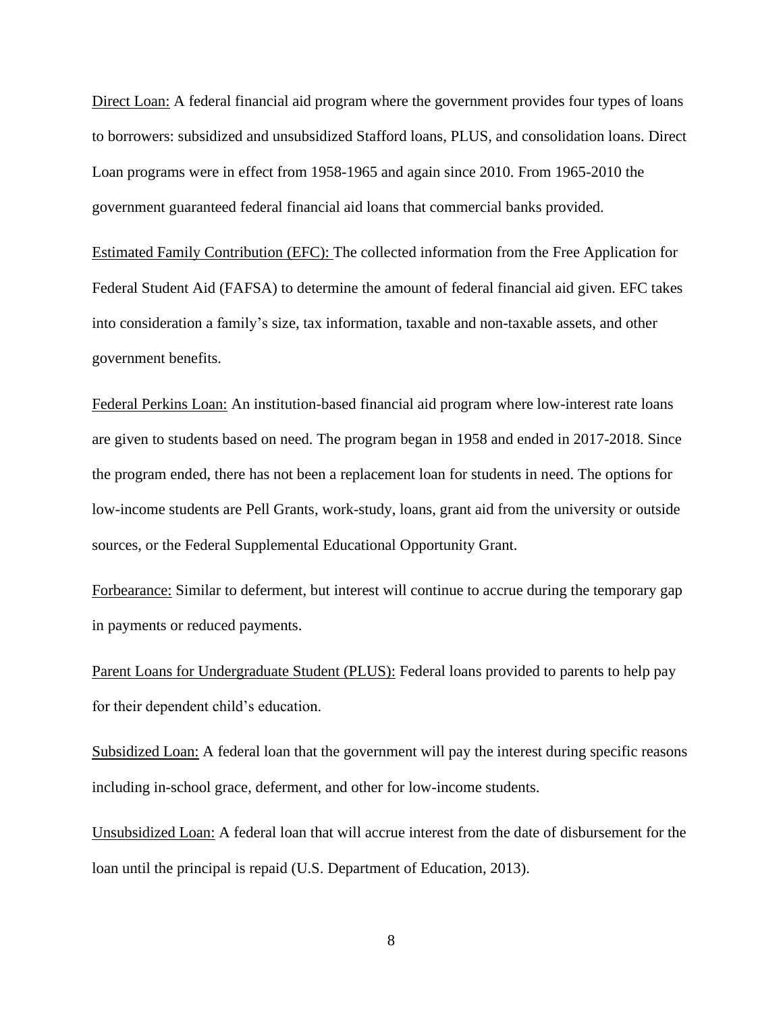Direct Loan: A federal financial aid program where the government provides four types of loans to borrowers: subsidized and unsubsidized Stafford loans, PLUS, and consolidation loans. Direct Loan programs were in effect from 1958-1965 and again since 2010. From 1965-2010 the government guaranteed federal financial aid loans that commercial banks provided.

Estimated Family Contribution (EFC): The collected information from the Free Application for Federal Student Aid (FAFSA) to determine the amount of federal financial aid given. EFC takes into consideration a family's size, tax information, taxable and non-taxable assets, and other government benefits.

Federal Perkins Loan: An institution-based financial aid program where low-interest rate loans are given to students based on need. The program began in 1958 and ended in 2017-2018. Since the program ended, there has not been a replacement loan for students in need. The options for low-income students are Pell Grants, work-study, loans, grant aid from the university or outside sources, or the Federal Supplemental Educational Opportunity Grant.

Forbearance: Similar to deferment, but interest will continue to accrue during the temporary gap in payments or reduced payments.

Parent Loans for Undergraduate Student (PLUS): Federal loans provided to parents to help pay for their dependent child's education.

Subsidized Loan: A federal loan that the government will pay the interest during specific reasons including in-school grace, deferment, and other for low-income students.

Unsubsidized Loan: A federal loan that will accrue interest from the date of disbursement for the loan until the principal is repaid (U.S. Department of Education, 2013).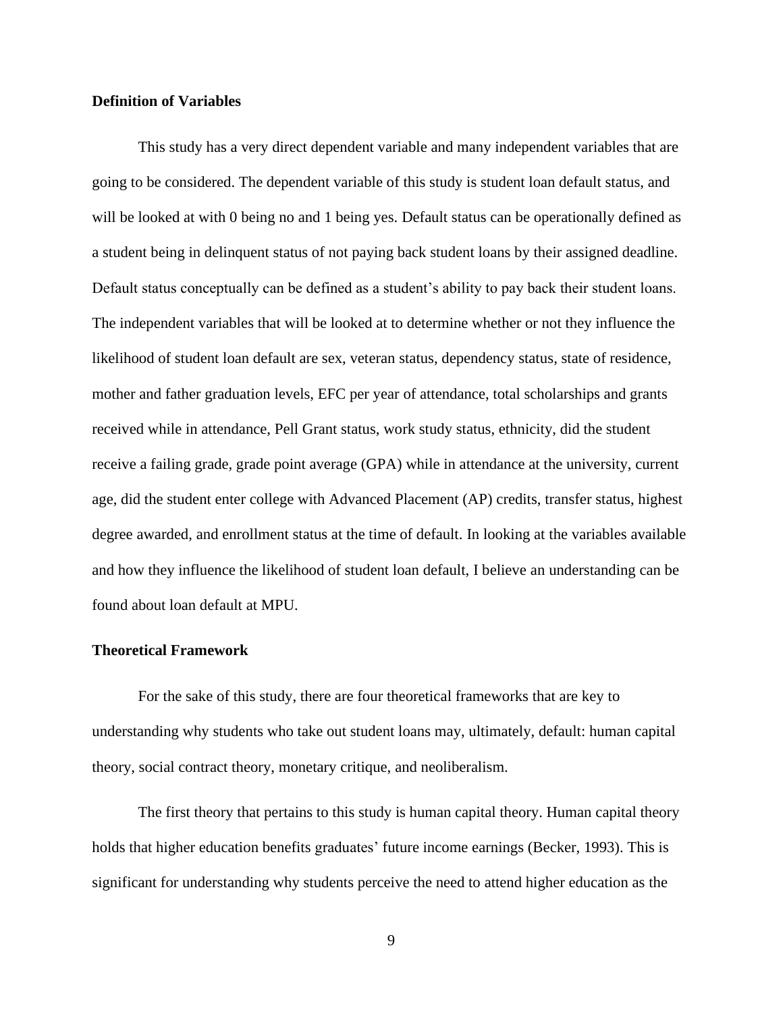## <span id="page-17-0"></span>**Definition of Variables**

This study has a very direct dependent variable and many independent variables that are going to be considered. The dependent variable of this study is student loan default status, and will be looked at with 0 being no and 1 being yes. Default status can be operationally defined as a student being in delinquent status of not paying back student loans by their assigned deadline. Default status conceptually can be defined as a student's ability to pay back their student loans. The independent variables that will be looked at to determine whether or not they influence the likelihood of student loan default are sex, veteran status, dependency status, state of residence, mother and father graduation levels, EFC per year of attendance, total scholarships and grants received while in attendance, Pell Grant status, work study status, ethnicity, did the student receive a failing grade, grade point average (GPA) while in attendance at the university, current age, did the student enter college with Advanced Placement (AP) credits, transfer status, highest degree awarded, and enrollment status at the time of default. In looking at the variables available and how they influence the likelihood of student loan default, I believe an understanding can be found about loan default at MPU.

# <span id="page-17-1"></span>**Theoretical Framework**

For the sake of this study, there are four theoretical frameworks that are key to understanding why students who take out student loans may, ultimately, default: human capital theory, social contract theory, monetary critique, and neoliberalism.

The first theory that pertains to this study is human capital theory. Human capital theory holds that higher education benefits graduates' future income earnings (Becker, 1993). This is significant for understanding why students perceive the need to attend higher education as the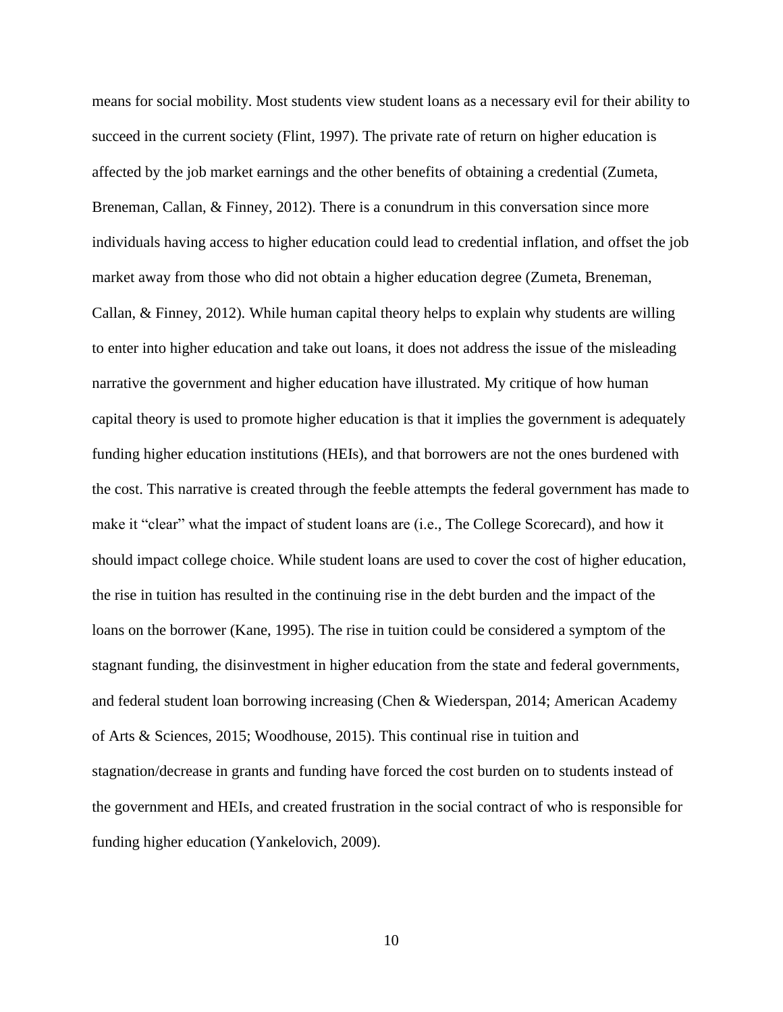means for social mobility. Most students view student loans as a necessary evil for their ability to succeed in the current society (Flint, 1997). The private rate of return on higher education is affected by the job market earnings and the other benefits of obtaining a credential (Zumeta, Breneman, Callan, & Finney, 2012). There is a conundrum in this conversation since more individuals having access to higher education could lead to credential inflation, and offset the job market away from those who did not obtain a higher education degree (Zumeta, Breneman, Callan, & Finney, 2012). While human capital theory helps to explain why students are willing to enter into higher education and take out loans, it does not address the issue of the misleading narrative the government and higher education have illustrated. My critique of how human capital theory is used to promote higher education is that it implies the government is adequately funding higher education institutions (HEIs), and that borrowers are not the ones burdened with the cost. This narrative is created through the feeble attempts the federal government has made to make it "clear" what the impact of student loans are (i.e., The College Scorecard), and how it should impact college choice. While student loans are used to cover the cost of higher education, the rise in tuition has resulted in the continuing rise in the debt burden and the impact of the loans on the borrower (Kane, 1995). The rise in tuition could be considered a symptom of the stagnant funding, the disinvestment in higher education from the state and federal governments, and federal student loan borrowing increasing (Chen & Wiederspan, 2014; American Academy of Arts & Sciences, 2015; Woodhouse, 2015). This continual rise in tuition and stagnation/decrease in grants and funding have forced the cost burden on to students instead of the government and HEIs, and created frustration in the social contract of who is responsible for funding higher education (Yankelovich, 2009).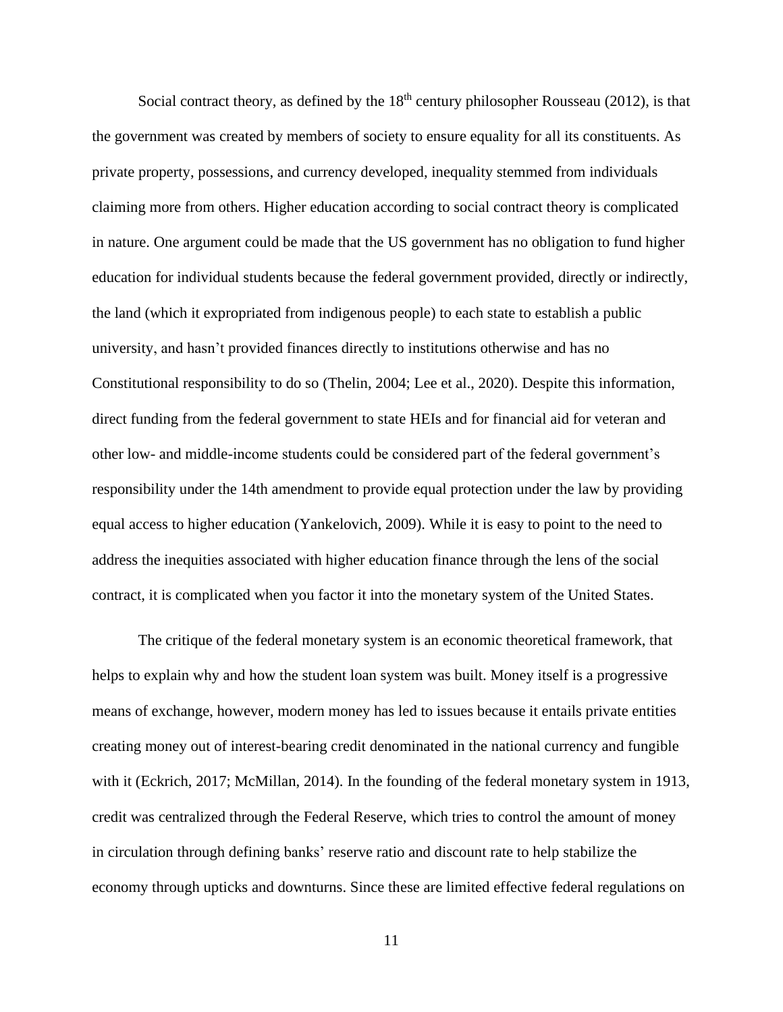Social contract theory, as defined by the  $18<sup>th</sup>$  century philosopher Rousseau (2012), is that the government was created by members of society to ensure equality for all its constituents. As private property, possessions, and currency developed, inequality stemmed from individuals claiming more from others. Higher education according to social contract theory is complicated in nature. One argument could be made that the US government has no obligation to fund higher education for individual students because the federal government provided, directly or indirectly, the land (which it expropriated from indigenous people) to each state to establish a public university, and hasn't provided finances directly to institutions otherwise and has no Constitutional responsibility to do so (Thelin, 2004; Lee et al., 2020). Despite this information, direct funding from the federal government to state HEIs and for financial aid for veteran and other low- and middle-income students could be considered part of the federal government's responsibility under the 14th amendment to provide equal protection under the law by providing equal access to higher education (Yankelovich, 2009). While it is easy to point to the need to address the inequities associated with higher education finance through the lens of the social contract, it is complicated when you factor it into the monetary system of the United States.

The critique of the federal monetary system is an economic theoretical framework, that helps to explain why and how the student loan system was built. Money itself is a progressive means of exchange, however, modern money has led to issues because it entails private entities creating money out of interest-bearing credit denominated in the national currency and fungible with it (Eckrich, 2017; McMillan, 2014). In the founding of the federal monetary system in 1913, credit was centralized through the Federal Reserve, which tries to control the amount of money in circulation through defining banks' reserve ratio and discount rate to help stabilize the economy through upticks and downturns. Since these are limited effective federal regulations on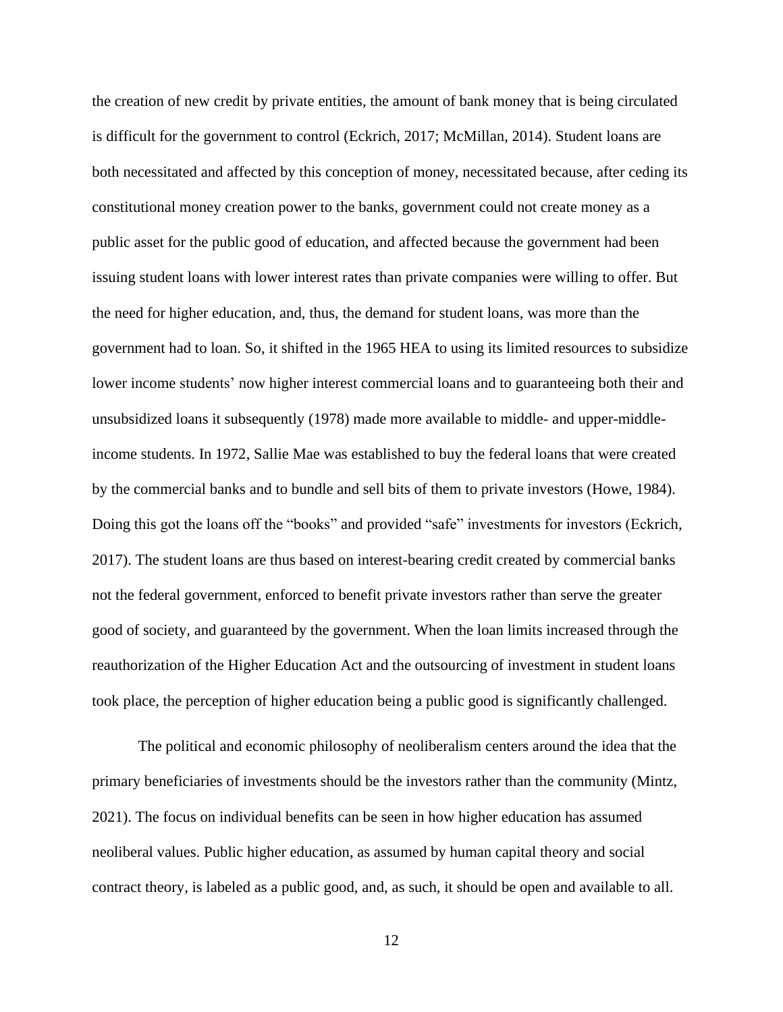the creation of new credit by private entities, the amount of bank money that is being circulated is difficult for the government to control (Eckrich, 2017; McMillan, 2014). Student loans are both necessitated and affected by this conception of money, necessitated because, after ceding its constitutional money creation power to the banks, government could not create money as a public asset for the public good of education, and affected because the government had been issuing student loans with lower interest rates than private companies were willing to offer. But the need for higher education, and, thus, the demand for student loans, was more than the government had to loan. So, it shifted in the 1965 HEA to using its limited resources to subsidize lower income students' now higher interest commercial loans and to guaranteeing both their and unsubsidized loans it subsequently (1978) made more available to middle- and upper-middleincome students. In 1972, Sallie Mae was established to buy the federal loans that were created by the commercial banks and to bundle and sell bits of them to private investors (Howe, 1984). Doing this got the loans off the "books" and provided "safe" investments for investors (Eckrich, 2017). The student loans are thus based on interest-bearing credit created by commercial banks not the federal government, enforced to benefit private investors rather than serve the greater good of society, and guaranteed by the government. When the loan limits increased through the reauthorization of the Higher Education Act and the outsourcing of investment in student loans took place, the perception of higher education being a public good is significantly challenged.

The political and economic philosophy of neoliberalism centers around the idea that the primary beneficiaries of investments should be the investors rather than the community (Mintz, 2021). The focus on individual benefits can be seen in how higher education has assumed neoliberal values. Public higher education, as assumed by human capital theory and social contract theory, is labeled as a public good, and, as such, it should be open and available to all.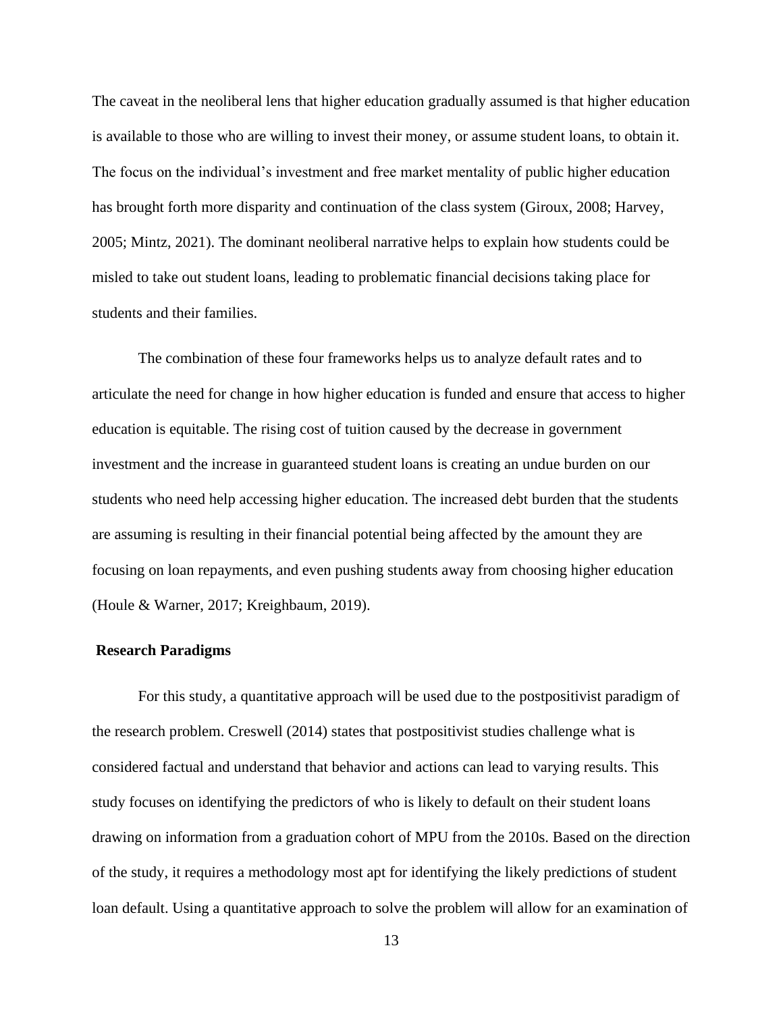The caveat in the neoliberal lens that higher education gradually assumed is that higher education is available to those who are willing to invest their money, or assume student loans, to obtain it. The focus on the individual's investment and free market mentality of public higher education has brought forth more disparity and continuation of the class system (Giroux, 2008; Harvey, 2005; Mintz, 2021). The dominant neoliberal narrative helps to explain how students could be misled to take out student loans, leading to problematic financial decisions taking place for students and their families.

The combination of these four frameworks helps us to analyze default rates and to articulate the need for change in how higher education is funded and ensure that access to higher education is equitable. The rising cost of tuition caused by the decrease in government investment and the increase in guaranteed student loans is creating an undue burden on our students who need help accessing higher education. The increased debt burden that the students are assuming is resulting in their financial potential being affected by the amount they are focusing on loan repayments, and even pushing students away from choosing higher education (Houle & Warner, 2017; Kreighbaum, 2019).

### <span id="page-21-0"></span>**Research Paradigms**

For this study, a quantitative approach will be used due to the postpositivist paradigm of the research problem. Creswell (2014) states that postpositivist studies challenge what is considered factual and understand that behavior and actions can lead to varying results. This study focuses on identifying the predictors of who is likely to default on their student loans drawing on information from a graduation cohort of MPU from the 2010s. Based on the direction of the study, it requires a methodology most apt for identifying the likely predictions of student loan default. Using a quantitative approach to solve the problem will allow for an examination of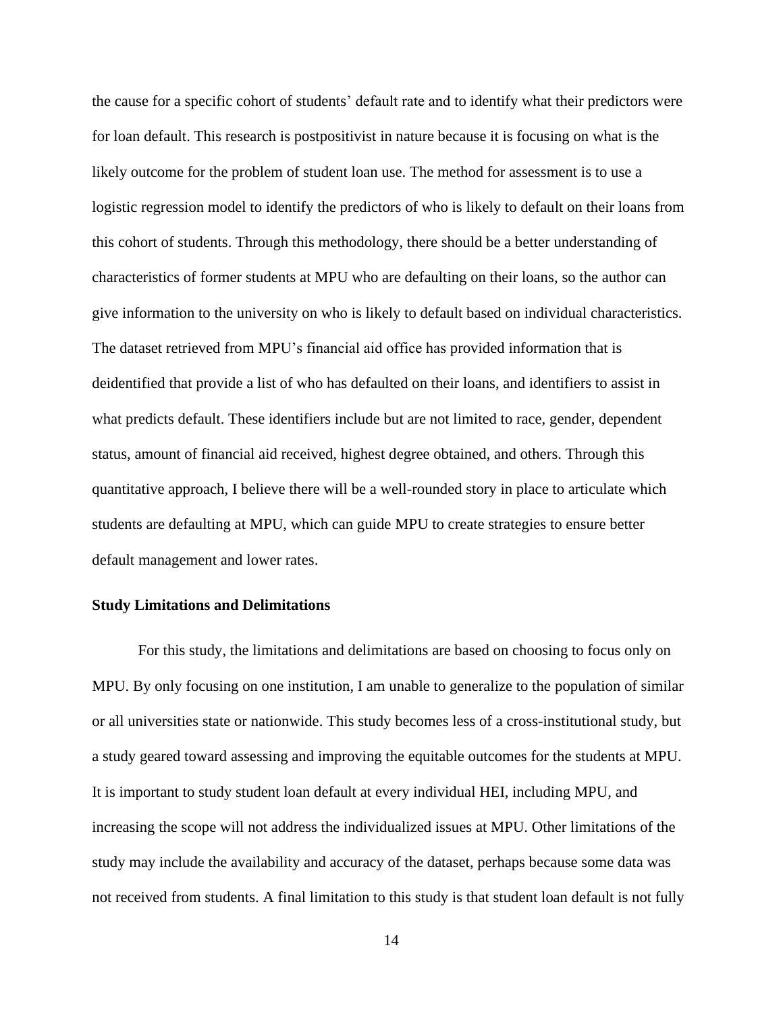the cause for a specific cohort of students' default rate and to identify what their predictors were for loan default. This research is postpositivist in nature because it is focusing on what is the likely outcome for the problem of student loan use. The method for assessment is to use a logistic regression model to identify the predictors of who is likely to default on their loans from this cohort of students. Through this methodology, there should be a better understanding of characteristics of former students at MPU who are defaulting on their loans, so the author can give information to the university on who is likely to default based on individual characteristics. The dataset retrieved from MPU's financial aid office has provided information that is deidentified that provide a list of who has defaulted on their loans, and identifiers to assist in what predicts default. These identifiers include but are not limited to race, gender, dependent status, amount of financial aid received, highest degree obtained, and others. Through this quantitative approach, I believe there will be a well-rounded story in place to articulate which students are defaulting at MPU, which can guide MPU to create strategies to ensure better default management and lower rates.

#### <span id="page-22-0"></span>**Study Limitations and Delimitations**

For this study, the limitations and delimitations are based on choosing to focus only on MPU. By only focusing on one institution, I am unable to generalize to the population of similar or all universities state or nationwide. This study becomes less of a cross-institutional study, but a study geared toward assessing and improving the equitable outcomes for the students at MPU. It is important to study student loan default at every individual HEI, including MPU, and increasing the scope will not address the individualized issues at MPU. Other limitations of the study may include the availability and accuracy of the dataset, perhaps because some data was not received from students. A final limitation to this study is that student loan default is not fully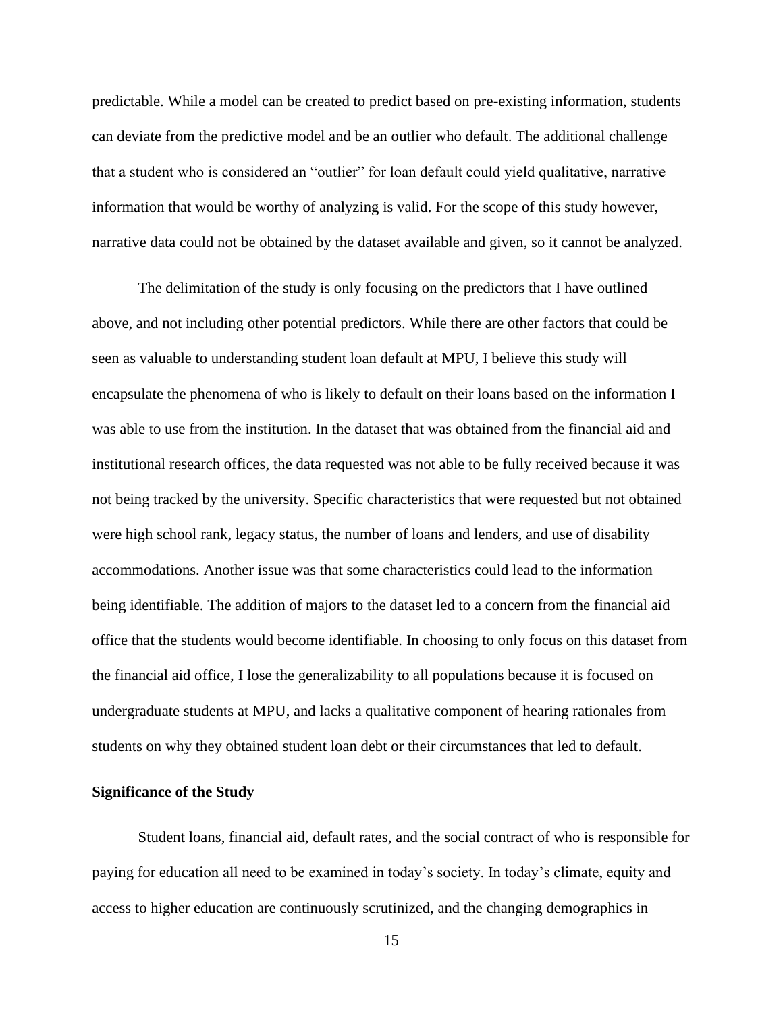predictable. While a model can be created to predict based on pre-existing information, students can deviate from the predictive model and be an outlier who default. The additional challenge that a student who is considered an "outlier" for loan default could yield qualitative, narrative information that would be worthy of analyzing is valid. For the scope of this study however, narrative data could not be obtained by the dataset available and given, so it cannot be analyzed.

The delimitation of the study is only focusing on the predictors that I have outlined above, and not including other potential predictors. While there are other factors that could be seen as valuable to understanding student loan default at MPU, I believe this study will encapsulate the phenomena of who is likely to default on their loans based on the information I was able to use from the institution. In the dataset that was obtained from the financial aid and institutional research offices, the data requested was not able to be fully received because it was not being tracked by the university. Specific characteristics that were requested but not obtained were high school rank, legacy status, the number of loans and lenders, and use of disability accommodations. Another issue was that some characteristics could lead to the information being identifiable. The addition of majors to the dataset led to a concern from the financial aid office that the students would become identifiable. In choosing to only focus on this dataset from the financial aid office, I lose the generalizability to all populations because it is focused on undergraduate students at MPU, and lacks a qualitative component of hearing rationales from students on why they obtained student loan debt or their circumstances that led to default.

### <span id="page-23-0"></span>**Significance of the Study**

Student loans, financial aid, default rates, and the social contract of who is responsible for paying for education all need to be examined in today's society. In today's climate, equity and access to higher education are continuously scrutinized, and the changing demographics in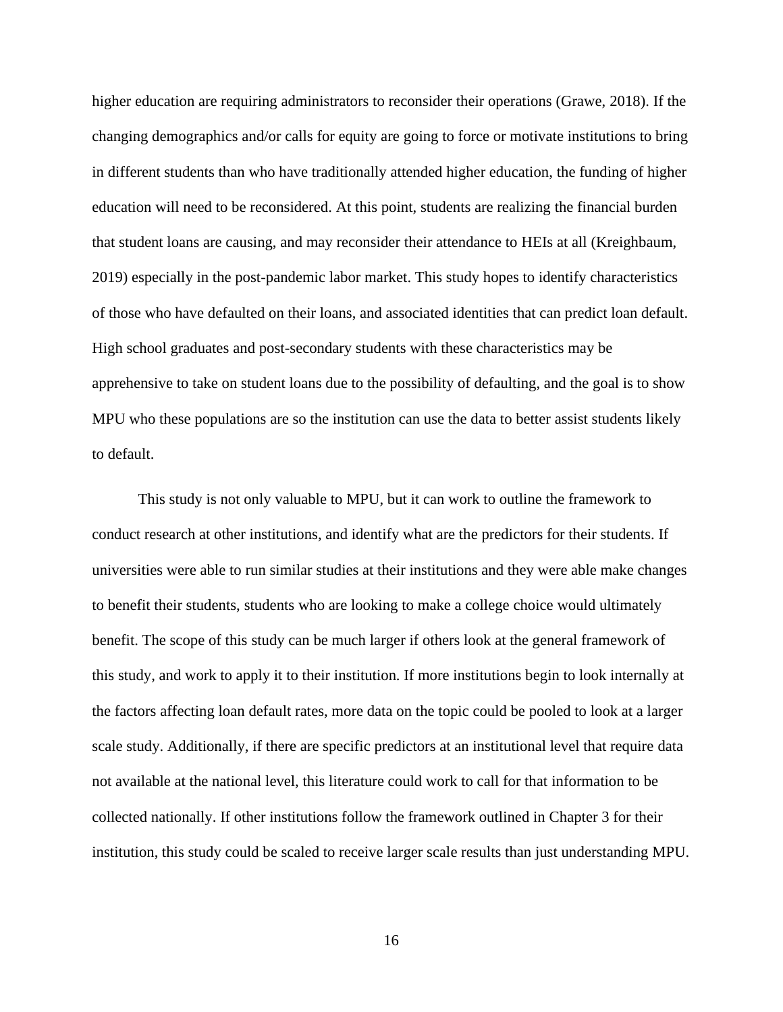higher education are requiring administrators to reconsider their operations (Grawe, 2018). If the changing demographics and/or calls for equity are going to force or motivate institutions to bring in different students than who have traditionally attended higher education, the funding of higher education will need to be reconsidered. At this point, students are realizing the financial burden that student loans are causing, and may reconsider their attendance to HEIs at all (Kreighbaum, 2019) especially in the post-pandemic labor market. This study hopes to identify characteristics of those who have defaulted on their loans, and associated identities that can predict loan default. High school graduates and post-secondary students with these characteristics may be apprehensive to take on student loans due to the possibility of defaulting, and the goal is to show MPU who these populations are so the institution can use the data to better assist students likely to default.

This study is not only valuable to MPU, but it can work to outline the framework to conduct research at other institutions, and identify what are the predictors for their students. If universities were able to run similar studies at their institutions and they were able make changes to benefit their students, students who are looking to make a college choice would ultimately benefit. The scope of this study can be much larger if others look at the general framework of this study, and work to apply it to their institution. If more institutions begin to look internally at the factors affecting loan default rates, more data on the topic could be pooled to look at a larger scale study. Additionally, if there are specific predictors at an institutional level that require data not available at the national level, this literature could work to call for that information to be collected nationally. If other institutions follow the framework outlined in Chapter 3 for their institution, this study could be scaled to receive larger scale results than just understanding MPU.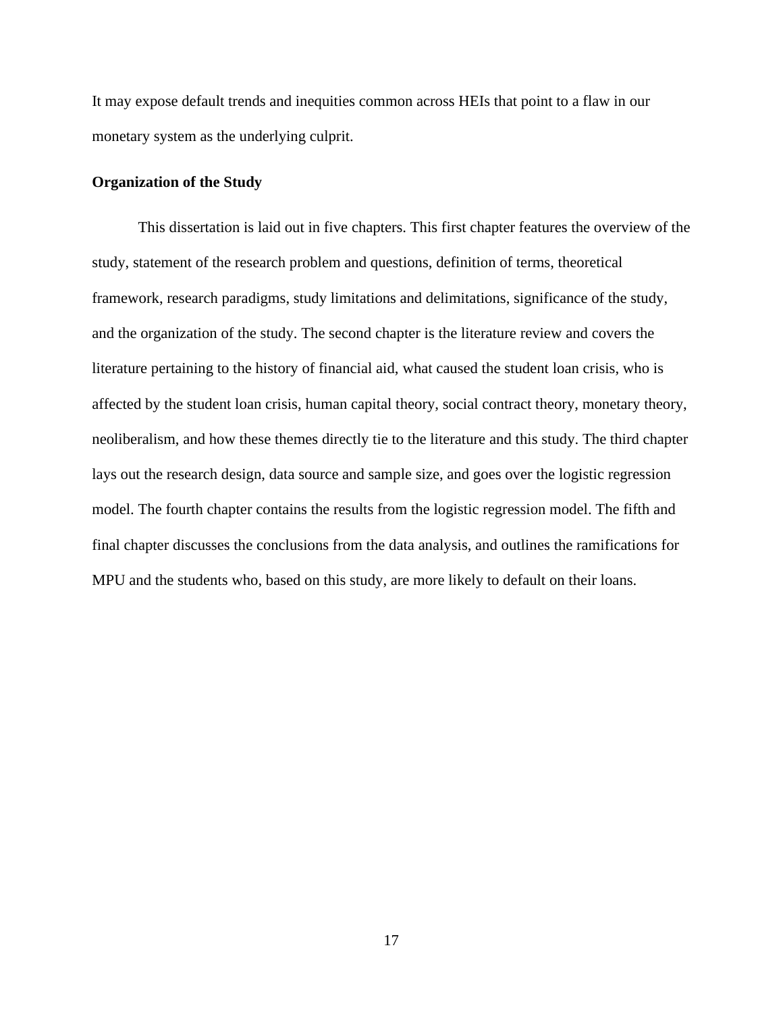It may expose default trends and inequities common across HEIs that point to a flaw in our monetary system as the underlying culprit.

## <span id="page-25-0"></span>**Organization of the Study**

This dissertation is laid out in five chapters. This first chapter features the overview of the study, statement of the research problem and questions, definition of terms, theoretical framework, research paradigms, study limitations and delimitations, significance of the study, and the organization of the study. The second chapter is the literature review and covers the literature pertaining to the history of financial aid, what caused the student loan crisis, who is affected by the student loan crisis, human capital theory, social contract theory, monetary theory, neoliberalism, and how these themes directly tie to the literature and this study. The third chapter lays out the research design, data source and sample size, and goes over the logistic regression model. The fourth chapter contains the results from the logistic regression model. The fifth and final chapter discusses the conclusions from the data analysis, and outlines the ramifications for MPU and the students who, based on this study, are more likely to default on their loans.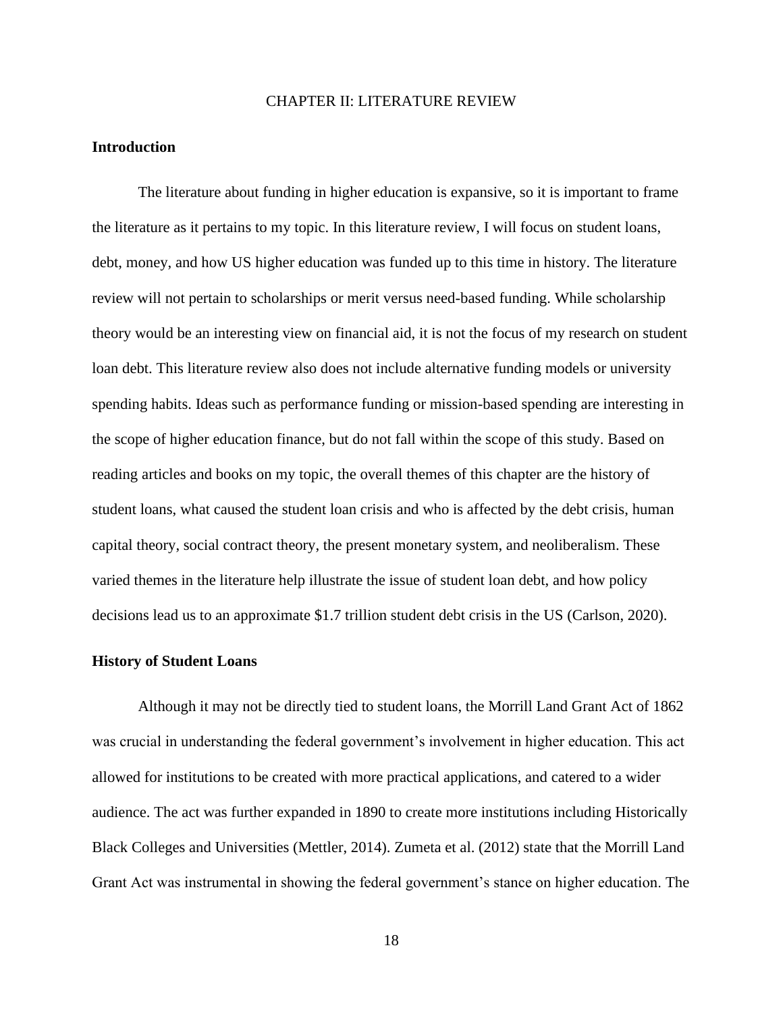### CHAPTER II: LITERATURE REVIEW

## <span id="page-26-1"></span><span id="page-26-0"></span>**Introduction**

The literature about funding in higher education is expansive, so it is important to frame the literature as it pertains to my topic. In this literature review, I will focus on student loans, debt, money, and how US higher education was funded up to this time in history. The literature review will not pertain to scholarships or merit versus need-based funding. While scholarship theory would be an interesting view on financial aid, it is not the focus of my research on student loan debt. This literature review also does not include alternative funding models or university spending habits. Ideas such as performance funding or mission-based spending are interesting in the scope of higher education finance, but do not fall within the scope of this study. Based on reading articles and books on my topic, the overall themes of this chapter are the history of student loans, what caused the student loan crisis and who is affected by the debt crisis, human capital theory, social contract theory, the present monetary system, and neoliberalism. These varied themes in the literature help illustrate the issue of student loan debt, and how policy decisions lead us to an approximate \$1.7 trillion student debt crisis in the US (Carlson, 2020).

#### <span id="page-26-2"></span>**History of Student Loans**

Although it may not be directly tied to student loans, the Morrill Land Grant Act of 1862 was crucial in understanding the federal government's involvement in higher education. This act allowed for institutions to be created with more practical applications, and catered to a wider audience. The act was further expanded in 1890 to create more institutions including Historically Black Colleges and Universities (Mettler, 2014). Zumeta et al. (2012) state that the Morrill Land Grant Act was instrumental in showing the federal government's stance on higher education. The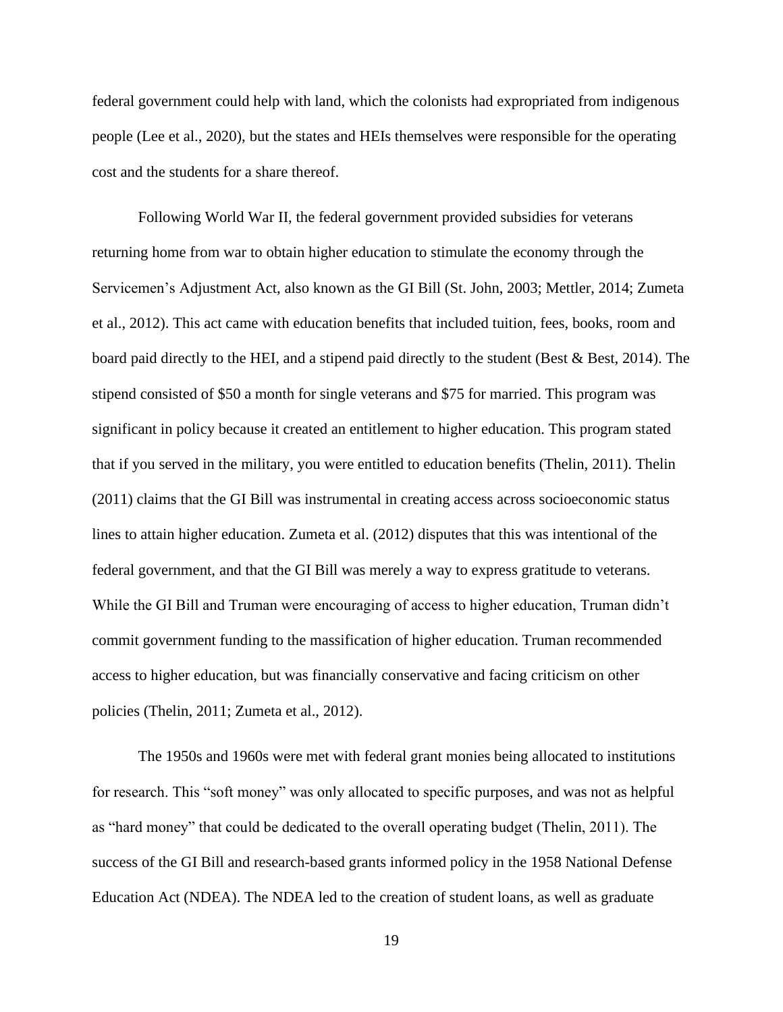federal government could help with land, which the colonists had expropriated from indigenous people (Lee et al., 2020), but the states and HEIs themselves were responsible for the operating cost and the students for a share thereof.

Following World War II, the federal government provided subsidies for veterans returning home from war to obtain higher education to stimulate the economy through the Servicemen's Adjustment Act, also known as the GI Bill (St. John, 2003; Mettler, 2014; Zumeta et al., 2012). This act came with education benefits that included tuition, fees, books, room and board paid directly to the HEI, and a stipend paid directly to the student (Best & Best, 2014). The stipend consisted of \$50 a month for single veterans and \$75 for married. This program was significant in policy because it created an entitlement to higher education. This program stated that if you served in the military, you were entitled to education benefits (Thelin, 2011). Thelin (2011) claims that the GI Bill was instrumental in creating access across socioeconomic status lines to attain higher education. Zumeta et al. (2012) disputes that this was intentional of the federal government, and that the GI Bill was merely a way to express gratitude to veterans. While the GI Bill and Truman were encouraging of access to higher education, Truman didn't commit government funding to the massification of higher education. Truman recommended access to higher education, but was financially conservative and facing criticism on other policies (Thelin, 2011; Zumeta et al., 2012).

The 1950s and 1960s were met with federal grant monies being allocated to institutions for research. This "soft money" was only allocated to specific purposes, and was not as helpful as "hard money" that could be dedicated to the overall operating budget (Thelin, 2011). The success of the GI Bill and research-based grants informed policy in the 1958 National Defense Education Act (NDEA). The NDEA led to the creation of student loans, as well as graduate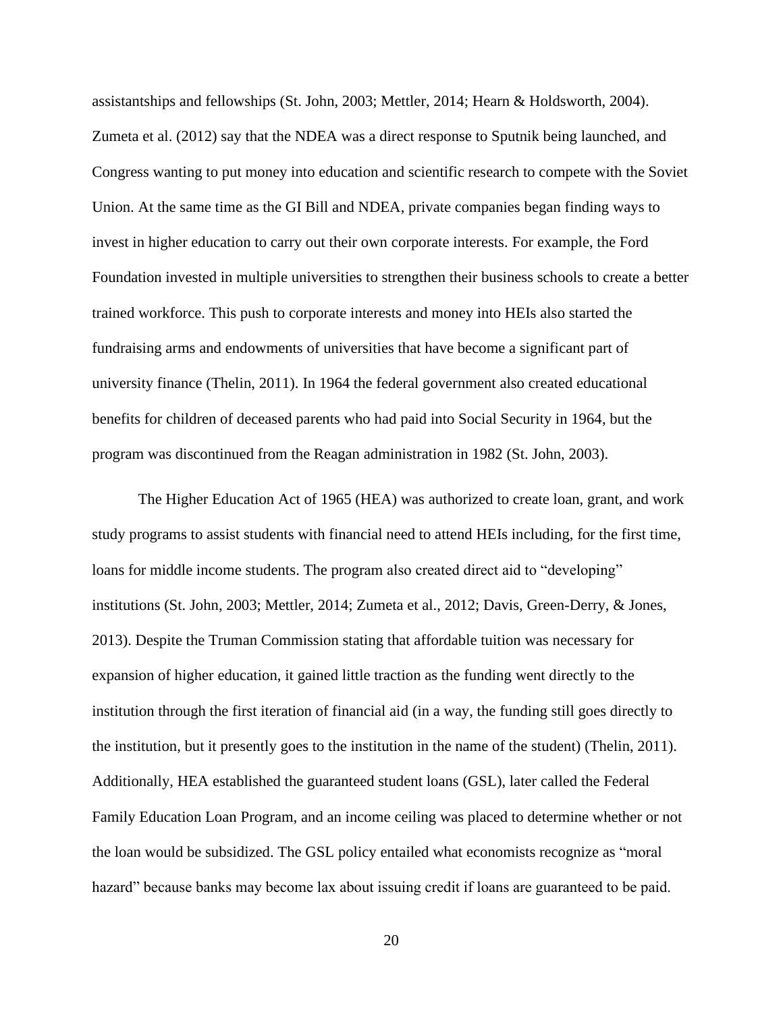assistantships and fellowships (St. John, 2003; Mettler, 2014; Hearn & Holdsworth, 2004). Zumeta et al. (2012) say that the NDEA was a direct response to Sputnik being launched, and Congress wanting to put money into education and scientific research to compete with the Soviet Union. At the same time as the GI Bill and NDEA, private companies began finding ways to invest in higher education to carry out their own corporate interests. For example, the Ford Foundation invested in multiple universities to strengthen their business schools to create a better trained workforce. This push to corporate interests and money into HEIs also started the fundraising arms and endowments of universities that have become a significant part of university finance (Thelin, 2011). In 1964 the federal government also created educational benefits for children of deceased parents who had paid into Social Security in 1964, but the program was discontinued from the Reagan administration in 1982 (St. John, 2003).

The Higher Education Act of 1965 (HEA) was authorized to create loan, grant, and work study programs to assist students with financial need to attend HEIs including, for the first time, loans for middle income students. The program also created direct aid to "developing" institutions (St. John, 2003; Mettler, 2014; Zumeta et al., 2012; Davis, Green-Derry, & Jones, 2013). Despite the Truman Commission stating that affordable tuition was necessary for expansion of higher education, it gained little traction as the funding went directly to the institution through the first iteration of financial aid (in a way, the funding still goes directly to the institution, but it presently goes to the institution in the name of the student) (Thelin, 2011). Additionally, HEA established the guaranteed student loans (GSL), later called the Federal Family Education Loan Program, and an income ceiling was placed to determine whether or not the loan would be subsidized. The GSL policy entailed what economists recognize as "moral hazard" because banks may become lax about issuing credit if loans are guaranteed to be paid.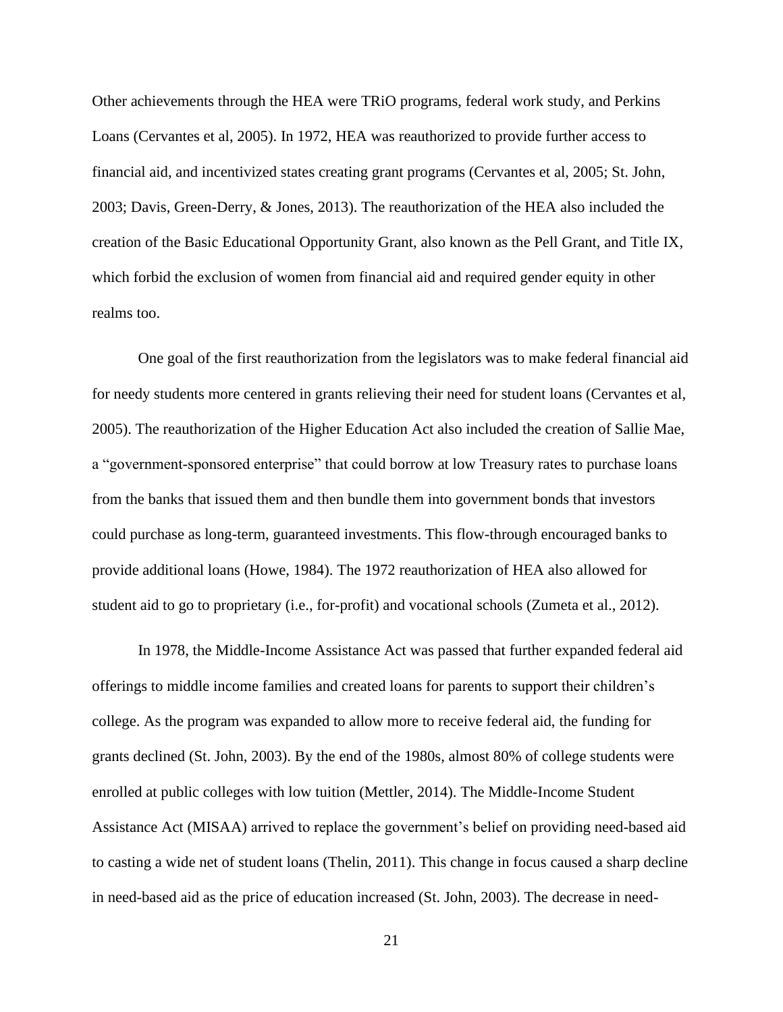Other achievements through the HEA were TRiO programs, federal work study, and Perkins Loans (Cervantes et al, 2005). In 1972, HEA was reauthorized to provide further access to financial aid, and incentivized states creating grant programs (Cervantes et al, 2005; St. John, 2003; Davis, Green-Derry, & Jones, 2013). The reauthorization of the HEA also included the creation of the Basic Educational Opportunity Grant, also known as the Pell Grant, and Title IX, which forbid the exclusion of women from financial aid and required gender equity in other realms too.

One goal of the first reauthorization from the legislators was to make federal financial aid for needy students more centered in grants relieving their need for student loans (Cervantes et al, 2005). The reauthorization of the Higher Education Act also included the creation of Sallie Mae, a "government-sponsored enterprise" that could borrow at low Treasury rates to purchase loans from the banks that issued them and then bundle them into government bonds that investors could purchase as long-term, guaranteed investments. This flow-through encouraged banks to provide additional loans (Howe, 1984). The 1972 reauthorization of HEA also allowed for student aid to go to proprietary (i.e., for-profit) and vocational schools (Zumeta et al., 2012).

In 1978, the Middle-Income Assistance Act was passed that further expanded federal aid offerings to middle income families and created loans for parents to support their children's college. As the program was expanded to allow more to receive federal aid, the funding for grants declined (St. John, 2003). By the end of the 1980s, almost 80% of college students were enrolled at public colleges with low tuition (Mettler, 2014). The Middle-Income Student Assistance Act (MISAA) arrived to replace the government's belief on providing need-based aid to casting a wide net of student loans (Thelin, 2011). This change in focus caused a sharp decline in need-based aid as the price of education increased (St. John, 2003). The decrease in need-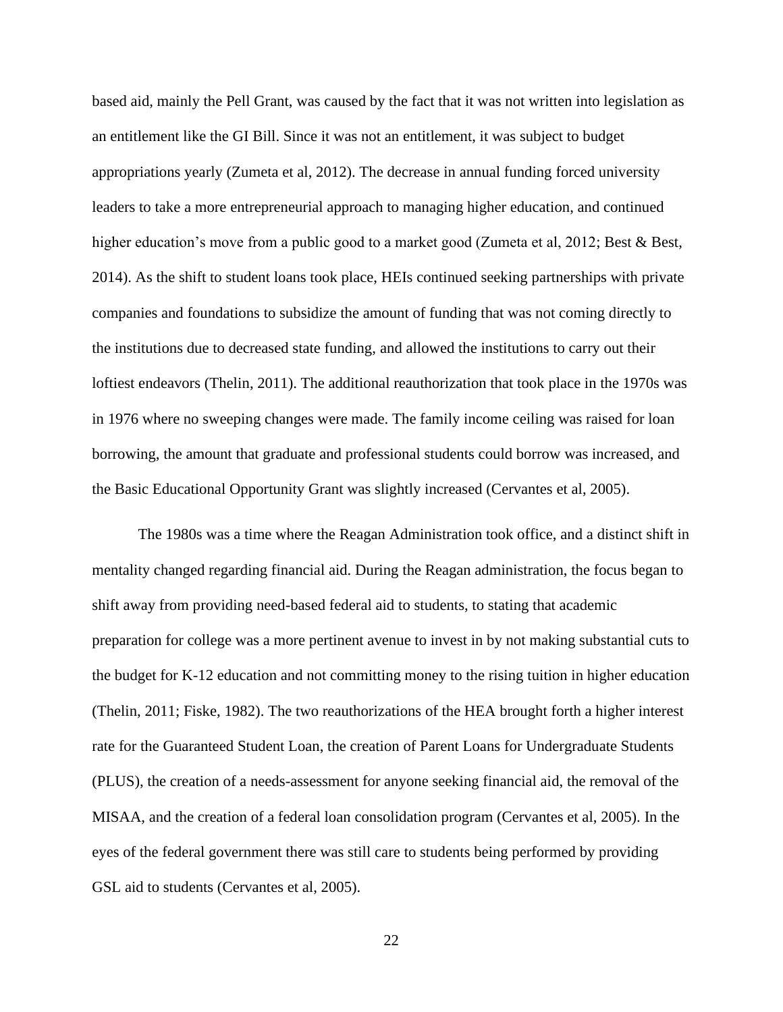based aid, mainly the Pell Grant, was caused by the fact that it was not written into legislation as an entitlement like the GI Bill. Since it was not an entitlement, it was subject to budget appropriations yearly (Zumeta et al, 2012). The decrease in annual funding forced university leaders to take a more entrepreneurial approach to managing higher education, and continued higher education's move from a public good to a market good (Zumeta et al, 2012; Best & Best, 2014). As the shift to student loans took place, HEIs continued seeking partnerships with private companies and foundations to subsidize the amount of funding that was not coming directly to the institutions due to decreased state funding, and allowed the institutions to carry out their loftiest endeavors (Thelin, 2011). The additional reauthorization that took place in the 1970s was in 1976 where no sweeping changes were made. The family income ceiling was raised for loan borrowing, the amount that graduate and professional students could borrow was increased, and the Basic Educational Opportunity Grant was slightly increased (Cervantes et al, 2005).

The 1980s was a time where the Reagan Administration took office, and a distinct shift in mentality changed regarding financial aid. During the Reagan administration, the focus began to shift away from providing need-based federal aid to students, to stating that academic preparation for college was a more pertinent avenue to invest in by not making substantial cuts to the budget for K-12 education and not committing money to the rising tuition in higher education (Thelin, 2011; Fiske, 1982). The two reauthorizations of the HEA brought forth a higher interest rate for the Guaranteed Student Loan, the creation of Parent Loans for Undergraduate Students (PLUS), the creation of a needs-assessment for anyone seeking financial aid, the removal of the MISAA, and the creation of a federal loan consolidation program (Cervantes et al, 2005). In the eyes of the federal government there was still care to students being performed by providing GSL aid to students (Cervantes et al, 2005).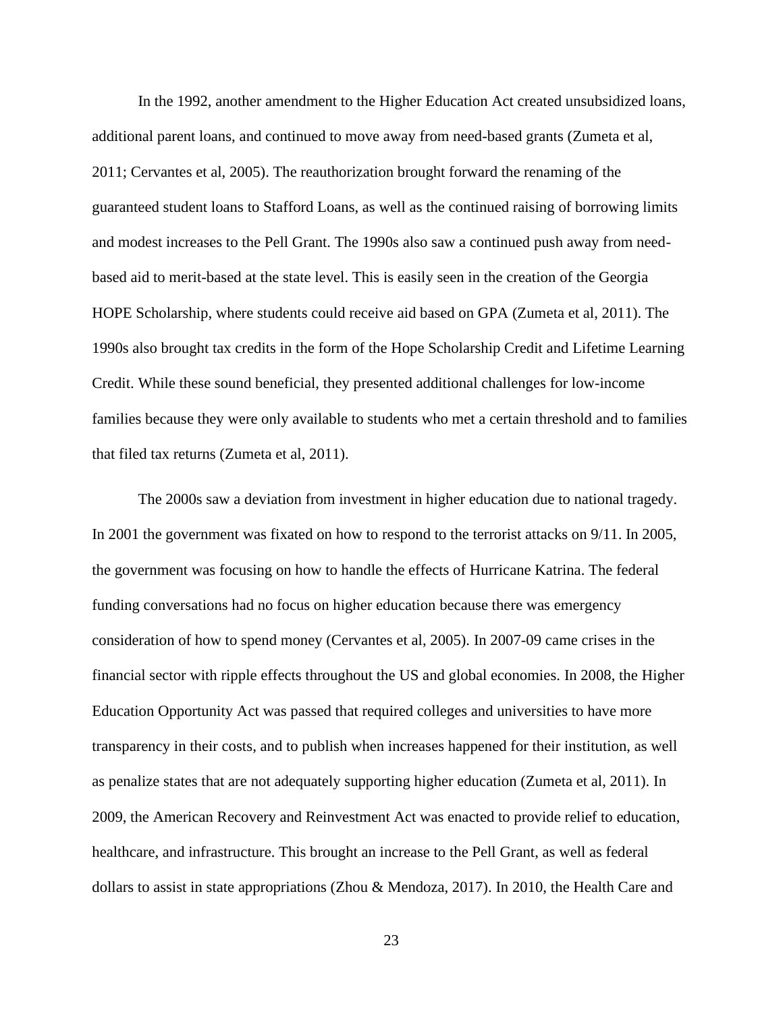In the 1992, another amendment to the Higher Education Act created unsubsidized loans, additional parent loans, and continued to move away from need-based grants (Zumeta et al, 2011; Cervantes et al, 2005). The reauthorization brought forward the renaming of the guaranteed student loans to Stafford Loans, as well as the continued raising of borrowing limits and modest increases to the Pell Grant. The 1990s also saw a continued push away from needbased aid to merit-based at the state level. This is easily seen in the creation of the Georgia HOPE Scholarship, where students could receive aid based on GPA (Zumeta et al, 2011). The 1990s also brought tax credits in the form of the Hope Scholarship Credit and Lifetime Learning Credit. While these sound beneficial, they presented additional challenges for low-income families because they were only available to students who met a certain threshold and to families that filed tax returns (Zumeta et al, 2011).

The 2000s saw a deviation from investment in higher education due to national tragedy. In 2001 the government was fixated on how to respond to the terrorist attacks on 9/11. In 2005, the government was focusing on how to handle the effects of Hurricane Katrina. The federal funding conversations had no focus on higher education because there was emergency consideration of how to spend money (Cervantes et al, 2005). In 2007-09 came crises in the financial sector with ripple effects throughout the US and global economies. In 2008, the Higher Education Opportunity Act was passed that required colleges and universities to have more transparency in their costs, and to publish when increases happened for their institution, as well as penalize states that are not adequately supporting higher education (Zumeta et al, 2011). In 2009, the American Recovery and Reinvestment Act was enacted to provide relief to education, healthcare, and infrastructure. This brought an increase to the Pell Grant, as well as federal dollars to assist in state appropriations (Zhou & Mendoza, 2017). In 2010, the Health Care and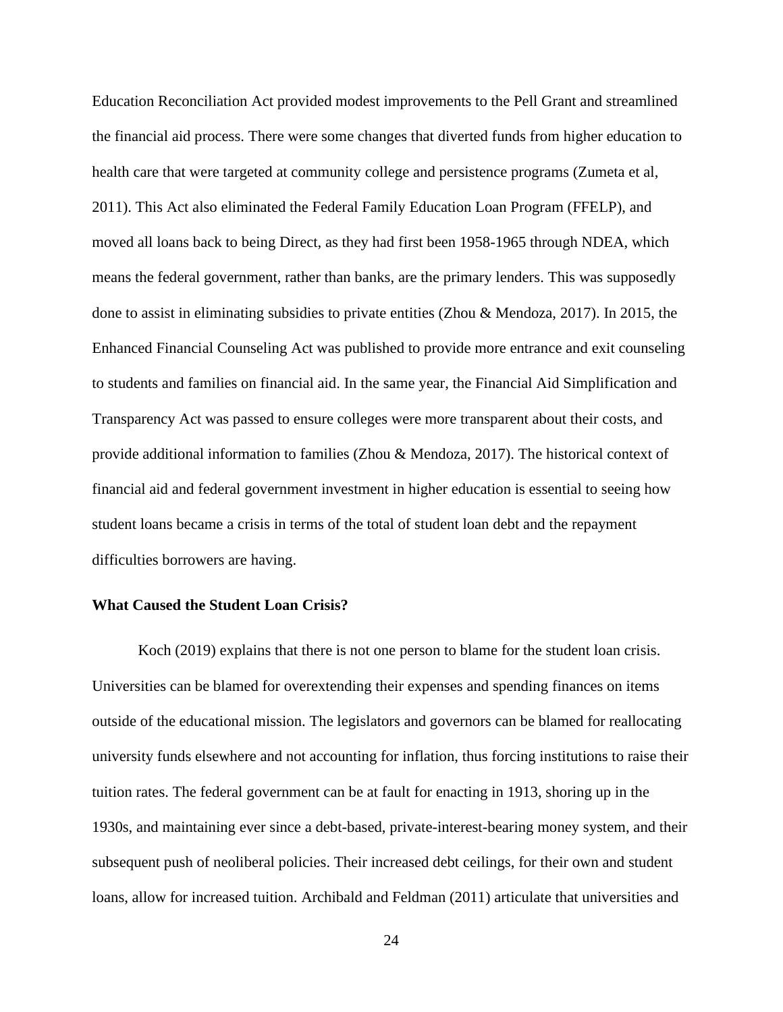Education Reconciliation Act provided modest improvements to the Pell Grant and streamlined the financial aid process. There were some changes that diverted funds from higher education to health care that were targeted at community college and persistence programs (Zumeta et al, 2011). This Act also eliminated the Federal Family Education Loan Program (FFELP), and moved all loans back to being Direct, as they had first been 1958-1965 through NDEA, which means the federal government, rather than banks, are the primary lenders. This was supposedly done to assist in eliminating subsidies to private entities (Zhou & Mendoza, 2017). In 2015, the Enhanced Financial Counseling Act was published to provide more entrance and exit counseling to students and families on financial aid. In the same year, the Financial Aid Simplification and Transparency Act was passed to ensure colleges were more transparent about their costs, and provide additional information to families (Zhou & Mendoza, 2017). The historical context of financial aid and federal government investment in higher education is essential to seeing how student loans became a crisis in terms of the total of student loan debt and the repayment difficulties borrowers are having.

# <span id="page-32-0"></span>**What Caused the Student Loan Crisis?**

Koch (2019) explains that there is not one person to blame for the student loan crisis. Universities can be blamed for overextending their expenses and spending finances on items outside of the educational mission. The legislators and governors can be blamed for reallocating university funds elsewhere and not accounting for inflation, thus forcing institutions to raise their tuition rates. The federal government can be at fault for enacting in 1913, shoring up in the 1930s, and maintaining ever since a debt-based, private-interest-bearing money system, and their subsequent push of neoliberal policies. Their increased debt ceilings, for their own and student loans, allow for increased tuition. Archibald and Feldman (2011) articulate that universities and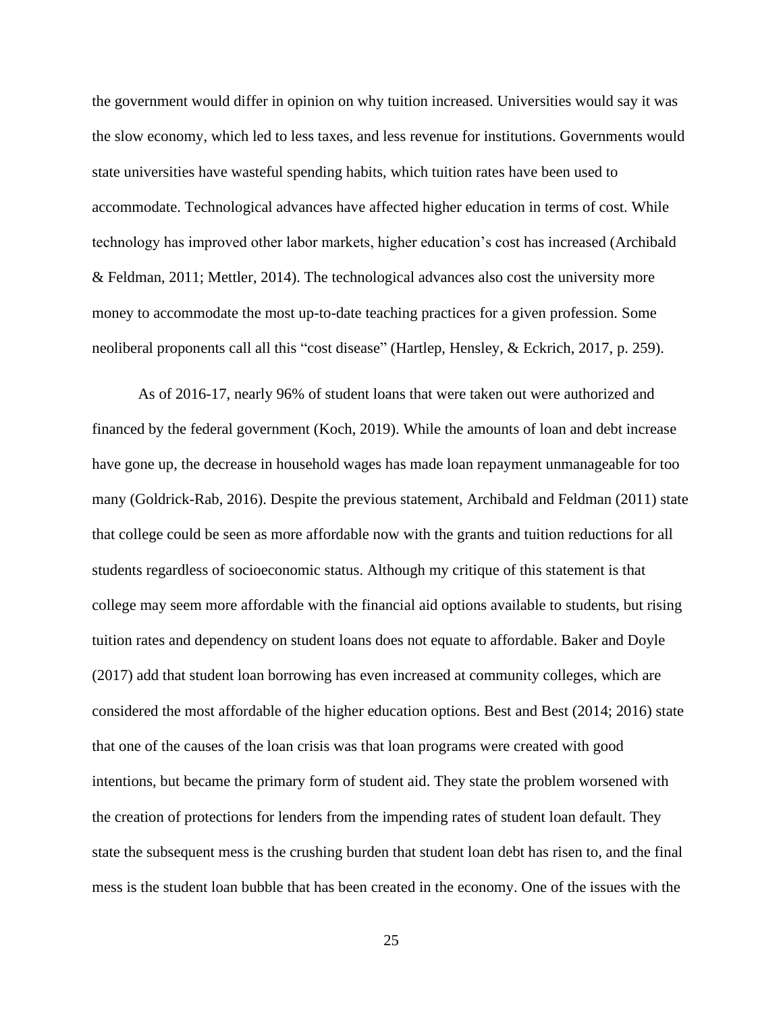the government would differ in opinion on why tuition increased. Universities would say it was the slow economy, which led to less taxes, and less revenue for institutions. Governments would state universities have wasteful spending habits, which tuition rates have been used to accommodate. Technological advances have affected higher education in terms of cost. While technology has improved other labor markets, higher education's cost has increased (Archibald & Feldman, 2011; Mettler, 2014). The technological advances also cost the university more money to accommodate the most up-to-date teaching practices for a given profession. Some neoliberal proponents call all this "cost disease" (Hartlep, Hensley, & Eckrich, 2017, p. 259).

As of 2016-17, nearly 96% of student loans that were taken out were authorized and financed by the federal government (Koch, 2019). While the amounts of loan and debt increase have gone up, the decrease in household wages has made loan repayment unmanageable for too many (Goldrick-Rab, 2016). Despite the previous statement, Archibald and Feldman (2011) state that college could be seen as more affordable now with the grants and tuition reductions for all students regardless of socioeconomic status. Although my critique of this statement is that college may seem more affordable with the financial aid options available to students, but rising tuition rates and dependency on student loans does not equate to affordable. Baker and Doyle (2017) add that student loan borrowing has even increased at community colleges, which are considered the most affordable of the higher education options. Best and Best (2014; 2016) state that one of the causes of the loan crisis was that loan programs were created with good intentions, but became the primary form of student aid. They state the problem worsened with the creation of protections for lenders from the impending rates of student loan default. They state the subsequent mess is the crushing burden that student loan debt has risen to, and the final mess is the student loan bubble that has been created in the economy. One of the issues with the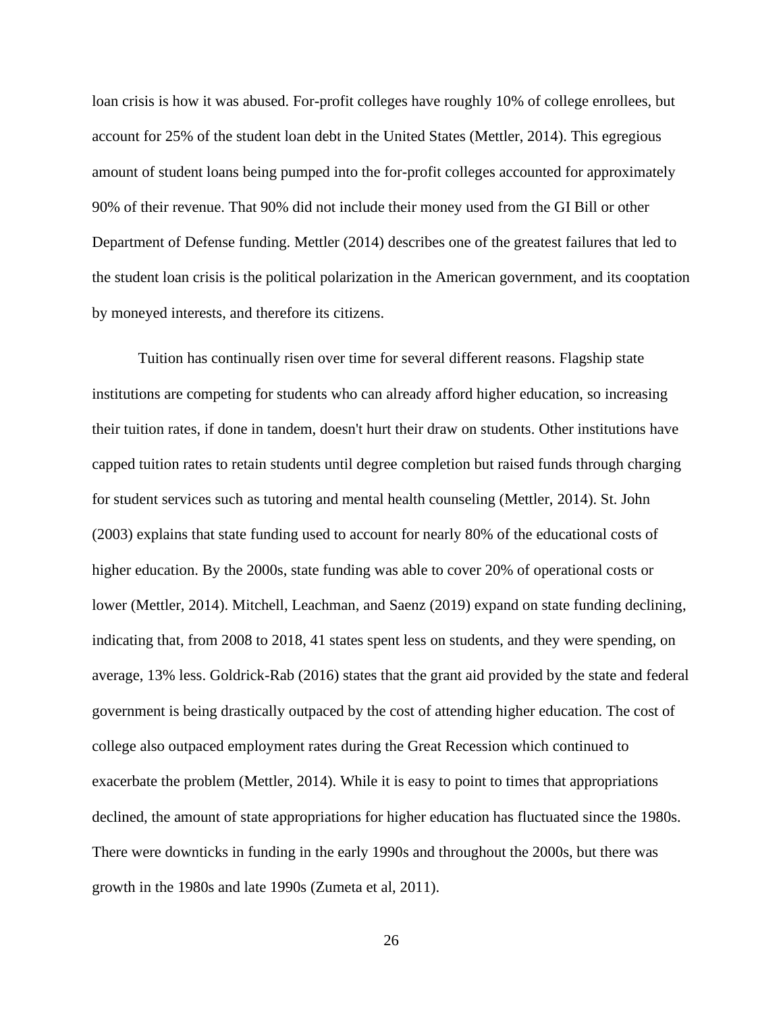loan crisis is how it was abused. For-profit colleges have roughly 10% of college enrollees, but account for 25% of the student loan debt in the United States (Mettler, 2014). This egregious amount of student loans being pumped into the for-profit colleges accounted for approximately 90% of their revenue. That 90% did not include their money used from the GI Bill or other Department of Defense funding. Mettler (2014) describes one of the greatest failures that led to the student loan crisis is the political polarization in the American government, and its cooptation by moneyed interests, and therefore its citizens.

Tuition has continually risen over time for several different reasons. Flagship state institutions are competing for students who can already afford higher education, so increasing their tuition rates, if done in tandem, doesn't hurt their draw on students. Other institutions have capped tuition rates to retain students until degree completion but raised funds through charging for student services such as tutoring and mental health counseling (Mettler, 2014). St. John (2003) explains that state funding used to account for nearly 80% of the educational costs of higher education. By the 2000s, state funding was able to cover 20% of operational costs or lower (Mettler, 2014). Mitchell, Leachman, and Saenz (2019) expand on state funding declining, indicating that, from 2008 to 2018, 41 states spent less on students, and they were spending, on average, 13% less. Goldrick-Rab (2016) states that the grant aid provided by the state and federal government is being drastically outpaced by the cost of attending higher education. The cost of college also outpaced employment rates during the Great Recession which continued to exacerbate the problem (Mettler, 2014). While it is easy to point to times that appropriations declined, the amount of state appropriations for higher education has fluctuated since the 1980s. There were downticks in funding in the early 1990s and throughout the 2000s, but there was growth in the 1980s and late 1990s (Zumeta et al, 2011).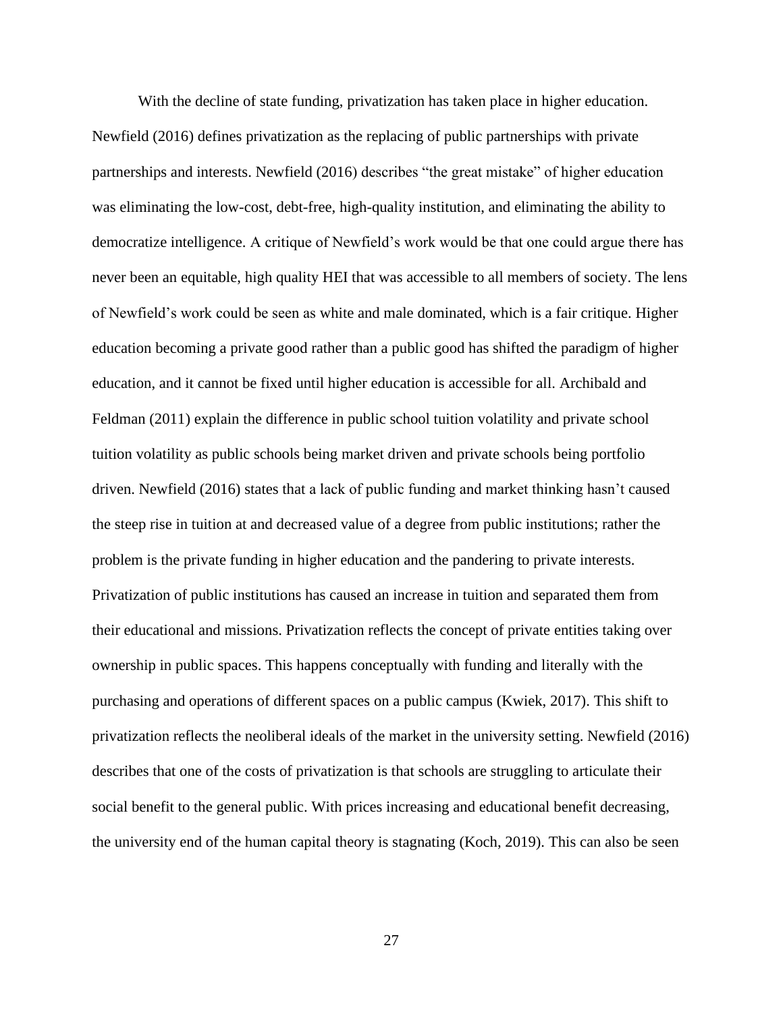With the decline of state funding, privatization has taken place in higher education. Newfield (2016) defines privatization as the replacing of public partnerships with private partnerships and interests. Newfield (2016) describes "the great mistake" of higher education was eliminating the low-cost, debt-free, high-quality institution, and eliminating the ability to democratize intelligence. A critique of Newfield's work would be that one could argue there has never been an equitable, high quality HEI that was accessible to all members of society. The lens of Newfield's work could be seen as white and male dominated, which is a fair critique. Higher education becoming a private good rather than a public good has shifted the paradigm of higher education, and it cannot be fixed until higher education is accessible for all. Archibald and Feldman (2011) explain the difference in public school tuition volatility and private school tuition volatility as public schools being market driven and private schools being portfolio driven. Newfield (2016) states that a lack of public funding and market thinking hasn't caused the steep rise in tuition at and decreased value of a degree from public institutions; rather the problem is the private funding in higher education and the pandering to private interests. Privatization of public institutions has caused an increase in tuition and separated them from their educational and missions. Privatization reflects the concept of private entities taking over ownership in public spaces. This happens conceptually with funding and literally with the purchasing and operations of different spaces on a public campus (Kwiek, 2017). This shift to privatization reflects the neoliberal ideals of the market in the university setting. Newfield (2016) describes that one of the costs of privatization is that schools are struggling to articulate their social benefit to the general public. With prices increasing and educational benefit decreasing, the university end of the human capital theory is stagnating (Koch, 2019). This can also be seen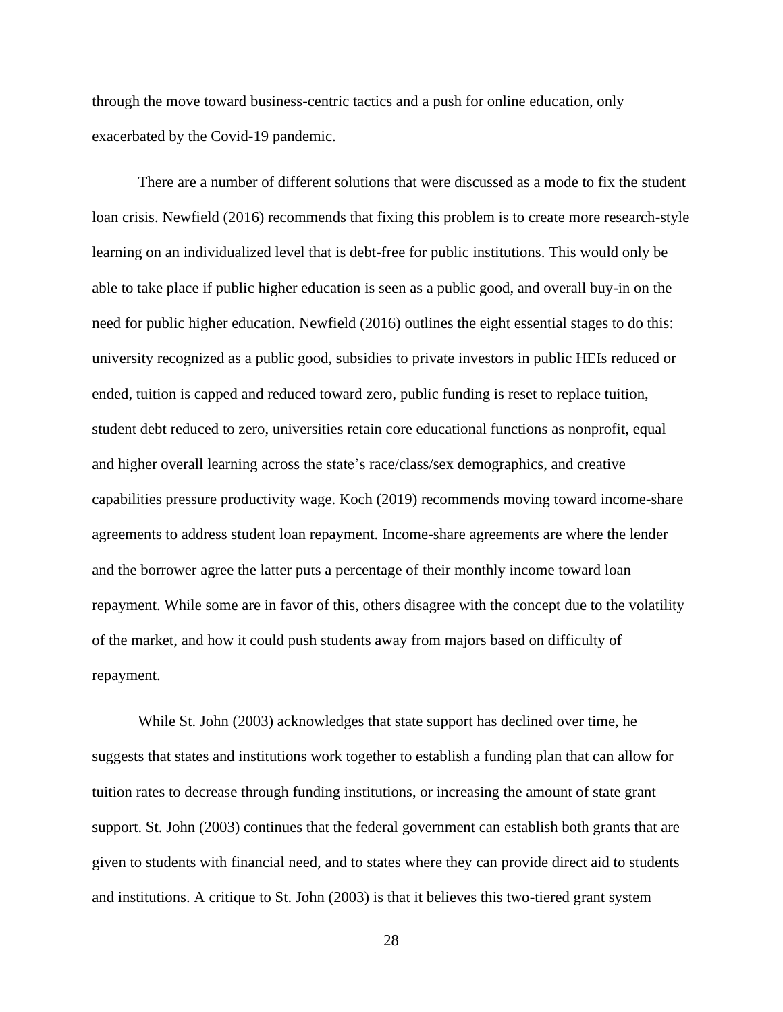through the move toward business-centric tactics and a push for online education, only exacerbated by the Covid-19 pandemic.

There are a number of different solutions that were discussed as a mode to fix the student loan crisis. Newfield (2016) recommends that fixing this problem is to create more research-style learning on an individualized level that is debt-free for public institutions. This would only be able to take place if public higher education is seen as a public good, and overall buy-in on the need for public higher education. Newfield (2016) outlines the eight essential stages to do this: university recognized as a public good, subsidies to private investors in public HEIs reduced or ended, tuition is capped and reduced toward zero, public funding is reset to replace tuition, student debt reduced to zero, universities retain core educational functions as nonprofit, equal and higher overall learning across the state's race/class/sex demographics, and creative capabilities pressure productivity wage. Koch (2019) recommends moving toward income-share agreements to address student loan repayment. Income-share agreements are where the lender and the borrower agree the latter puts a percentage of their monthly income toward loan repayment. While some are in favor of this, others disagree with the concept due to the volatility of the market, and how it could push students away from majors based on difficulty of repayment.

While St. John (2003) acknowledges that state support has declined over time, he suggests that states and institutions work together to establish a funding plan that can allow for tuition rates to decrease through funding institutions, or increasing the amount of state grant support. St. John (2003) continues that the federal government can establish both grants that are given to students with financial need, and to states where they can provide direct aid to students and institutions. A critique to St. John (2003) is that it believes this two-tiered grant system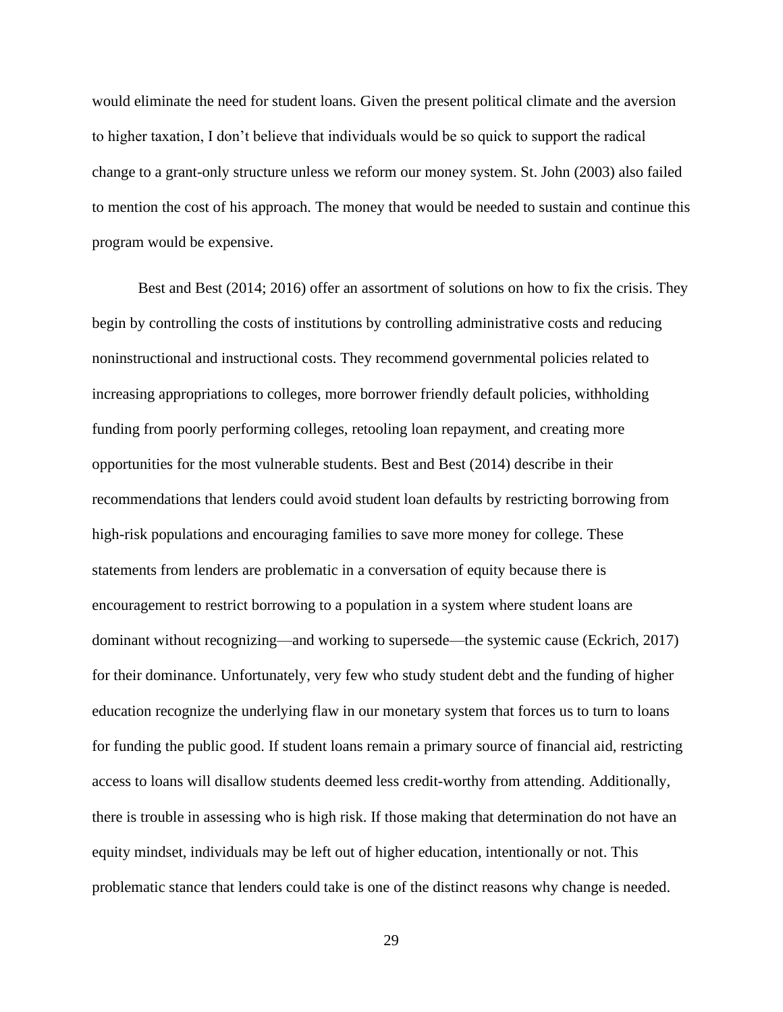would eliminate the need for student loans. Given the present political climate and the aversion to higher taxation, I don't believe that individuals would be so quick to support the radical change to a grant-only structure unless we reform our money system. St. John (2003) also failed to mention the cost of his approach. The money that would be needed to sustain and continue this program would be expensive.

Best and Best (2014; 2016) offer an assortment of solutions on how to fix the crisis. They begin by controlling the costs of institutions by controlling administrative costs and reducing noninstructional and instructional costs. They recommend governmental policies related to increasing appropriations to colleges, more borrower friendly default policies, withholding funding from poorly performing colleges, retooling loan repayment, and creating more opportunities for the most vulnerable students. Best and Best (2014) describe in their recommendations that lenders could avoid student loan defaults by restricting borrowing from high-risk populations and encouraging families to save more money for college. These statements from lenders are problematic in a conversation of equity because there is encouragement to restrict borrowing to a population in a system where student loans are dominant without recognizing—and working to supersede—the systemic cause (Eckrich, 2017) for their dominance. Unfortunately, very few who study student debt and the funding of higher education recognize the underlying flaw in our monetary system that forces us to turn to loans for funding the public good. If student loans remain a primary source of financial aid, restricting access to loans will disallow students deemed less credit-worthy from attending. Additionally, there is trouble in assessing who is high risk. If those making that determination do not have an equity mindset, individuals may be left out of higher education, intentionally or not. This problematic stance that lenders could take is one of the distinct reasons why change is needed.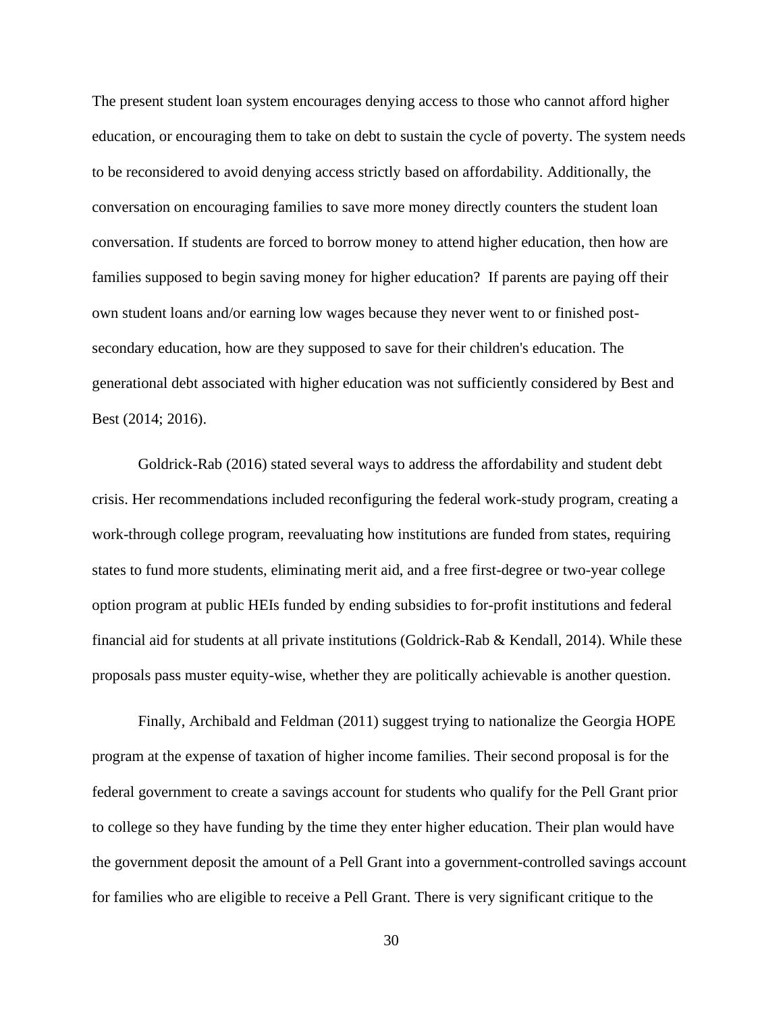The present student loan system encourages denying access to those who cannot afford higher education, or encouraging them to take on debt to sustain the cycle of poverty. The system needs to be reconsidered to avoid denying access strictly based on affordability. Additionally, the conversation on encouraging families to save more money directly counters the student loan conversation. If students are forced to borrow money to attend higher education, then how are families supposed to begin saving money for higher education? If parents are paying off their own student loans and/or earning low wages because they never went to or finished postsecondary education, how are they supposed to save for their children's education. The generational debt associated with higher education was not sufficiently considered by Best and Best (2014; 2016).

Goldrick-Rab (2016) stated several ways to address the affordability and student debt crisis. Her recommendations included reconfiguring the federal work-study program, creating a work-through college program, reevaluating how institutions are funded from states, requiring states to fund more students, eliminating merit aid, and a free first-degree or two-year college option program at public HEIs funded by ending subsidies to for-profit institutions and federal financial aid for students at all private institutions (Goldrick-Rab & Kendall, 2014). While these proposals pass muster equity-wise, whether they are politically achievable is another question.

Finally, Archibald and Feldman (2011) suggest trying to nationalize the Georgia HOPE program at the expense of taxation of higher income families. Their second proposal is for the federal government to create a savings account for students who qualify for the Pell Grant prior to college so they have funding by the time they enter higher education. Their plan would have the government deposit the amount of a Pell Grant into a government-controlled savings account for families who are eligible to receive a Pell Grant. There is very significant critique to the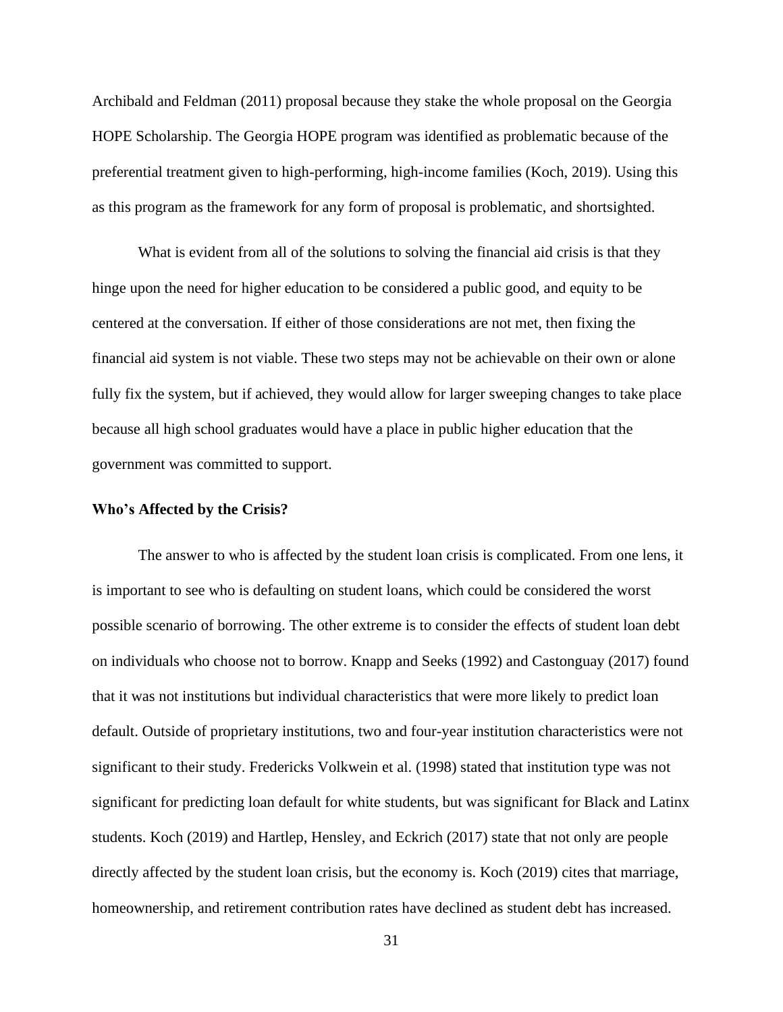Archibald and Feldman (2011) proposal because they stake the whole proposal on the Georgia HOPE Scholarship. The Georgia HOPE program was identified as problematic because of the preferential treatment given to high-performing, high-income families (Koch, 2019). Using this as this program as the framework for any form of proposal is problematic, and shortsighted.

What is evident from all of the solutions to solving the financial aid crisis is that they hinge upon the need for higher education to be considered a public good, and equity to be centered at the conversation. If either of those considerations are not met, then fixing the financial aid system is not viable. These two steps may not be achievable on their own or alone fully fix the system, but if achieved, they would allow for larger sweeping changes to take place because all high school graduates would have a place in public higher education that the government was committed to support.

#### **Who's Affected by the Crisis?**

The answer to who is affected by the student loan crisis is complicated. From one lens, it is important to see who is defaulting on student loans, which could be considered the worst possible scenario of borrowing. The other extreme is to consider the effects of student loan debt on individuals who choose not to borrow. Knapp and Seeks (1992) and Castonguay (2017) found that it was not institutions but individual characteristics that were more likely to predict loan default. Outside of proprietary institutions, two and four-year institution characteristics were not significant to their study. Fredericks Volkwein et al. (1998) stated that institution type was not significant for predicting loan default for white students, but was significant for Black and Latinx students. Koch (2019) and Hartlep, Hensley, and Eckrich (2017) state that not only are people directly affected by the student loan crisis, but the economy is. Koch (2019) cites that marriage, homeownership, and retirement contribution rates have declined as student debt has increased.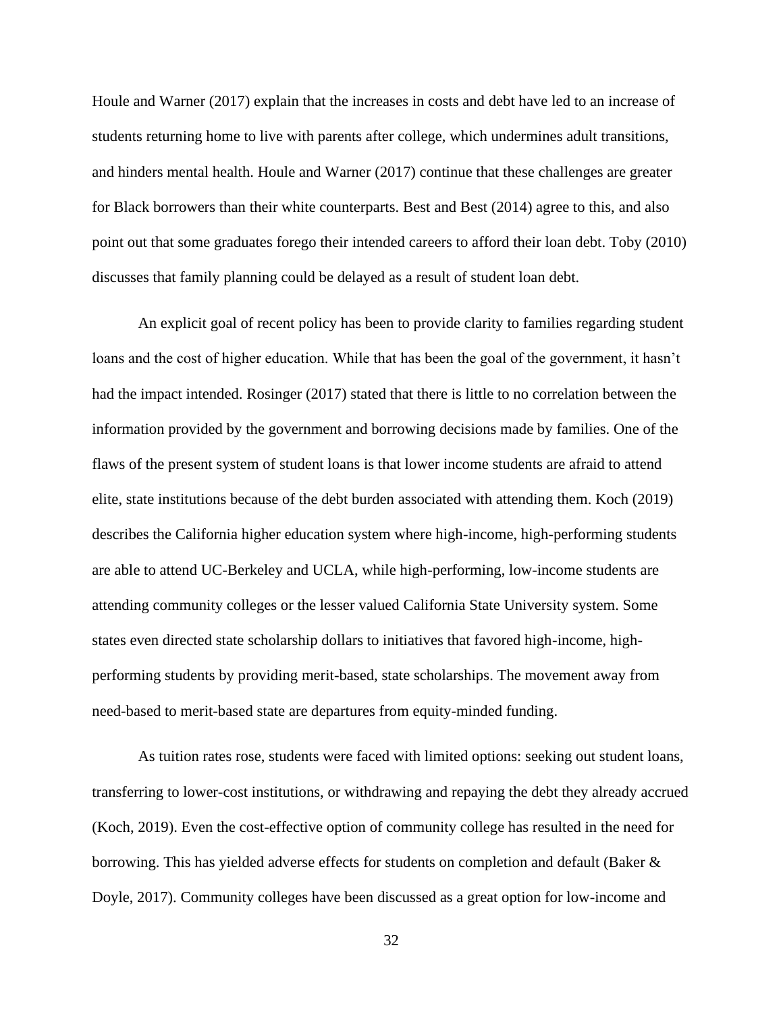Houle and Warner (2017) explain that the increases in costs and debt have led to an increase of students returning home to live with parents after college, which undermines adult transitions, and hinders mental health. Houle and Warner (2017) continue that these challenges are greater for Black borrowers than their white counterparts. Best and Best (2014) agree to this, and also point out that some graduates forego their intended careers to afford their loan debt. Toby (2010) discusses that family planning could be delayed as a result of student loan debt.

An explicit goal of recent policy has been to provide clarity to families regarding student loans and the cost of higher education. While that has been the goal of the government, it hasn't had the impact intended. Rosinger (2017) stated that there is little to no correlation between the information provided by the government and borrowing decisions made by families. One of the flaws of the present system of student loans is that lower income students are afraid to attend elite, state institutions because of the debt burden associated with attending them. Koch (2019) describes the California higher education system where high-income, high-performing students are able to attend UC-Berkeley and UCLA, while high-performing, low-income students are attending community colleges or the lesser valued California State University system. Some states even directed state scholarship dollars to initiatives that favored high-income, highperforming students by providing merit-based, state scholarships. The movement away from need-based to merit-based state are departures from equity-minded funding.

As tuition rates rose, students were faced with limited options: seeking out student loans, transferring to lower-cost institutions, or withdrawing and repaying the debt they already accrued (Koch, 2019). Even the cost-effective option of community college has resulted in the need for borrowing. This has yielded adverse effects for students on completion and default (Baker & Doyle, 2017). Community colleges have been discussed as a great option for low-income and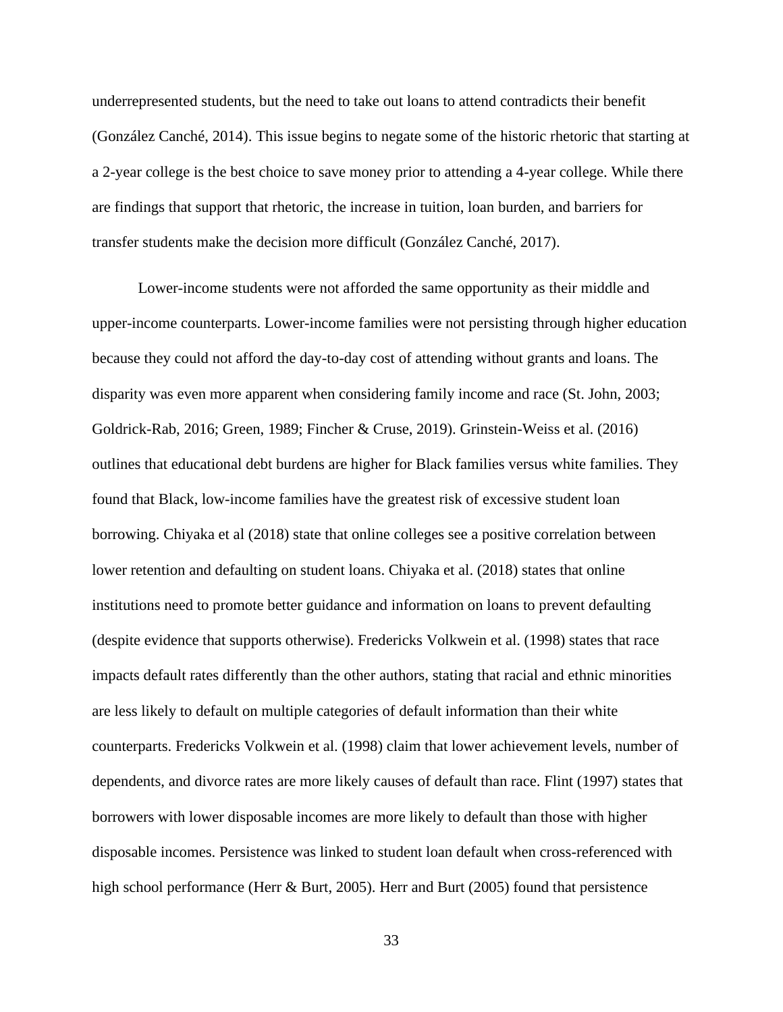underrepresented students, but the need to take out loans to attend contradicts their benefit (González Canché, 2014). This issue begins to negate some of the historic rhetoric that starting at a 2-year college is the best choice to save money prior to attending a 4-year college. While there are findings that support that rhetoric, the increase in tuition, loan burden, and barriers for transfer students make the decision more difficult (González Canché, 2017).

Lower-income students were not afforded the same opportunity as their middle and upper-income counterparts. Lower-income families were not persisting through higher education because they could not afford the day-to-day cost of attending without grants and loans. The disparity was even more apparent when considering family income and race (St. John, 2003; Goldrick-Rab, 2016; Green, 1989; Fincher & Cruse, 2019). Grinstein-Weiss et al. (2016) outlines that educational debt burdens are higher for Black families versus white families. They found that Black, low-income families have the greatest risk of excessive student loan borrowing. Chiyaka et al (2018) state that online colleges see a positive correlation between lower retention and defaulting on student loans. Chiyaka et al. (2018) states that online institutions need to promote better guidance and information on loans to prevent defaulting (despite evidence that supports otherwise). Fredericks Volkwein et al. (1998) states that race impacts default rates differently than the other authors, stating that racial and ethnic minorities are less likely to default on multiple categories of default information than their white counterparts. Fredericks Volkwein et al. (1998) claim that lower achievement levels, number of dependents, and divorce rates are more likely causes of default than race. Flint (1997) states that borrowers with lower disposable incomes are more likely to default than those with higher disposable incomes. Persistence was linked to student loan default when cross-referenced with high school performance (Herr & Burt, 2005). Herr and Burt (2005) found that persistence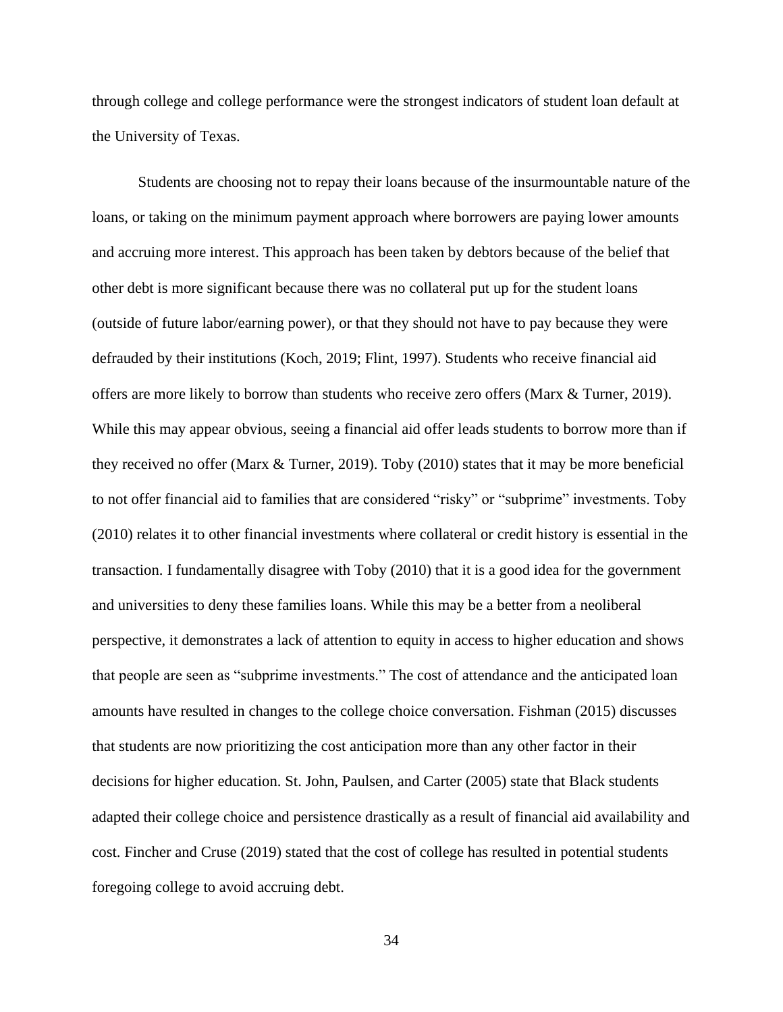through college and college performance were the strongest indicators of student loan default at the University of Texas.

Students are choosing not to repay their loans because of the insurmountable nature of the loans, or taking on the minimum payment approach where borrowers are paying lower amounts and accruing more interest. This approach has been taken by debtors because of the belief that other debt is more significant because there was no collateral put up for the student loans (outside of future labor/earning power), or that they should not have to pay because they were defrauded by their institutions (Koch, 2019; Flint, 1997). Students who receive financial aid offers are more likely to borrow than students who receive zero offers (Marx & Turner, 2019). While this may appear obvious, seeing a financial aid offer leads students to borrow more than if they received no offer (Marx & Turner, 2019). Toby (2010) states that it may be more beneficial to not offer financial aid to families that are considered "risky" or "subprime" investments. Toby (2010) relates it to other financial investments where collateral or credit history is essential in the transaction. I fundamentally disagree with Toby (2010) that it is a good idea for the government and universities to deny these families loans. While this may be a better from a neoliberal perspective, it demonstrates a lack of attention to equity in access to higher education and shows that people are seen as "subprime investments." The cost of attendance and the anticipated loan amounts have resulted in changes to the college choice conversation. Fishman (2015) discusses that students are now prioritizing the cost anticipation more than any other factor in their decisions for higher education. St. John, Paulsen, and Carter (2005) state that Black students adapted their college choice and persistence drastically as a result of financial aid availability and cost. Fincher and Cruse (2019) stated that the cost of college has resulted in potential students foregoing college to avoid accruing debt.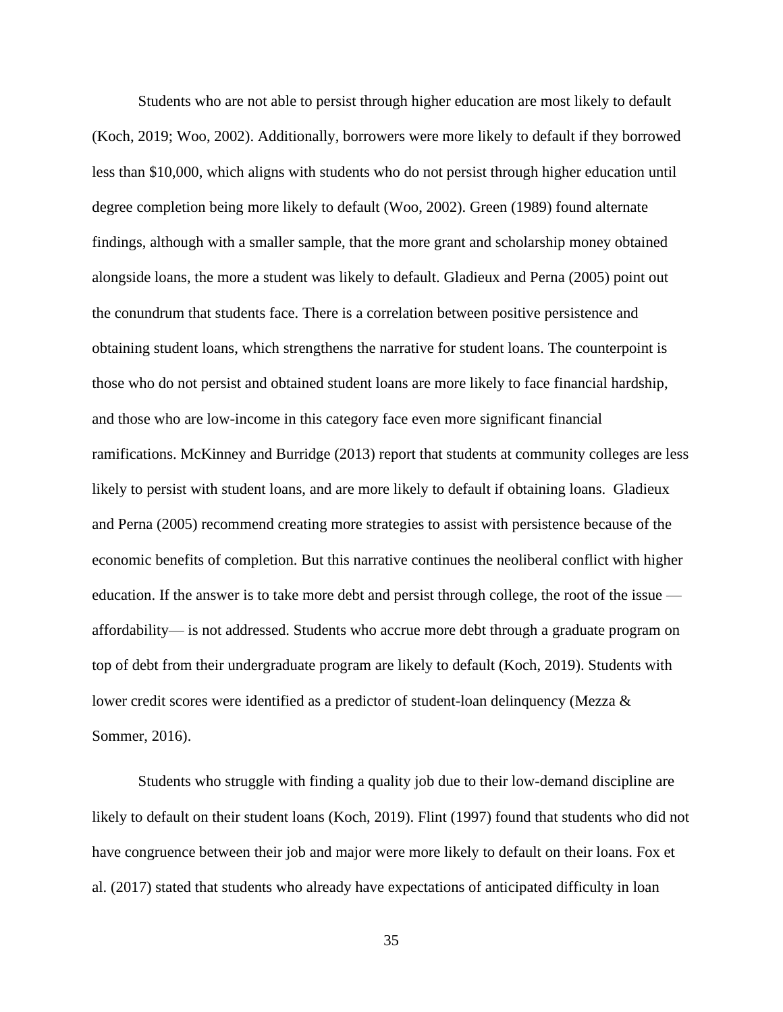Students who are not able to persist through higher education are most likely to default (Koch, 2019; Woo, 2002). Additionally, borrowers were more likely to default if they borrowed less than \$10,000, which aligns with students who do not persist through higher education until degree completion being more likely to default (Woo, 2002). Green (1989) found alternate findings, although with a smaller sample, that the more grant and scholarship money obtained alongside loans, the more a student was likely to default. Gladieux and Perna (2005) point out the conundrum that students face. There is a correlation between positive persistence and obtaining student loans, which strengthens the narrative for student loans. The counterpoint is those who do not persist and obtained student loans are more likely to face financial hardship, and those who are low-income in this category face even more significant financial ramifications. McKinney and Burridge (2013) report that students at community colleges are less likely to persist with student loans, and are more likely to default if obtaining loans. Gladieux and Perna (2005) recommend creating more strategies to assist with persistence because of the economic benefits of completion. But this narrative continues the neoliberal conflict with higher education. If the answer is to take more debt and persist through college, the root of the issue affordability— is not addressed. Students who accrue more debt through a graduate program on top of debt from their undergraduate program are likely to default (Koch, 2019). Students with lower credit scores were identified as a predictor of student-loan delinquency (Mezza  $\&$ Sommer, 2016).

Students who struggle with finding a quality job due to their low-demand discipline are likely to default on their student loans (Koch, 2019). Flint (1997) found that students who did not have congruence between their job and major were more likely to default on their loans. Fox et al. (2017) stated that students who already have expectations of anticipated difficulty in loan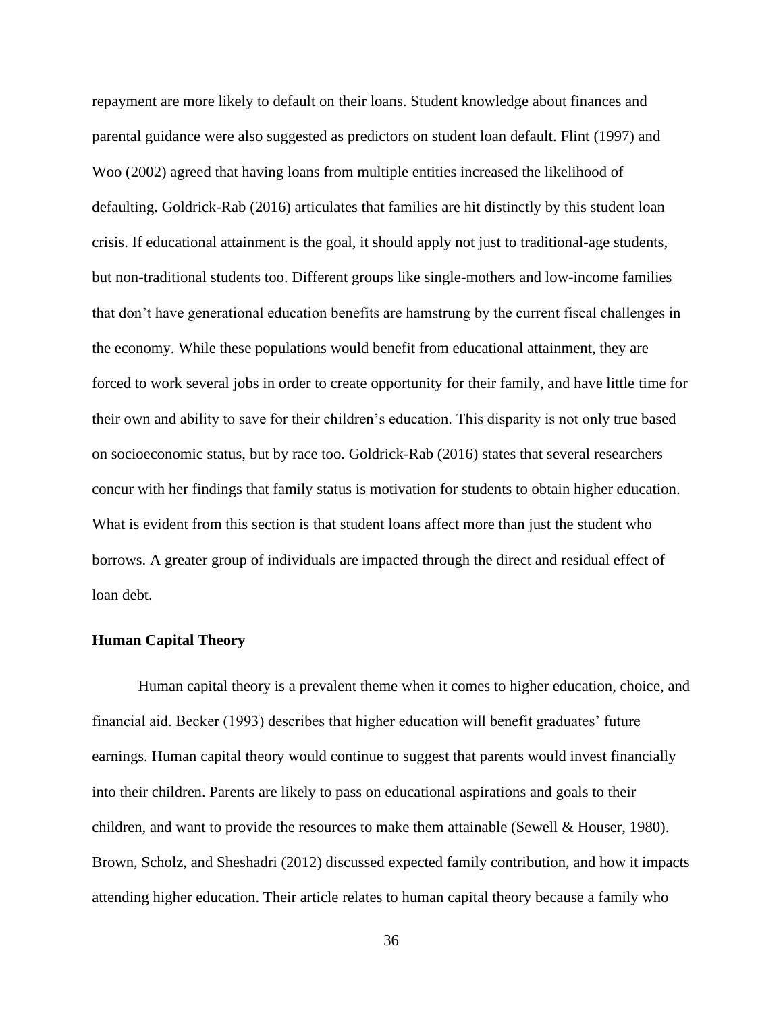repayment are more likely to default on their loans. Student knowledge about finances and parental guidance were also suggested as predictors on student loan default. Flint (1997) and Woo (2002) agreed that having loans from multiple entities increased the likelihood of defaulting. Goldrick-Rab (2016) articulates that families are hit distinctly by this student loan crisis. If educational attainment is the goal, it should apply not just to traditional-age students, but non-traditional students too. Different groups like single-mothers and low-income families that don't have generational education benefits are hamstrung by the current fiscal challenges in the economy. While these populations would benefit from educational attainment, they are forced to work several jobs in order to create opportunity for their family, and have little time for their own and ability to save for their children's education. This disparity is not only true based on socioeconomic status, but by race too. Goldrick-Rab (2016) states that several researchers concur with her findings that family status is motivation for students to obtain higher education. What is evident from this section is that student loans affect more than just the student who borrows. A greater group of individuals are impacted through the direct and residual effect of loan debt.

# **Human Capital Theory**

Human capital theory is a prevalent theme when it comes to higher education, choice, and financial aid. Becker (1993) describes that higher education will benefit graduates' future earnings. Human capital theory would continue to suggest that parents would invest financially into their children. Parents are likely to pass on educational aspirations and goals to their children, and want to provide the resources to make them attainable (Sewell & Houser, 1980). Brown, Scholz, and Sheshadri (2012) discussed expected family contribution, and how it impacts attending higher education. Their article relates to human capital theory because a family who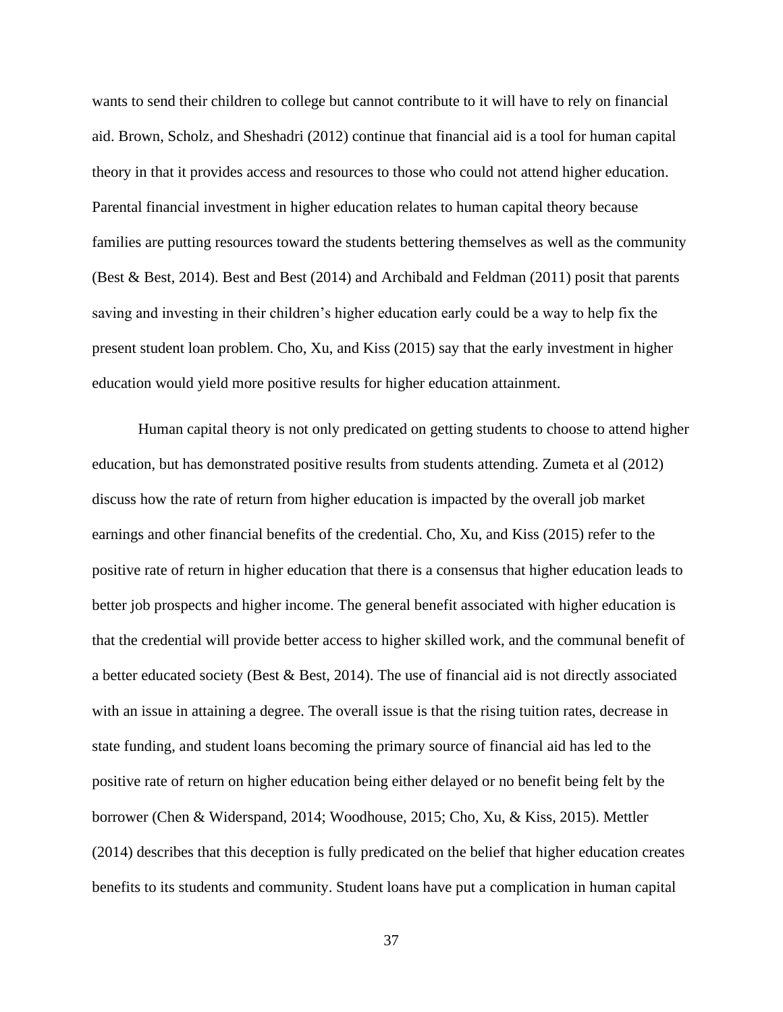wants to send their children to college but cannot contribute to it will have to rely on financial aid. Brown, Scholz, and Sheshadri (2012) continue that financial aid is a tool for human capital theory in that it provides access and resources to those who could not attend higher education. Parental financial investment in higher education relates to human capital theory because families are putting resources toward the students bettering themselves as well as the community (Best & Best, 2014). Best and Best (2014) and Archibald and Feldman (2011) posit that parents saving and investing in their children's higher education early could be a way to help fix the present student loan problem. Cho, Xu, and Kiss (2015) say that the early investment in higher education would yield more positive results for higher education attainment.

Human capital theory is not only predicated on getting students to choose to attend higher education, but has demonstrated positive results from students attending. Zumeta et al (2012) discuss how the rate of return from higher education is impacted by the overall job market earnings and other financial benefits of the credential. Cho, Xu, and Kiss (2015) refer to the positive rate of return in higher education that there is a consensus that higher education leads to better job prospects and higher income. The general benefit associated with higher education is that the credential will provide better access to higher skilled work, and the communal benefit of a better educated society (Best & Best, 2014). The use of financial aid is not directly associated with an issue in attaining a degree. The overall issue is that the rising tuition rates, decrease in state funding, and student loans becoming the primary source of financial aid has led to the positive rate of return on higher education being either delayed or no benefit being felt by the borrower (Chen & Widerspand, 2014; Woodhouse, 2015; Cho, Xu, & Kiss, 2015). Mettler (2014) describes that this deception is fully predicated on the belief that higher education creates benefits to its students and community. Student loans have put a complication in human capital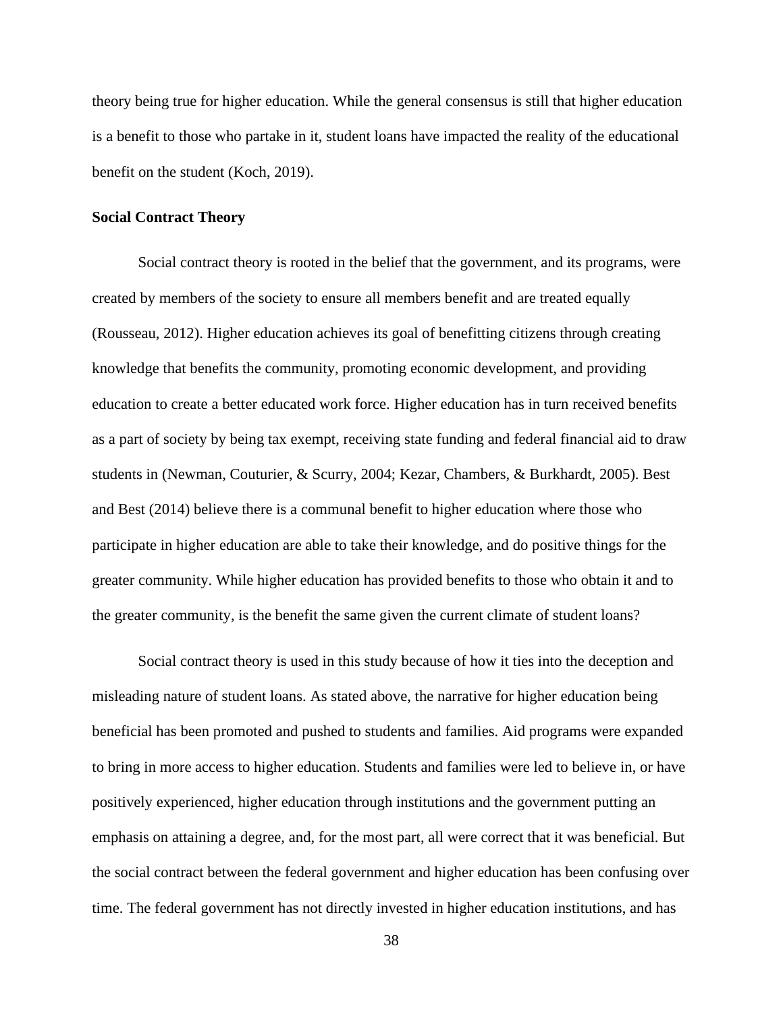theory being true for higher education. While the general consensus is still that higher education is a benefit to those who partake in it, student loans have impacted the reality of the educational benefit on the student (Koch, 2019).

# **Social Contract Theory**

Social contract theory is rooted in the belief that the government, and its programs, were created by members of the society to ensure all members benefit and are treated equally (Rousseau, 2012). Higher education achieves its goal of benefitting citizens through creating knowledge that benefits the community, promoting economic development, and providing education to create a better educated work force. Higher education has in turn received benefits as a part of society by being tax exempt, receiving state funding and federal financial aid to draw students in (Newman, Couturier, & Scurry, 2004; Kezar, Chambers, & Burkhardt, 2005). Best and Best (2014) believe there is a communal benefit to higher education where those who participate in higher education are able to take their knowledge, and do positive things for the greater community. While higher education has provided benefits to those who obtain it and to the greater community, is the benefit the same given the current climate of student loans?

Social contract theory is used in this study because of how it ties into the deception and misleading nature of student loans. As stated above, the narrative for higher education being beneficial has been promoted and pushed to students and families. Aid programs were expanded to bring in more access to higher education. Students and families were led to believe in, or have positively experienced, higher education through institutions and the government putting an emphasis on attaining a degree, and, for the most part, all were correct that it was beneficial. But the social contract between the federal government and higher education has been confusing over time. The federal government has not directly invested in higher education institutions, and has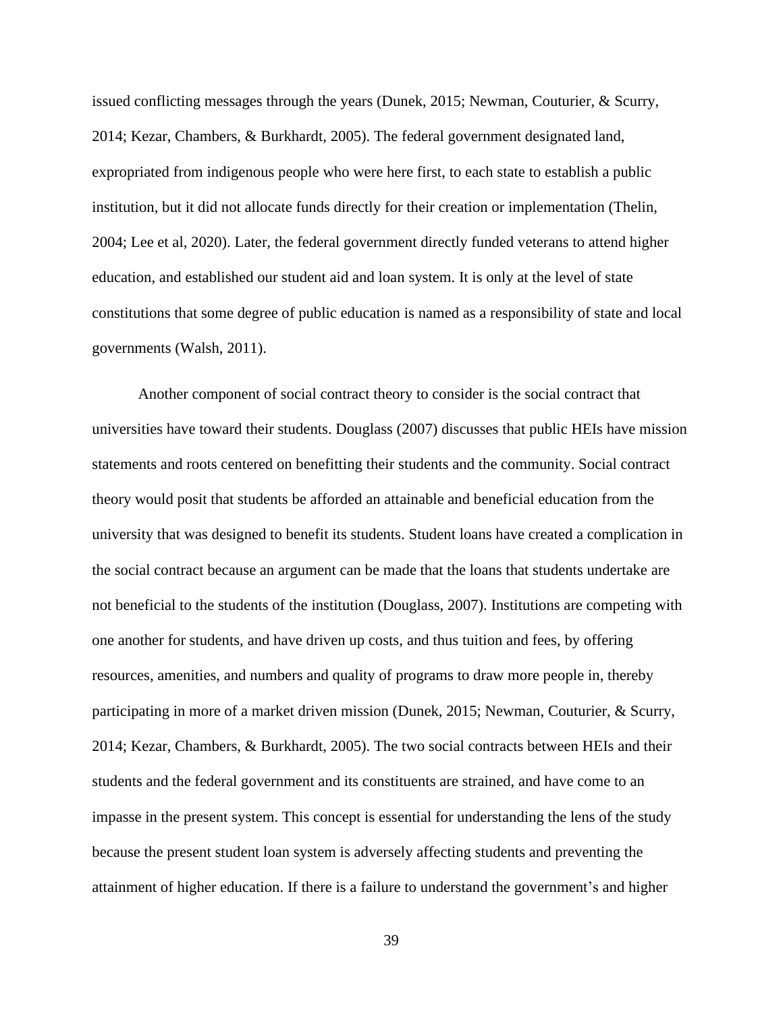issued conflicting messages through the years (Dunek, 2015; Newman, Couturier, & Scurry, 2014; Kezar, Chambers, & Burkhardt, 2005). The federal government designated land, expropriated from indigenous people who were here first, to each state to establish a public institution, but it did not allocate funds directly for their creation or implementation (Thelin, 2004; Lee et al, 2020). Later, the federal government directly funded veterans to attend higher education, and established our student aid and loan system. It is only at the level of state constitutions that some degree of public education is named as a responsibility of state and local governments (Walsh, 2011).

Another component of social contract theory to consider is the social contract that universities have toward their students. Douglass (2007) discusses that public HEIs have mission statements and roots centered on benefitting their students and the community. Social contract theory would posit that students be afforded an attainable and beneficial education from the university that was designed to benefit its students. Student loans have created a complication in the social contract because an argument can be made that the loans that students undertake are not beneficial to the students of the institution (Douglass, 2007). Institutions are competing with one another for students, and have driven up costs, and thus tuition and fees, by offering resources, amenities, and numbers and quality of programs to draw more people in, thereby participating in more of a market driven mission (Dunek, 2015; Newman, Couturier, & Scurry, 2014; Kezar, Chambers, & Burkhardt, 2005). The two social contracts between HEIs and their students and the federal government and its constituents are strained, and have come to an impasse in the present system. This concept is essential for understanding the lens of the study because the present student loan system is adversely affecting students and preventing the attainment of higher education. If there is a failure to understand the government's and higher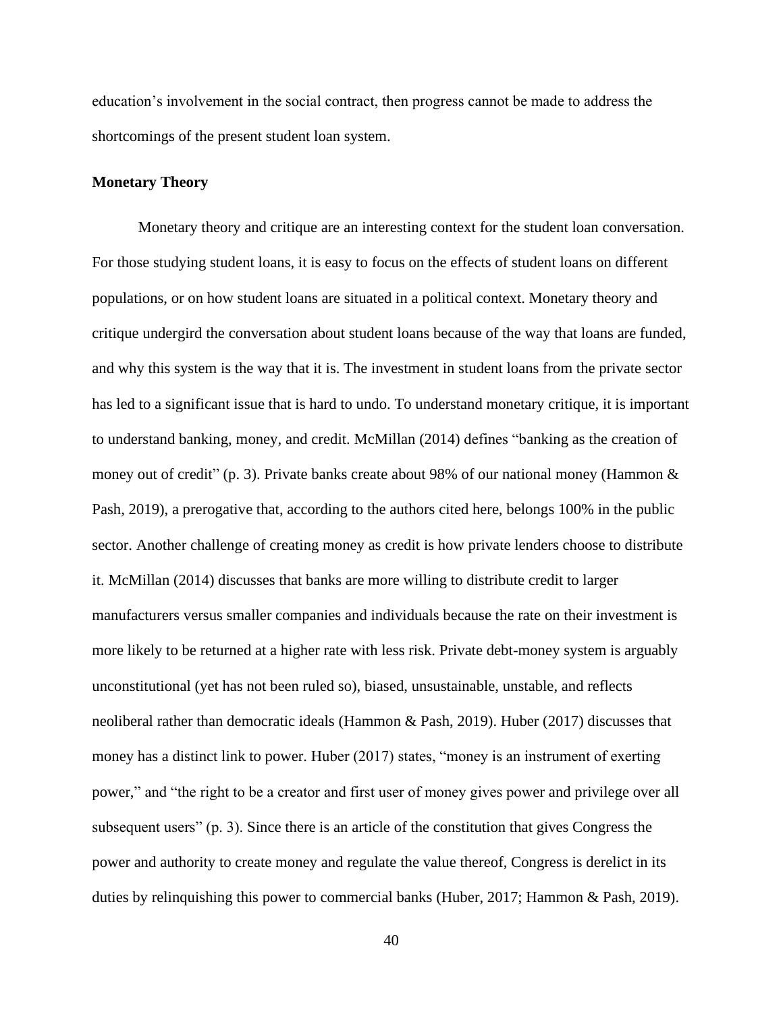education's involvement in the social contract, then progress cannot be made to address the shortcomings of the present student loan system.

# **Monetary Theory**

Monetary theory and critique are an interesting context for the student loan conversation. For those studying student loans, it is easy to focus on the effects of student loans on different populations, or on how student loans are situated in a political context. Monetary theory and critique undergird the conversation about student loans because of the way that loans are funded, and why this system is the way that it is. The investment in student loans from the private sector has led to a significant issue that is hard to undo. To understand monetary critique, it is important to understand banking, money, and credit. McMillan (2014) defines "banking as the creation of money out of credit" (p. 3). Private banks create about 98% of our national money (Hammon & Pash, 2019), a prerogative that, according to the authors cited here, belongs 100% in the public sector. Another challenge of creating money as credit is how private lenders choose to distribute it. McMillan (2014) discusses that banks are more willing to distribute credit to larger manufacturers versus smaller companies and individuals because the rate on their investment is more likely to be returned at a higher rate with less risk. Private debt-money system is arguably unconstitutional (yet has not been ruled so), biased, unsustainable, unstable, and reflects neoliberal rather than democratic ideals (Hammon & Pash, 2019). Huber (2017) discusses that money has a distinct link to power. Huber (2017) states, "money is an instrument of exerting power," and "the right to be a creator and first user of money gives power and privilege over all subsequent users" (p. 3). Since there is an article of the constitution that gives Congress the power and authority to create money and regulate the value thereof, Congress is derelict in its duties by relinquishing this power to commercial banks (Huber, 2017; Hammon & Pash, 2019).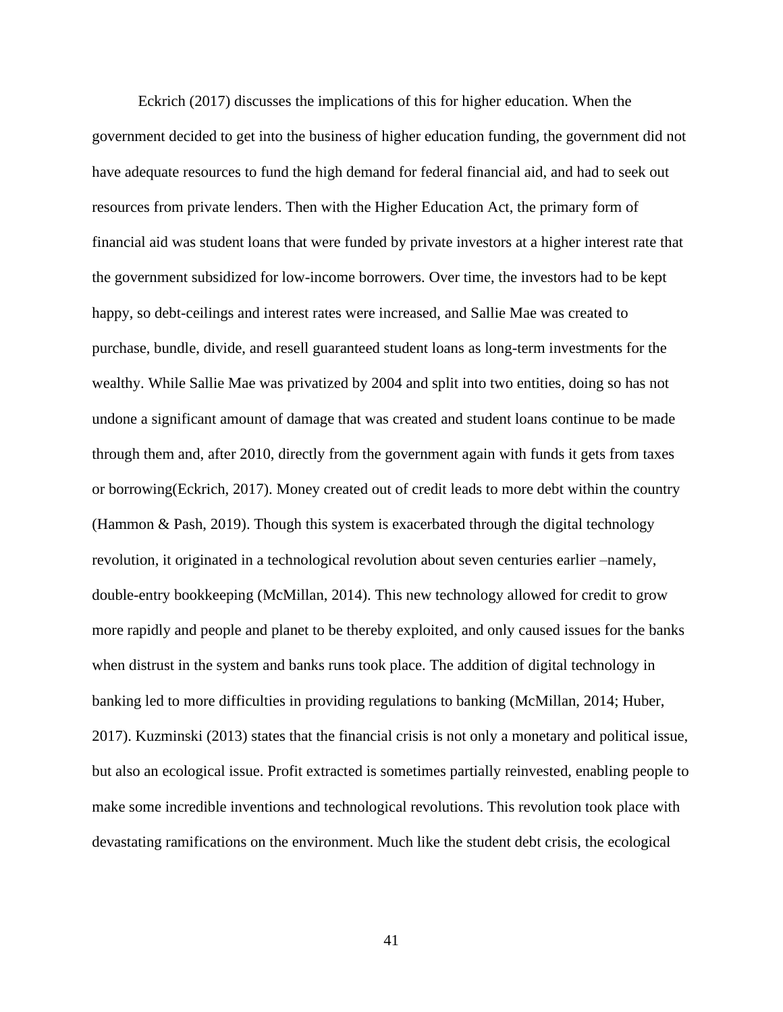Eckrich (2017) discusses the implications of this for higher education. When the government decided to get into the business of higher education funding, the government did not have adequate resources to fund the high demand for federal financial aid, and had to seek out resources from private lenders. Then with the Higher Education Act, the primary form of financial aid was student loans that were funded by private investors at a higher interest rate that the government subsidized for low-income borrowers. Over time, the investors had to be kept happy, so debt-ceilings and interest rates were increased, and Sallie Mae was created to purchase, bundle, divide, and resell guaranteed student loans as long-term investments for the wealthy. While Sallie Mae was privatized by 2004 and split into two entities, doing so has not undone a significant amount of damage that was created and student loans continue to be made through them and, after 2010, directly from the government again with funds it gets from taxes or borrowing(Eckrich, 2017). Money created out of credit leads to more debt within the country (Hammon & Pash, 2019). Though this system is exacerbated through the digital technology revolution, it originated in a technological revolution about seven centuries earlier –namely, double-entry bookkeeping (McMillan, 2014). This new technology allowed for credit to grow more rapidly and people and planet to be thereby exploited, and only caused issues for the banks when distrust in the system and banks runs took place. The addition of digital technology in banking led to more difficulties in providing regulations to banking (McMillan, 2014; Huber, 2017). Kuzminski (2013) states that the financial crisis is not only a monetary and political issue, but also an ecological issue. Profit extracted is sometimes partially reinvested, enabling people to make some incredible inventions and technological revolutions. This revolution took place with devastating ramifications on the environment. Much like the student debt crisis, the ecological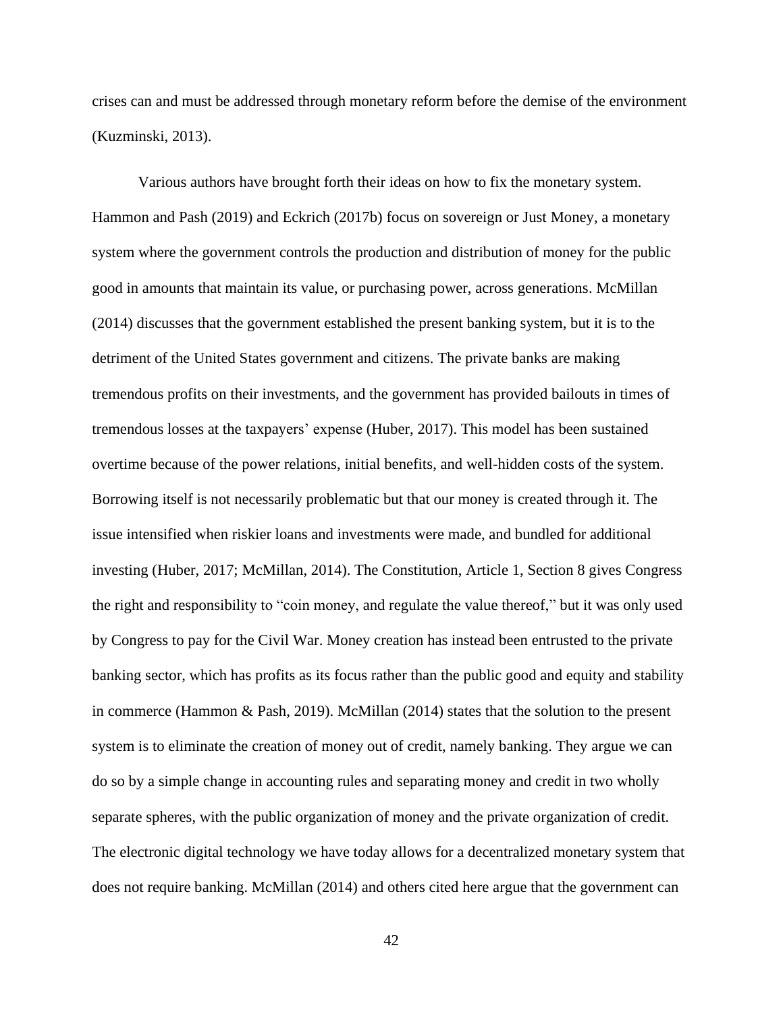crises can and must be addressed through monetary reform before the demise of the environment (Kuzminski, 2013).

Various authors have brought forth their ideas on how to fix the monetary system. Hammon and Pash (2019) and Eckrich (2017b) focus on sovereign or Just Money, a monetary system where the government controls the production and distribution of money for the public good in amounts that maintain its value, or purchasing power, across generations. McMillan (2014) discusses that the government established the present banking system, but it is to the detriment of the United States government and citizens. The private banks are making tremendous profits on their investments, and the government has provided bailouts in times of tremendous losses at the taxpayers' expense (Huber, 2017). This model has been sustained overtime because of the power relations, initial benefits, and well-hidden costs of the system. Borrowing itself is not necessarily problematic but that our money is created through it. The issue intensified when riskier loans and investments were made, and bundled for additional investing (Huber, 2017; McMillan, 2014). The Constitution, Article 1, Section 8 gives Congress the right and responsibility to "coin money, and regulate the value thereof," but it was only used by Congress to pay for the Civil War. Money creation has instead been entrusted to the private banking sector, which has profits as its focus rather than the public good and equity and stability in commerce (Hammon & Pash, 2019). McMillan (2014) states that the solution to the present system is to eliminate the creation of money out of credit, namely banking. They argue we can do so by a simple change in accounting rules and separating money and credit in two wholly separate spheres, with the public organization of money and the private organization of credit. The electronic digital technology we have today allows for a decentralized monetary system that does not require banking. McMillan (2014) and others cited here argue that the government can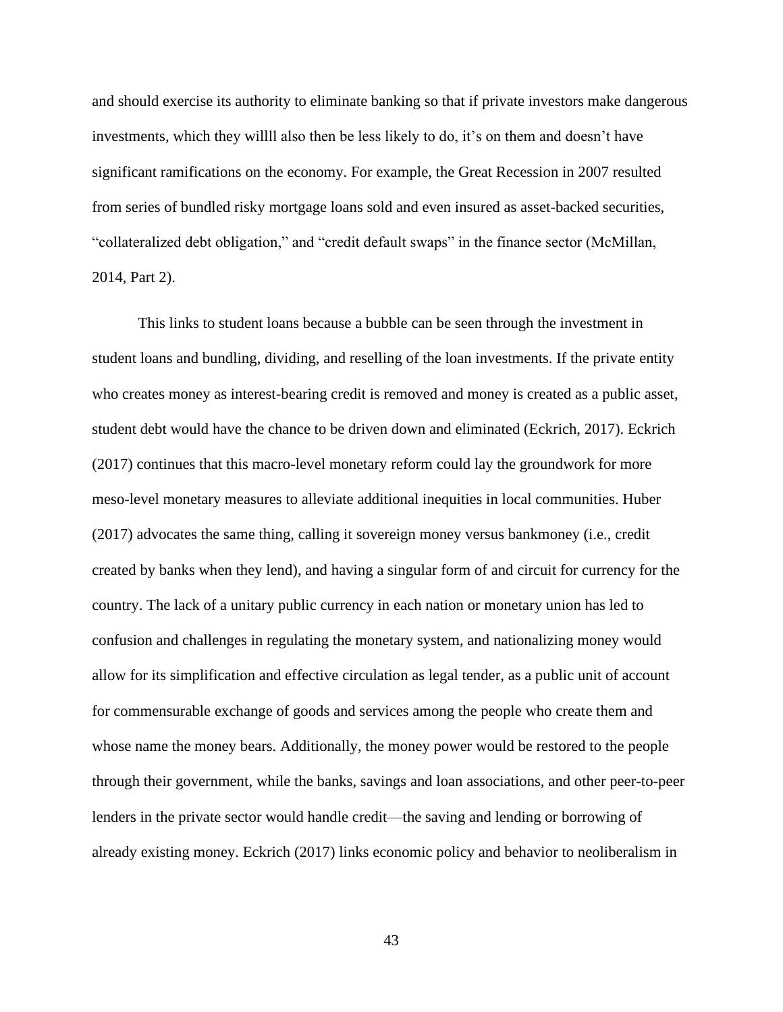and should exercise its authority to eliminate banking so that if private investors make dangerous investments, which they willll also then be less likely to do, it's on them and doesn't have significant ramifications on the economy. For example, the Great Recession in 2007 resulted from series of bundled risky mortgage loans sold and even insured as asset-backed securities, "collateralized debt obligation," and "credit default swaps" in the finance sector (McMillan, 2014, Part 2).

This links to student loans because a bubble can be seen through the investment in student loans and bundling, dividing, and reselling of the loan investments. If the private entity who creates money as interest-bearing credit is removed and money is created as a public asset, student debt would have the chance to be driven down and eliminated (Eckrich, 2017). Eckrich (2017) continues that this macro-level monetary reform could lay the groundwork for more meso-level monetary measures to alleviate additional inequities in local communities. Huber (2017) advocates the same thing, calling it sovereign money versus bankmoney (i.e., credit created by banks when they lend), and having a singular form of and circuit for currency for the country. The lack of a unitary public currency in each nation or monetary union has led to confusion and challenges in regulating the monetary system, and nationalizing money would allow for its simplification and effective circulation as legal tender, as a public unit of account for commensurable exchange of goods and services among the people who create them and whose name the money bears. Additionally, the money power would be restored to the people through their government, while the banks, savings and loan associations, and other peer-to-peer lenders in the private sector would handle credit—the saving and lending or borrowing of already existing money. Eckrich (2017) links economic policy and behavior to neoliberalism in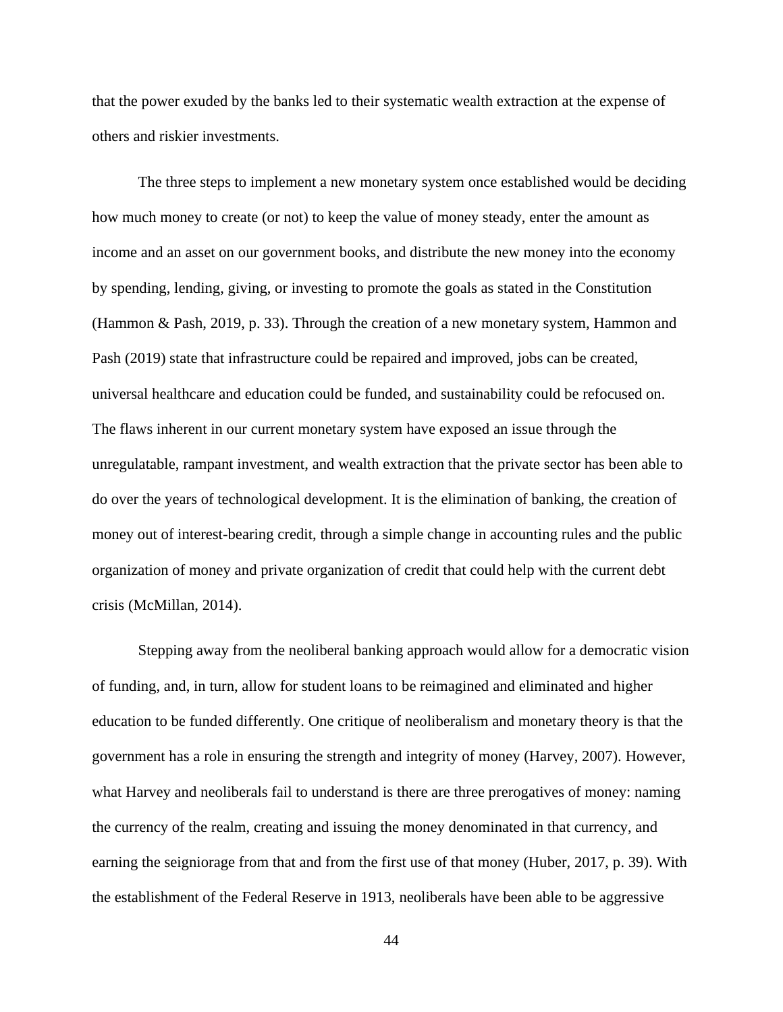that the power exuded by the banks led to their systematic wealth extraction at the expense of others and riskier investments.

The three steps to implement a new monetary system once established would be deciding how much money to create (or not) to keep the value of money steady, enter the amount as income and an asset on our government books, and distribute the new money into the economy by spending, lending, giving, or investing to promote the goals as stated in the Constitution (Hammon & Pash, 2019, p. 33). Through the creation of a new monetary system, Hammon and Pash (2019) state that infrastructure could be repaired and improved, jobs can be created, universal healthcare and education could be funded, and sustainability could be refocused on. The flaws inherent in our current monetary system have exposed an issue through the unregulatable, rampant investment, and wealth extraction that the private sector has been able to do over the years of technological development. It is the elimination of banking, the creation of money out of interest-bearing credit, through a simple change in accounting rules and the public organization of money and private organization of credit that could help with the current debt crisis (McMillan, 2014).

Stepping away from the neoliberal banking approach would allow for a democratic vision of funding, and, in turn, allow for student loans to be reimagined and eliminated and higher education to be funded differently. One critique of neoliberalism and monetary theory is that the government has a role in ensuring the strength and integrity of money (Harvey, 2007). However, what Harvey and neoliberals fail to understand is there are three prerogatives of money: naming the currency of the realm, creating and issuing the money denominated in that currency, and earning the seigniorage from that and from the first use of that money (Huber, 2017, p. 39). With the establishment of the Federal Reserve in 1913, neoliberals have been able to be aggressive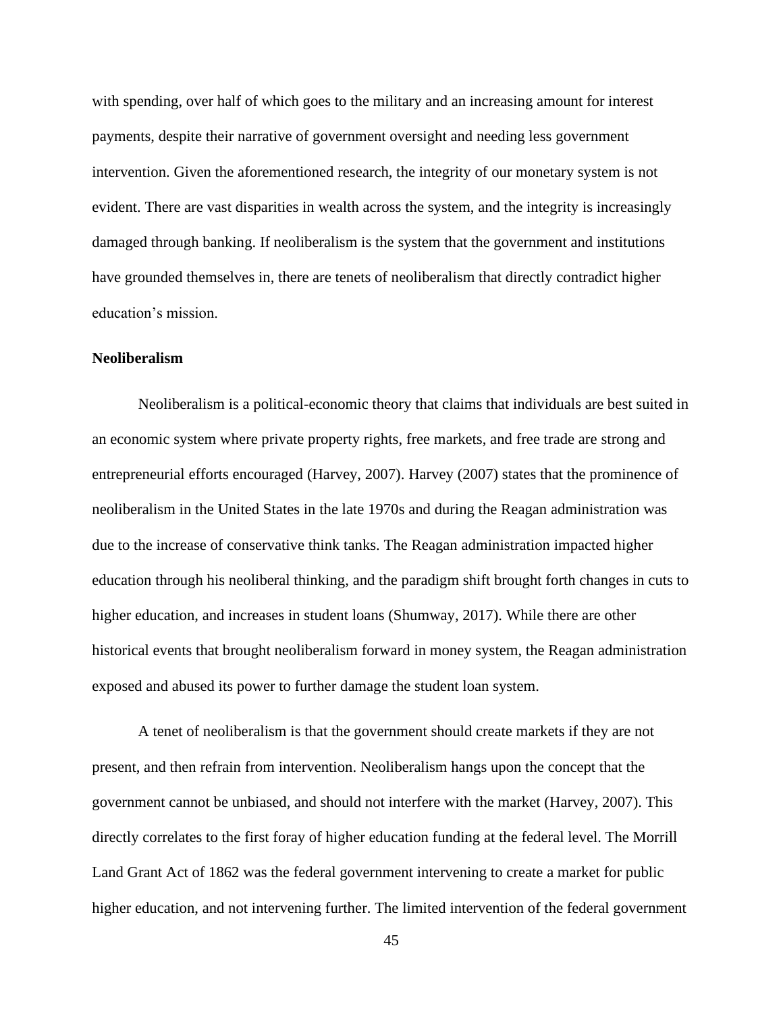with spending, over half of which goes to the military and an increasing amount for interest payments, despite their narrative of government oversight and needing less government intervention. Given the aforementioned research, the integrity of our monetary system is not evident. There are vast disparities in wealth across the system, and the integrity is increasingly damaged through banking. If neoliberalism is the system that the government and institutions have grounded themselves in, there are tenets of neoliberalism that directly contradict higher education's mission.

# **Neoliberalism**

Neoliberalism is a political-economic theory that claims that individuals are best suited in an economic system where private property rights, free markets, and free trade are strong and entrepreneurial efforts encouraged (Harvey, 2007). Harvey (2007) states that the prominence of neoliberalism in the United States in the late 1970s and during the Reagan administration was due to the increase of conservative think tanks. The Reagan administration impacted higher education through his neoliberal thinking, and the paradigm shift brought forth changes in cuts to higher education, and increases in student loans (Shumway, 2017). While there are other historical events that brought neoliberalism forward in money system, the Reagan administration exposed and abused its power to further damage the student loan system.

A tenet of neoliberalism is that the government should create markets if they are not present, and then refrain from intervention. Neoliberalism hangs upon the concept that the government cannot be unbiased, and should not interfere with the market (Harvey, 2007). This directly correlates to the first foray of higher education funding at the federal level. The Morrill Land Grant Act of 1862 was the federal government intervening to create a market for public higher education, and not intervening further. The limited intervention of the federal government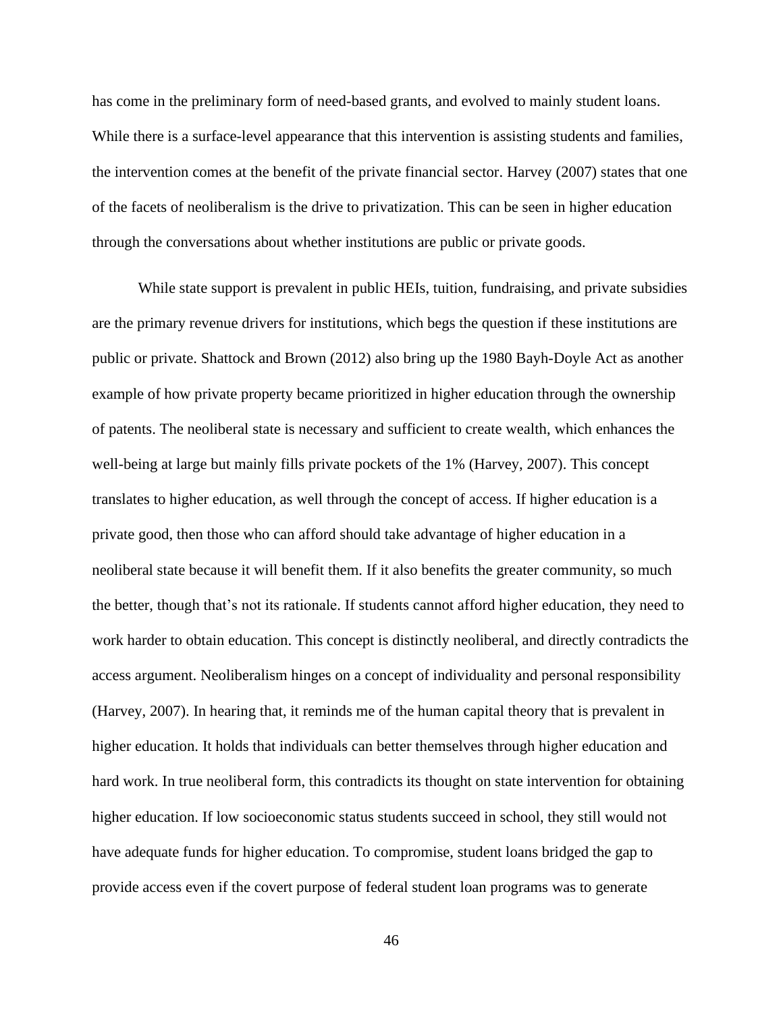has come in the preliminary form of need-based grants, and evolved to mainly student loans. While there is a surface-level appearance that this intervention is assisting students and families, the intervention comes at the benefit of the private financial sector. Harvey (2007) states that one of the facets of neoliberalism is the drive to privatization. This can be seen in higher education through the conversations about whether institutions are public or private goods.

While state support is prevalent in public HEIs, tuition, fundraising, and private subsidies are the primary revenue drivers for institutions, which begs the question if these institutions are public or private. Shattock and Brown (2012) also bring up the 1980 Bayh-Doyle Act as another example of how private property became prioritized in higher education through the ownership of patents. The neoliberal state is necessary and sufficient to create wealth, which enhances the well-being at large but mainly fills private pockets of the 1% (Harvey, 2007). This concept translates to higher education, as well through the concept of access. If higher education is a private good, then those who can afford should take advantage of higher education in a neoliberal state because it will benefit them. If it also benefits the greater community, so much the better, though that's not its rationale. If students cannot afford higher education, they need to work harder to obtain education. This concept is distinctly neoliberal, and directly contradicts the access argument. Neoliberalism hinges on a concept of individuality and personal responsibility (Harvey, 2007). In hearing that, it reminds me of the human capital theory that is prevalent in higher education. It holds that individuals can better themselves through higher education and hard work. In true neoliberal form, this contradicts its thought on state intervention for obtaining higher education. If low socioeconomic status students succeed in school, they still would not have adequate funds for higher education. To compromise, student loans bridged the gap to provide access even if the covert purpose of federal student loan programs was to generate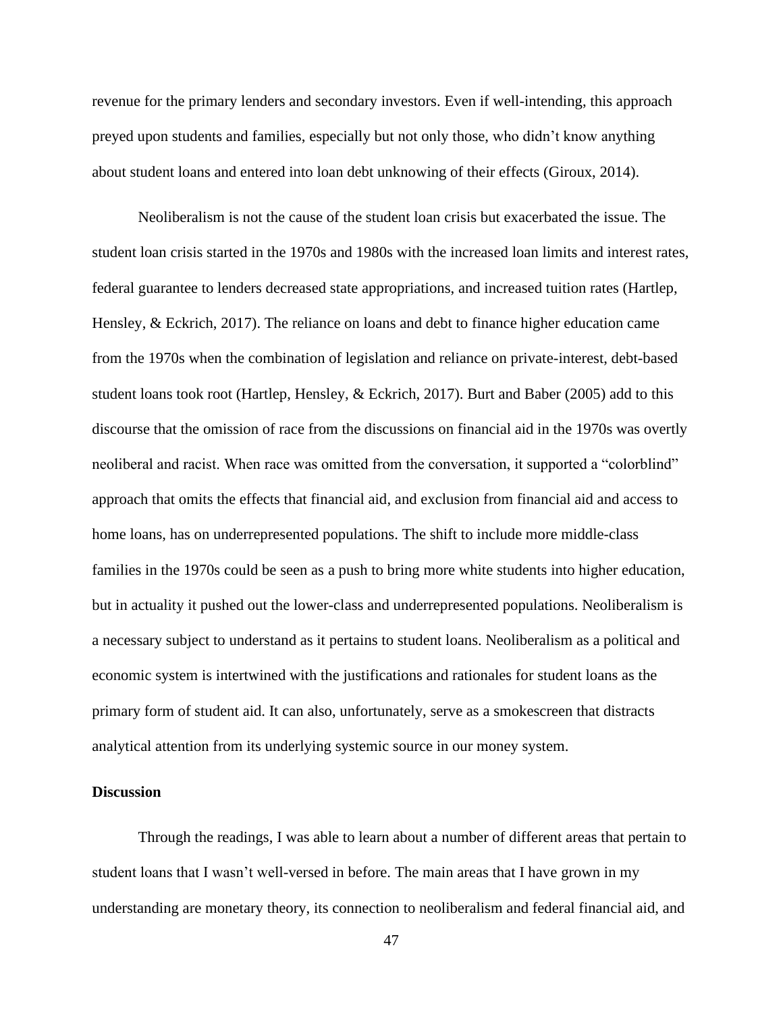revenue for the primary lenders and secondary investors. Even if well-intending, this approach preyed upon students and families, especially but not only those, who didn't know anything about student loans and entered into loan debt unknowing of their effects (Giroux, 2014).

Neoliberalism is not the cause of the student loan crisis but exacerbated the issue. The student loan crisis started in the 1970s and 1980s with the increased loan limits and interest rates, federal guarantee to lenders decreased state appropriations, and increased tuition rates (Hartlep, Hensley, & Eckrich, 2017). The reliance on loans and debt to finance higher education came from the 1970s when the combination of legislation and reliance on private-interest, debt-based student loans took root (Hartlep, Hensley, & Eckrich, 2017). Burt and Baber (2005) add to this discourse that the omission of race from the discussions on financial aid in the 1970s was overtly neoliberal and racist. When race was omitted from the conversation, it supported a "colorblind" approach that omits the effects that financial aid, and exclusion from financial aid and access to home loans, has on underrepresented populations. The shift to include more middle-class families in the 1970s could be seen as a push to bring more white students into higher education, but in actuality it pushed out the lower-class and underrepresented populations. Neoliberalism is a necessary subject to understand as it pertains to student loans. Neoliberalism as a political and economic system is intertwined with the justifications and rationales for student loans as the primary form of student aid. It can also, unfortunately, serve as a smokescreen that distracts analytical attention from its underlying systemic source in our money system.

# **Discussion**

Through the readings, I was able to learn about a number of different areas that pertain to student loans that I wasn't well-versed in before. The main areas that I have grown in my understanding are monetary theory, its connection to neoliberalism and federal financial aid, and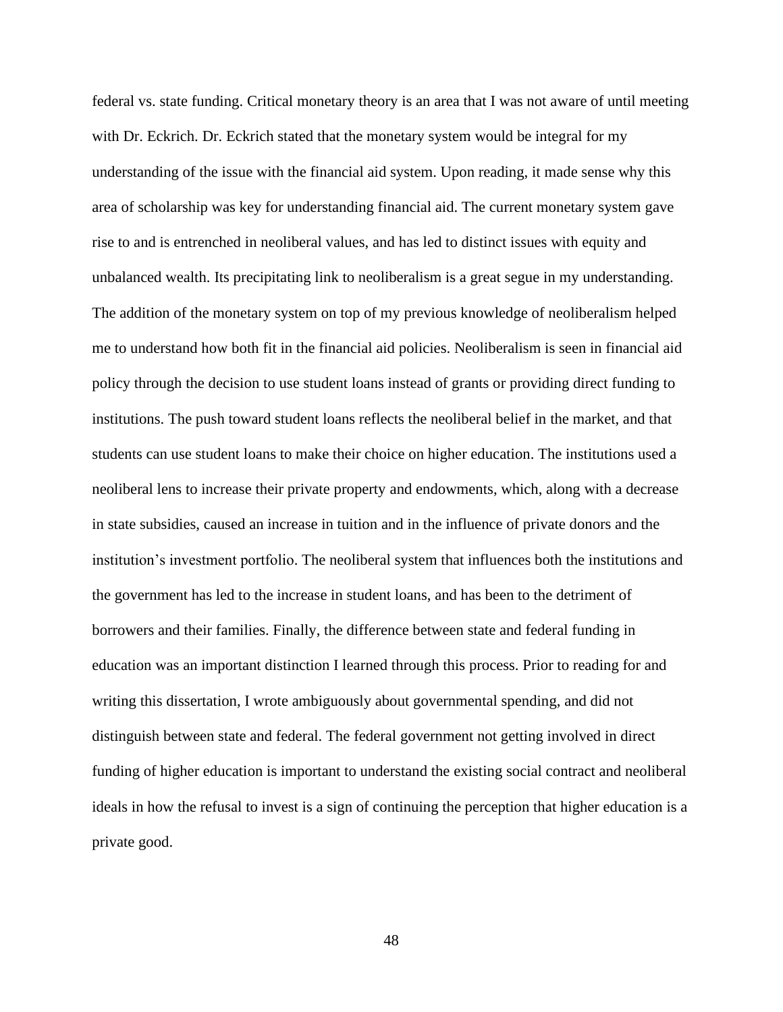federal vs. state funding. Critical monetary theory is an area that I was not aware of until meeting with Dr. Eckrich. Dr. Eckrich stated that the monetary system would be integral for my understanding of the issue with the financial aid system. Upon reading, it made sense why this area of scholarship was key for understanding financial aid. The current monetary system gave rise to and is entrenched in neoliberal values, and has led to distinct issues with equity and unbalanced wealth. Its precipitating link to neoliberalism is a great segue in my understanding. The addition of the monetary system on top of my previous knowledge of neoliberalism helped me to understand how both fit in the financial aid policies. Neoliberalism is seen in financial aid policy through the decision to use student loans instead of grants or providing direct funding to institutions. The push toward student loans reflects the neoliberal belief in the market, and that students can use student loans to make their choice on higher education. The institutions used a neoliberal lens to increase their private property and endowments, which, along with a decrease in state subsidies, caused an increase in tuition and in the influence of private donors and the institution's investment portfolio. The neoliberal system that influences both the institutions and the government has led to the increase in student loans, and has been to the detriment of borrowers and their families. Finally, the difference between state and federal funding in education was an important distinction I learned through this process. Prior to reading for and writing this dissertation, I wrote ambiguously about governmental spending, and did not distinguish between state and federal. The federal government not getting involved in direct funding of higher education is important to understand the existing social contract and neoliberal ideals in how the refusal to invest is a sign of continuing the perception that higher education is a private good.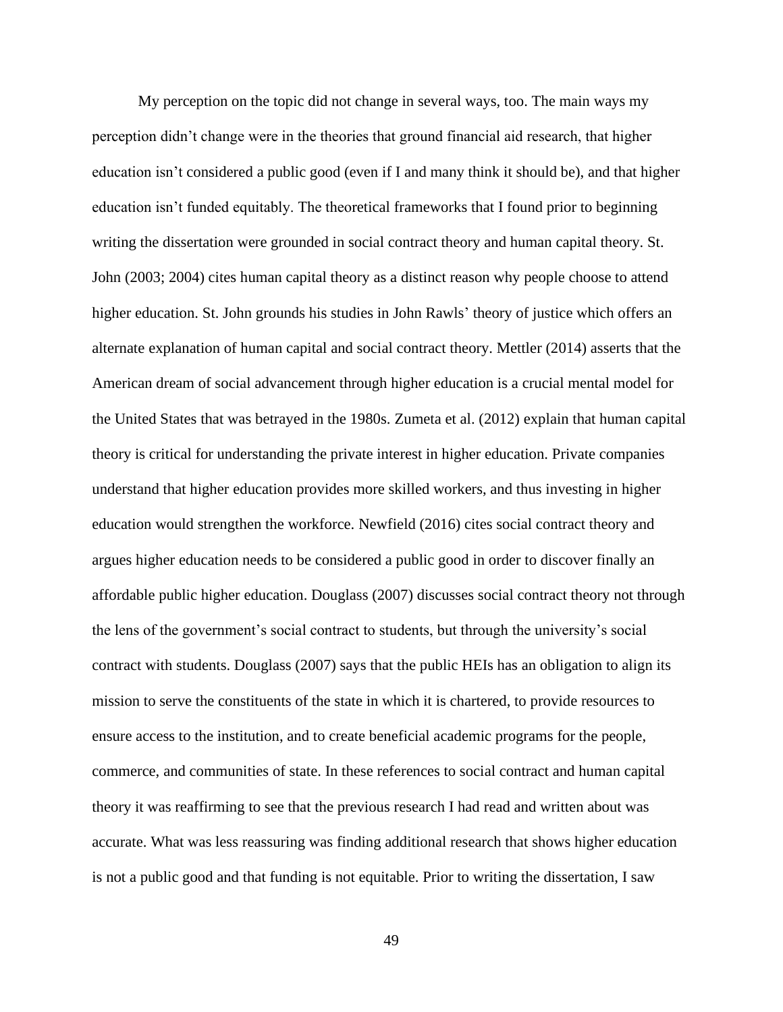My perception on the topic did not change in several ways, too. The main ways my perception didn't change were in the theories that ground financial aid research, that higher education isn't considered a public good (even if I and many think it should be), and that higher education isn't funded equitably. The theoretical frameworks that I found prior to beginning writing the dissertation were grounded in social contract theory and human capital theory. St. John (2003; 2004) cites human capital theory as a distinct reason why people choose to attend higher education. St. John grounds his studies in John Rawls' theory of justice which offers an alternate explanation of human capital and social contract theory. Mettler (2014) asserts that the American dream of social advancement through higher education is a crucial mental model for the United States that was betrayed in the 1980s. Zumeta et al. (2012) explain that human capital theory is critical for understanding the private interest in higher education. Private companies understand that higher education provides more skilled workers, and thus investing in higher education would strengthen the workforce. Newfield (2016) cites social contract theory and argues higher education needs to be considered a public good in order to discover finally an affordable public higher education. Douglass (2007) discusses social contract theory not through the lens of the government's social contract to students, but through the university's social contract with students. Douglass (2007) says that the public HEIs has an obligation to align its mission to serve the constituents of the state in which it is chartered, to provide resources to ensure access to the institution, and to create beneficial academic programs for the people, commerce, and communities of state. In these references to social contract and human capital theory it was reaffirming to see that the previous research I had read and written about was accurate. What was less reassuring was finding additional research that shows higher education is not a public good and that funding is not equitable. Prior to writing the dissertation, I saw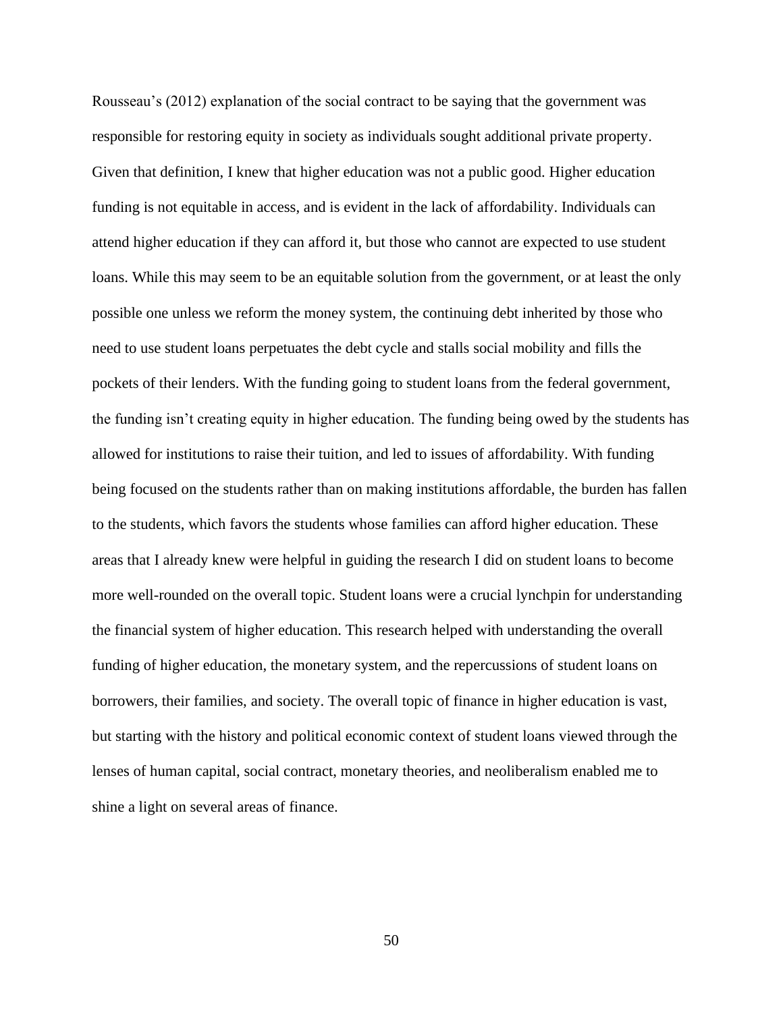Rousseau's (2012) explanation of the social contract to be saying that the government was responsible for restoring equity in society as individuals sought additional private property. Given that definition, I knew that higher education was not a public good. Higher education funding is not equitable in access, and is evident in the lack of affordability. Individuals can attend higher education if they can afford it, but those who cannot are expected to use student loans. While this may seem to be an equitable solution from the government, or at least the only possible one unless we reform the money system, the continuing debt inherited by those who need to use student loans perpetuates the debt cycle and stalls social mobility and fills the pockets of their lenders. With the funding going to student loans from the federal government, the funding isn't creating equity in higher education. The funding being owed by the students has allowed for institutions to raise their tuition, and led to issues of affordability. With funding being focused on the students rather than on making institutions affordable, the burden has fallen to the students, which favors the students whose families can afford higher education. These areas that I already knew were helpful in guiding the research I did on student loans to become more well-rounded on the overall topic. Student loans were a crucial lynchpin for understanding the financial system of higher education. This research helped with understanding the overall funding of higher education, the monetary system, and the repercussions of student loans on borrowers, their families, and society. The overall topic of finance in higher education is vast, but starting with the history and political economic context of student loans viewed through the lenses of human capital, social contract, monetary theories, and neoliberalism enabled me to shine a light on several areas of finance.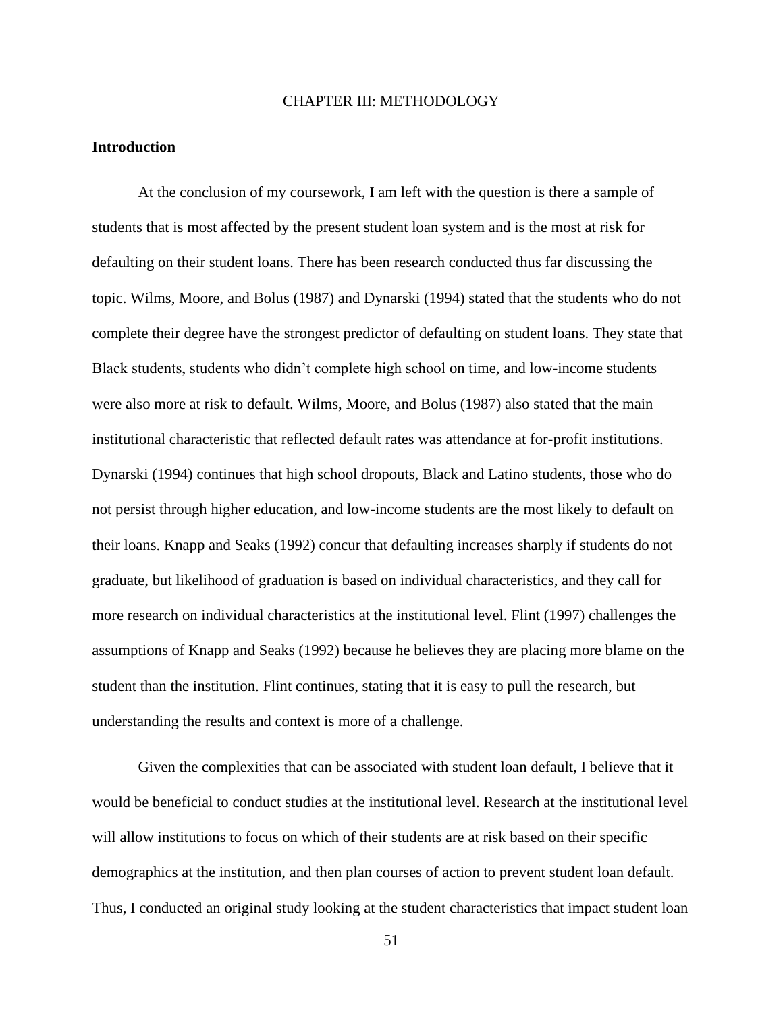#### CHAPTER III: METHODOLOGY

### **Introduction**

At the conclusion of my coursework, I am left with the question is there a sample of students that is most affected by the present student loan system and is the most at risk for defaulting on their student loans. There has been research conducted thus far discussing the topic. Wilms, Moore, and Bolus (1987) and Dynarski (1994) stated that the students who do not complete their degree have the strongest predictor of defaulting on student loans. They state that Black students, students who didn't complete high school on time, and low-income students were also more at risk to default. Wilms, Moore, and Bolus (1987) also stated that the main institutional characteristic that reflected default rates was attendance at for-profit institutions. Dynarski (1994) continues that high school dropouts, Black and Latino students, those who do not persist through higher education, and low-income students are the most likely to default on their loans. Knapp and Seaks (1992) concur that defaulting increases sharply if students do not graduate, but likelihood of graduation is based on individual characteristics, and they call for more research on individual characteristics at the institutional level. Flint (1997) challenges the assumptions of Knapp and Seaks (1992) because he believes they are placing more blame on the student than the institution. Flint continues, stating that it is easy to pull the research, but understanding the results and context is more of a challenge.

Given the complexities that can be associated with student loan default, I believe that it would be beneficial to conduct studies at the institutional level. Research at the institutional level will allow institutions to focus on which of their students are at risk based on their specific demographics at the institution, and then plan courses of action to prevent student loan default. Thus, I conducted an original study looking at the student characteristics that impact student loan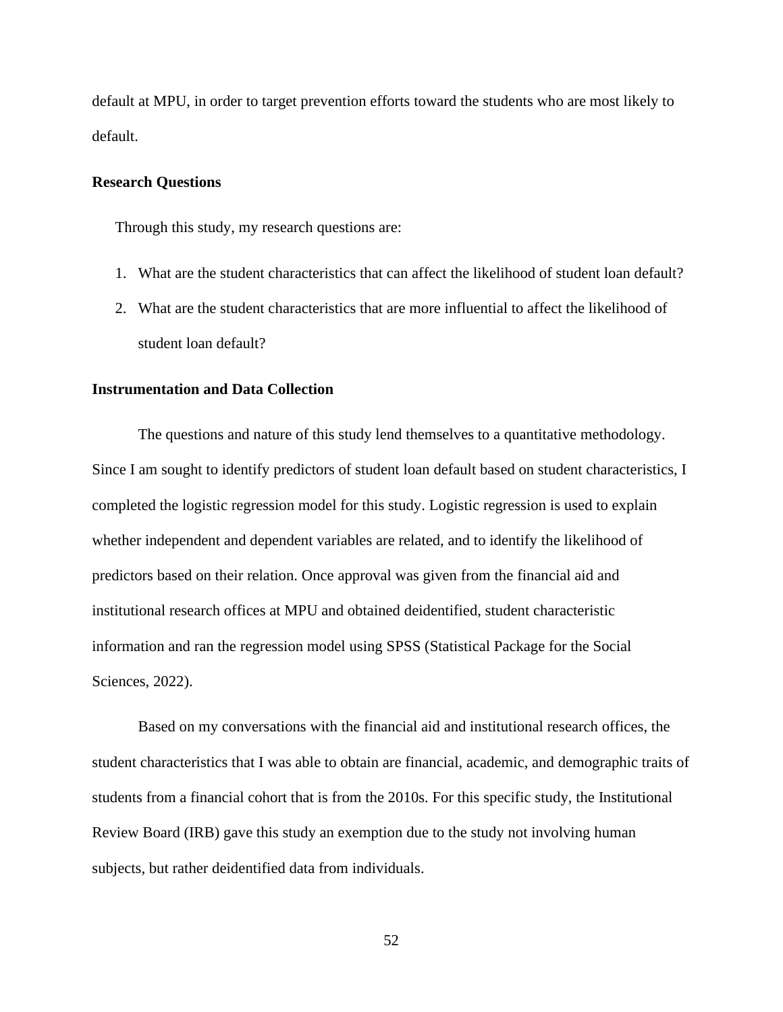default at MPU, in order to target prevention efforts toward the students who are most likely to default.

# **Research Questions**

Through this study, my research questions are:

- 1. What are the student characteristics that can affect the likelihood of student loan default?
- 2. What are the student characteristics that are more influential to affect the likelihood of student loan default?

#### **Instrumentation and Data Collection**

The questions and nature of this study lend themselves to a quantitative methodology. Since I am sought to identify predictors of student loan default based on student characteristics, I completed the logistic regression model for this study. Logistic regression is used to explain whether independent and dependent variables are related, and to identify the likelihood of predictors based on their relation. Once approval was given from the financial aid and institutional research offices at MPU and obtained deidentified, student characteristic information and ran the regression model using SPSS (Statistical Package for the Social Sciences, 2022).

Based on my conversations with the financial aid and institutional research offices, the student characteristics that I was able to obtain are financial, academic, and demographic traits of students from a financial cohort that is from the 2010s. For this specific study, the Institutional Review Board (IRB) gave this study an exemption due to the study not involving human subjects, but rather deidentified data from individuals.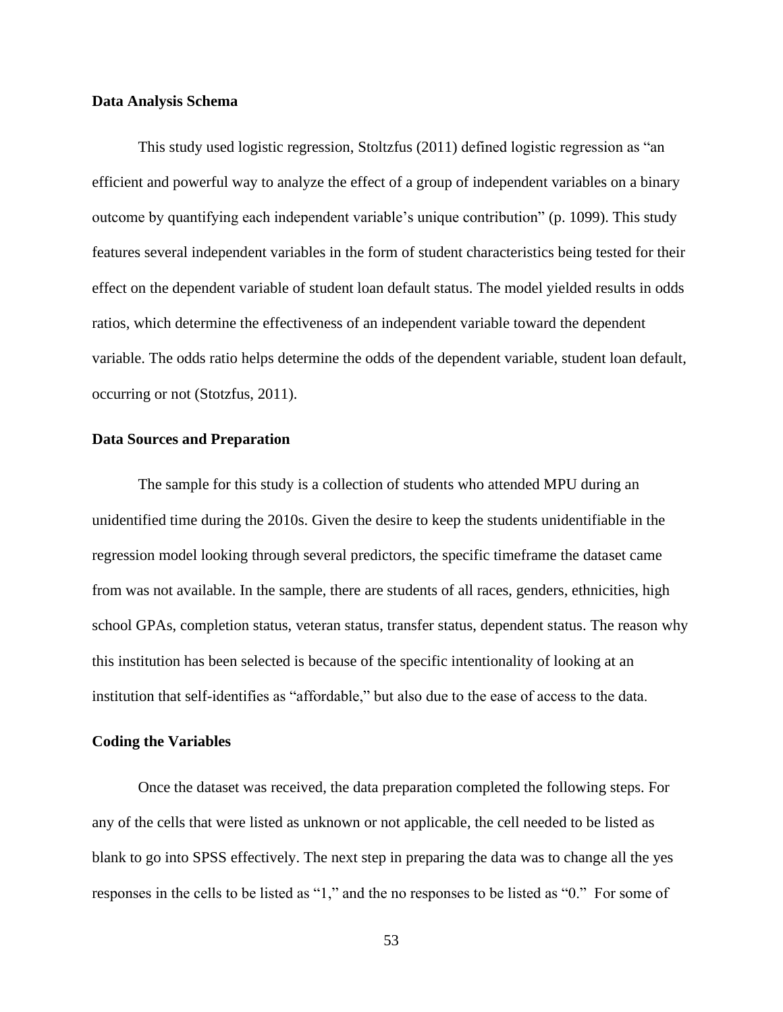#### **Data Analysis Schema**

This study used logistic regression, Stoltzfus (2011) defined logistic regression as "an efficient and powerful way to analyze the effect of a group of independent variables on a binary outcome by quantifying each independent variable's unique contribution" (p. 1099). This study features several independent variables in the form of student characteristics being tested for their effect on the dependent variable of student loan default status. The model yielded results in odds ratios, which determine the effectiveness of an independent variable toward the dependent variable. The odds ratio helps determine the odds of the dependent variable, student loan default, occurring or not (Stotzfus, 2011).

# **Data Sources and Preparation**

The sample for this study is a collection of students who attended MPU during an unidentified time during the 2010s. Given the desire to keep the students unidentifiable in the regression model looking through several predictors, the specific timeframe the dataset came from was not available. In the sample, there are students of all races, genders, ethnicities, high school GPAs, completion status, veteran status, transfer status, dependent status. The reason why this institution has been selected is because of the specific intentionality of looking at an institution that self-identifies as "affordable," but also due to the ease of access to the data.

### **Coding the Variables**

Once the dataset was received, the data preparation completed the following steps. For any of the cells that were listed as unknown or not applicable, the cell needed to be listed as blank to go into SPSS effectively. The next step in preparing the data was to change all the yes responses in the cells to be listed as "1," and the no responses to be listed as "0." For some of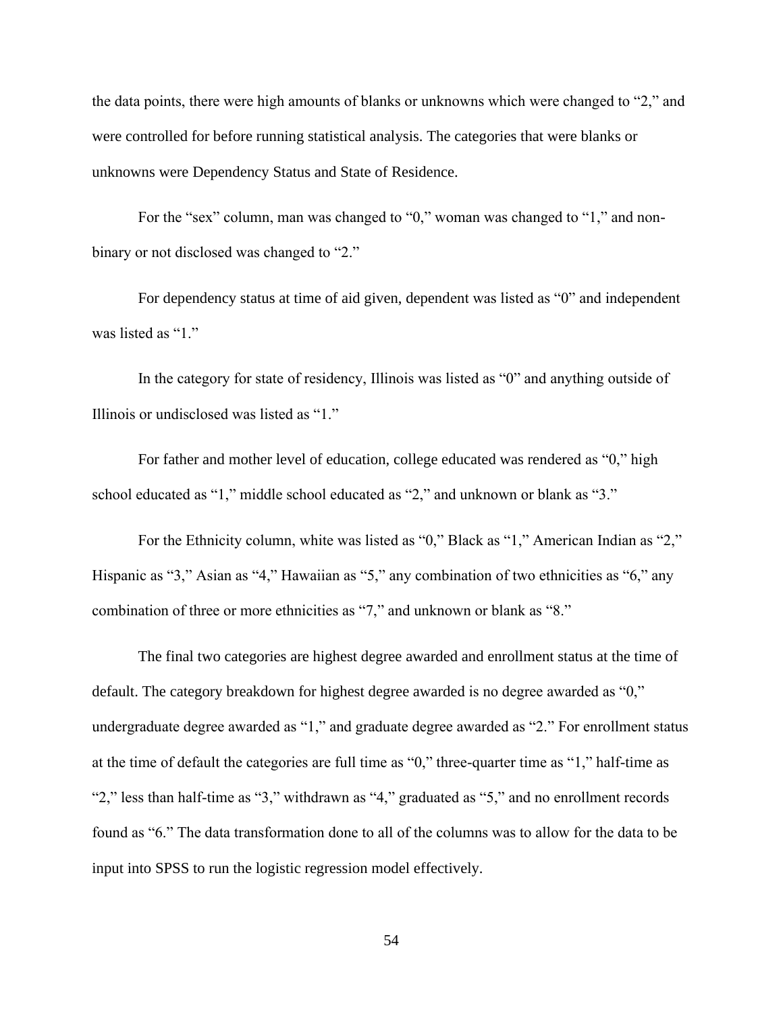the data points, there were high amounts of blanks or unknowns which were changed to "2," and were controlled for before running statistical analysis. The categories that were blanks or unknowns were Dependency Status and State of Residence.

For the "sex" column, man was changed to "0," woman was changed to "1," and nonbinary or not disclosed was changed to "2."

For dependency status at time of aid given, dependent was listed as "0" and independent was listed as "1."

In the category for state of residency, Illinois was listed as "0" and anything outside of Illinois or undisclosed was listed as "1."

For father and mother level of education, college educated was rendered as "0," high school educated as "1," middle school educated as "2," and unknown or blank as "3."

For the Ethnicity column, white was listed as "0," Black as "1," American Indian as "2," Hispanic as "3," Asian as "4," Hawaiian as "5," any combination of two ethnicities as "6," any combination of three or more ethnicities as "7," and unknown or blank as "8."

The final two categories are highest degree awarded and enrollment status at the time of default. The category breakdown for highest degree awarded is no degree awarded as "0," undergraduate degree awarded as "1," and graduate degree awarded as "2." For enrollment status at the time of default the categories are full time as "0," three-quarter time as "1," half-time as "2," less than half-time as "3," withdrawn as "4," graduated as "5," and no enrollment records found as "6." The data transformation done to all of the columns was to allow for the data to be input into SPSS to run the logistic regression model effectively.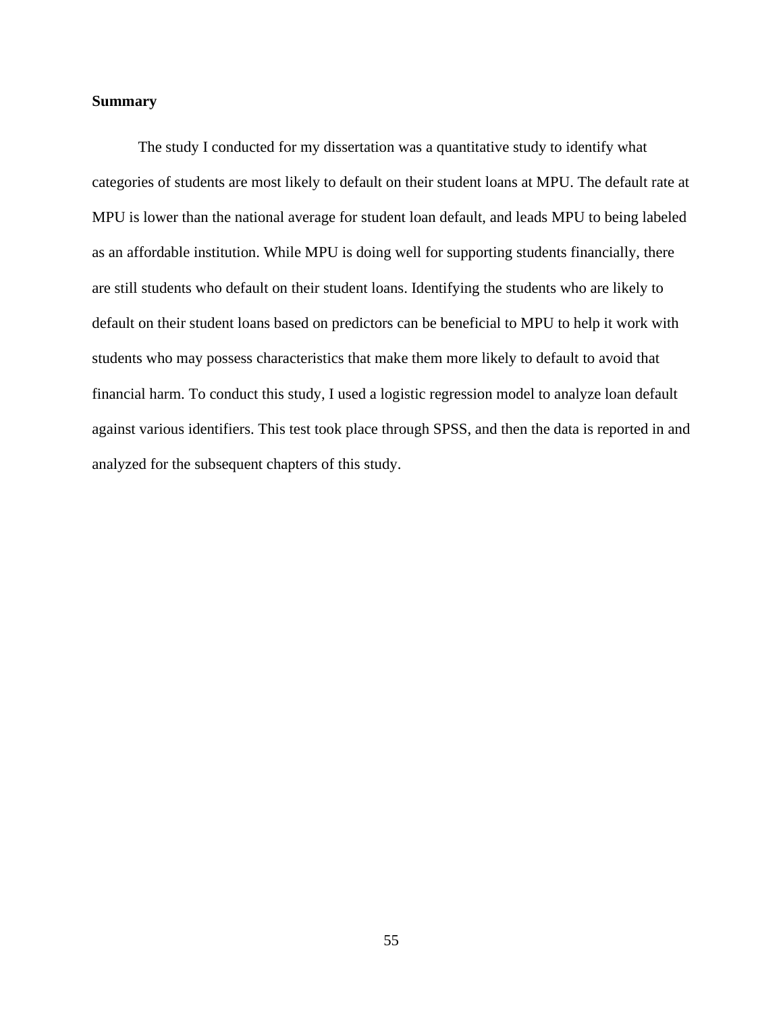# **Summary**

The study I conducted for my dissertation was a quantitative study to identify what categories of students are most likely to default on their student loans at MPU. The default rate at MPU is lower than the national average for student loan default, and leads MPU to being labeled as an affordable institution. While MPU is doing well for supporting students financially, there are still students who default on their student loans. Identifying the students who are likely to default on their student loans based on predictors can be beneficial to MPU to help it work with students who may possess characteristics that make them more likely to default to avoid that financial harm. To conduct this study, I used a logistic regression model to analyze loan default against various identifiers. This test took place through SPSS, and then the data is reported in and analyzed for the subsequent chapters of this study.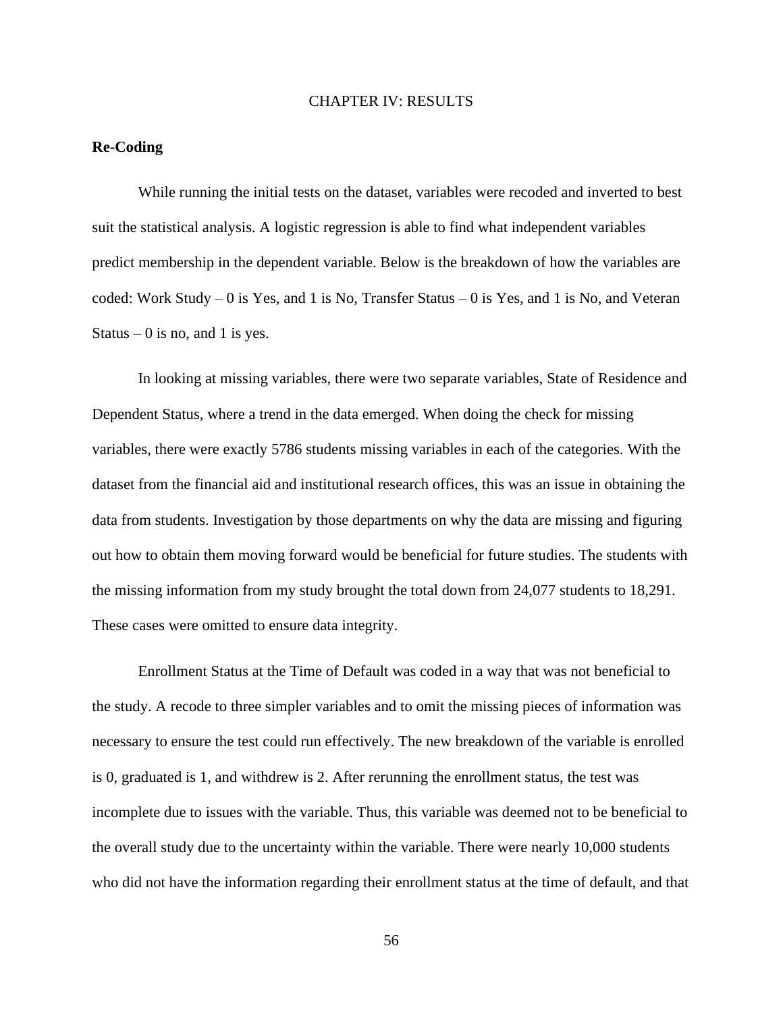#### CHAPTER IV: RESULTS

# **Re-Coding**

While running the initial tests on the dataset, variables were recoded and inverted to best suit the statistical analysis. A logistic regression is able to find what independent variables predict membership in the dependent variable. Below is the breakdown of how the variables are coded: Work Study – 0 is Yes, and 1 is No, Transfer Status – 0 is Yes, and 1 is No, and Veteran Status – 0 is no, and 1 is yes.

In looking at missing variables, there were two separate variables, State of Residence and Dependent Status, where a trend in the data emerged. When doing the check for missing variables, there were exactly 5786 students missing variables in each of the categories. With the dataset from the financial aid and institutional research offices, this was an issue in obtaining the data from students. Investigation by those departments on why the data are missing and figuring out how to obtain them moving forward would be beneficial for future studies. The students with the missing information from my study brought the total down from 24,077 students to 18,291. These cases were omitted to ensure data integrity.

Enrollment Status at the Time of Default was coded in a way that was not beneficial to the study. A recode to three simpler variables and to omit the missing pieces of information was necessary to ensure the test could run effectively. The new breakdown of the variable is enrolled is 0, graduated is 1, and withdrew is 2. After rerunning the enrollment status, the test was incomplete due to issues with the variable. Thus, this variable was deemed not to be beneficial to the overall study due to the uncertainty within the variable. There were nearly 10,000 students who did not have the information regarding their enrollment status at the time of default, and that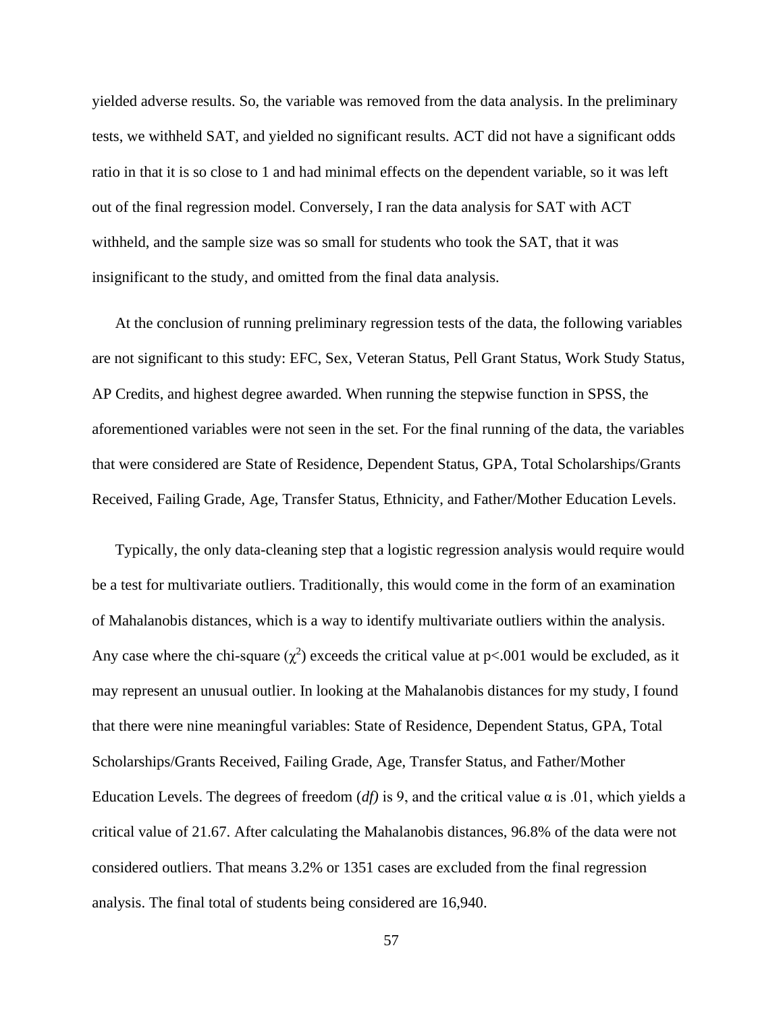yielded adverse results. So, the variable was removed from the data analysis. In the preliminary tests, we withheld SAT, and yielded no significant results. ACT did not have a significant odds ratio in that it is so close to 1 and had minimal effects on the dependent variable, so it was left out of the final regression model. Conversely, I ran the data analysis for SAT with ACT withheld, and the sample size was so small for students who took the SAT, that it was insignificant to the study, and omitted from the final data analysis.

At the conclusion of running preliminary regression tests of the data, the following variables are not significant to this study: EFC, Sex, Veteran Status, Pell Grant Status, Work Study Status, AP Credits, and highest degree awarded. When running the stepwise function in SPSS, the aforementioned variables were not seen in the set. For the final running of the data, the variables that were considered are State of Residence, Dependent Status, GPA, Total Scholarships/Grants Received, Failing Grade, Age, Transfer Status, Ethnicity, and Father/Mother Education Levels.

Typically, the only data-cleaning step that a logistic regression analysis would require would be a test for multivariate outliers. Traditionally, this would come in the form of an examination of Mahalanobis distances, which is a way to identify multivariate outliers within the analysis. Any case where the chi-square  $(\chi^2)$  exceeds the critical value at p<.001 would be excluded, as it may represent an unusual outlier. In looking at the Mahalanobis distances for my study, I found that there were nine meaningful variables: State of Residence, Dependent Status, GPA, Total Scholarships/Grants Received, Failing Grade, Age, Transfer Status, and Father/Mother Education Levels. The degrees of freedom (*df*) is 9, and the critical value α is .01, which yields a critical value of 21.67. After calculating the Mahalanobis distances, 96.8% of the data were not considered outliers. That means 3.2% or 1351 cases are excluded from the final regression analysis. The final total of students being considered are 16,940.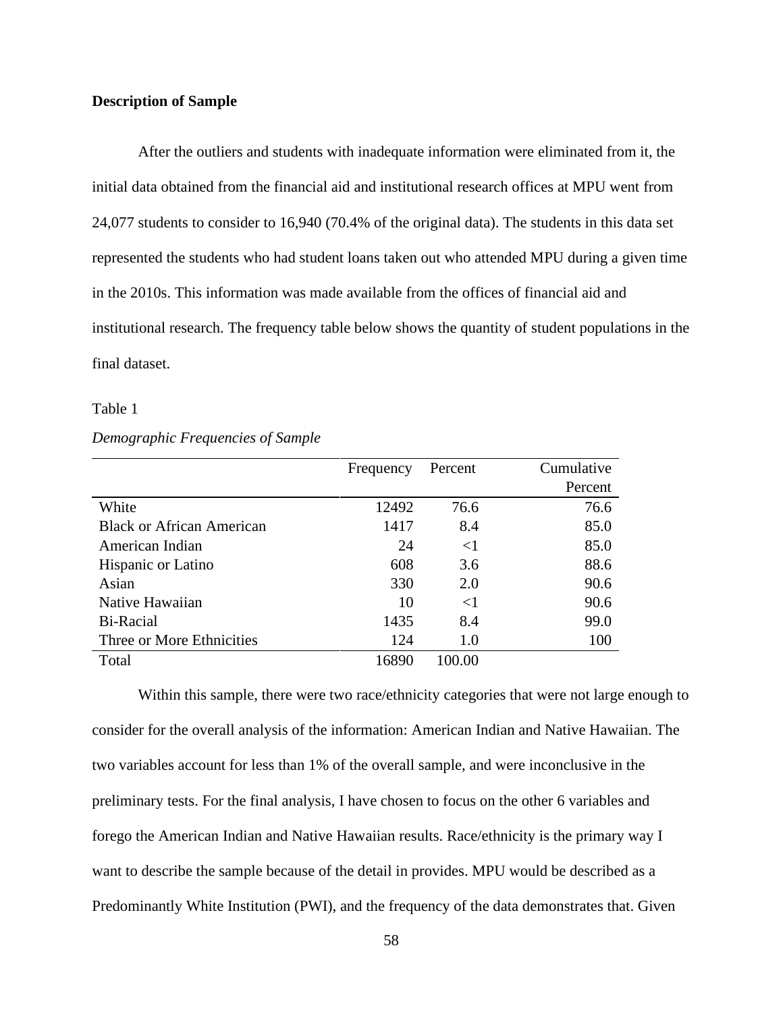# **Description of Sample**

After the outliers and students with inadequate information were eliminated from it, the initial data obtained from the financial aid and institutional research offices at MPU went from 24,077 students to consider to 16,940 (70.4% of the original data). The students in this data set represented the students who had student loans taken out who attended MPU during a given time in the 2010s. This information was made available from the offices of financial aid and institutional research. The frequency table below shows the quantity of student populations in the final dataset.

### Table 1

#### *Demographic Frequencies of Sample*

|                                  | Frequency | Percent  | Cumulative |
|----------------------------------|-----------|----------|------------|
|                                  |           |          | Percent    |
| White                            | 12492     | 76.6     | 76.6       |
| <b>Black or African American</b> | 1417      | 8.4      | 85.0       |
| American Indian                  | 24        | $\leq$ 1 | 85.0       |
| Hispanic or Latino               | 608       | 3.6      | 88.6       |
| Asian                            | 330       | 2.0      | 90.6       |
| Native Hawaiian                  | 10        | $\leq$ 1 | 90.6       |
| Bi-Racial                        | 1435      | 8.4      | 99.0       |
| Three or More Ethnicities        | 124       | 1.0      | 100        |
| Total                            | 16890     | 100.00   |            |

Within this sample, there were two race/ethnicity categories that were not large enough to consider for the overall analysis of the information: American Indian and Native Hawaiian. The two variables account for less than 1% of the overall sample, and were inconclusive in the preliminary tests. For the final analysis, I have chosen to focus on the other 6 variables and forego the American Indian and Native Hawaiian results. Race/ethnicity is the primary way I want to describe the sample because of the detail in provides. MPU would be described as a Predominantly White Institution (PWI), and the frequency of the data demonstrates that. Given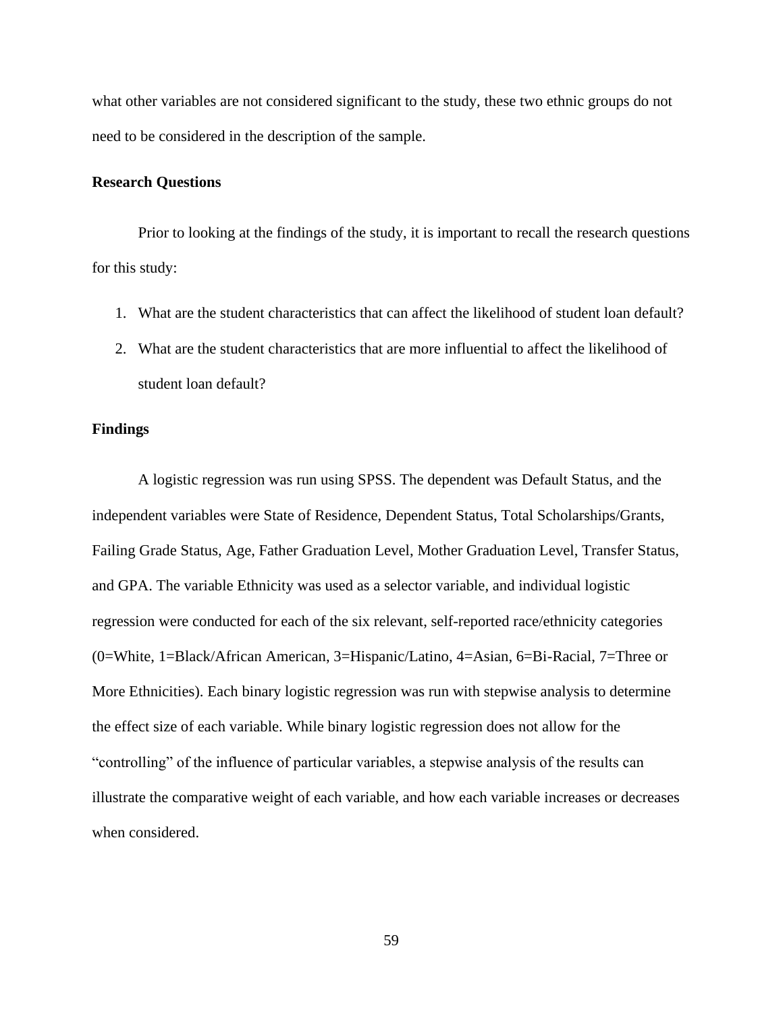what other variables are not considered significant to the study, these two ethnic groups do not need to be considered in the description of the sample.

# **Research Questions**

Prior to looking at the findings of the study, it is important to recall the research questions for this study:

- 1. What are the student characteristics that can affect the likelihood of student loan default?
- 2. What are the student characteristics that are more influential to affect the likelihood of student loan default?

# **Findings**

A logistic regression was run using SPSS. The dependent was Default Status, and the independent variables were State of Residence, Dependent Status, Total Scholarships/Grants, Failing Grade Status, Age, Father Graduation Level, Mother Graduation Level, Transfer Status, and GPA. The variable Ethnicity was used as a selector variable, and individual logistic regression were conducted for each of the six relevant, self-reported race/ethnicity categories (0=White, 1=Black/African American, 3=Hispanic/Latino, 4=Asian, 6=Bi-Racial, 7=Three or More Ethnicities). Each binary logistic regression was run with stepwise analysis to determine the effect size of each variable. While binary logistic regression does not allow for the "controlling" of the influence of particular variables, a stepwise analysis of the results can illustrate the comparative weight of each variable, and how each variable increases or decreases when considered.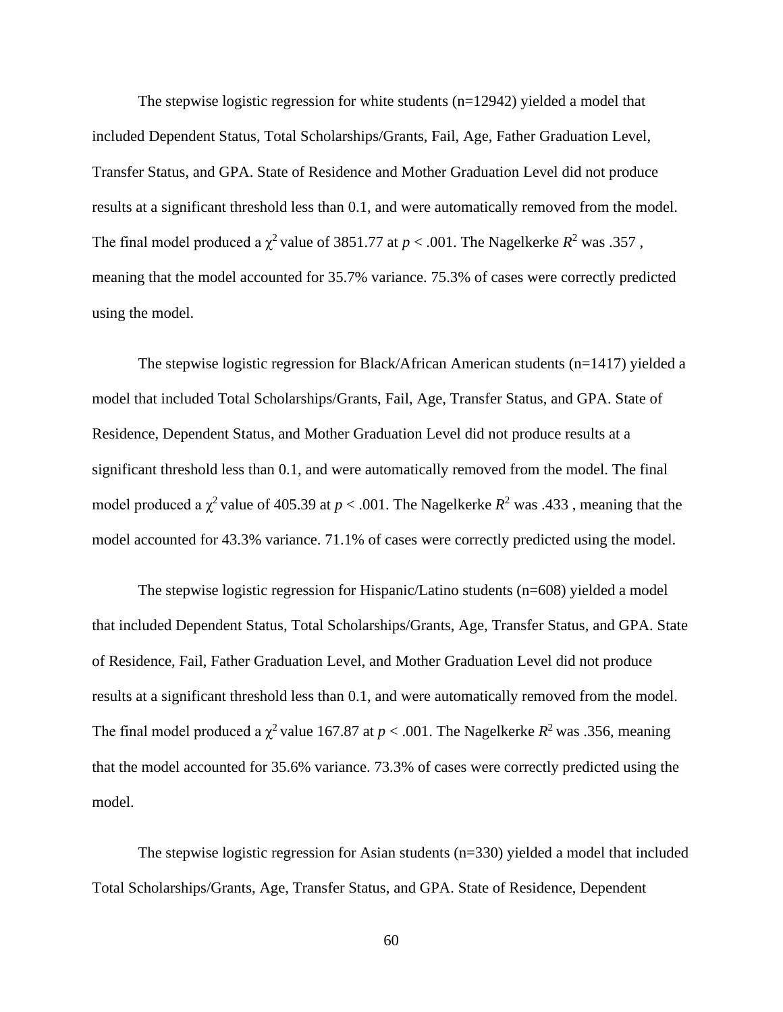The stepwise logistic regression for white students (n=12942) yielded a model that included Dependent Status, Total Scholarships/Grants, Fail, Age, Father Graduation Level, Transfer Status, and GPA. State of Residence and Mother Graduation Level did not produce results at a significant threshold less than 0.1, and were automatically removed from the model. The final model produced a  $\chi^2$  value of 3851.77 at  $p < .001$ . The Nagelkerke  $R^2$  was .357, meaning that the model accounted for 35.7% variance. 75.3% of cases were correctly predicted using the model.

The stepwise logistic regression for Black/African American students  $(n=1417)$  yielded a model that included Total Scholarships/Grants, Fail, Age, Transfer Status, and GPA. State of Residence, Dependent Status, and Mother Graduation Level did not produce results at a significant threshold less than 0.1, and were automatically removed from the model. The final model produced a  $\chi^2$  value of 405.39 at  $p < .001$ . The Nagelkerke  $R^2$  was .433, meaning that the model accounted for 43.3% variance. 71.1% of cases were correctly predicted using the model.

The stepwise logistic regression for Hispanic/Latino students (n=608) yielded a model that included Dependent Status, Total Scholarships/Grants, Age, Transfer Status, and GPA. State of Residence, Fail, Father Graduation Level, and Mother Graduation Level did not produce results at a significant threshold less than 0.1, and were automatically removed from the model. The final model produced a  $\chi^2$  value 167.87 at  $p < .001$ . The Nagelkerke  $R^2$  was .356, meaning that the model accounted for 35.6% variance. 73.3% of cases were correctly predicted using the model.

The stepwise logistic regression for Asian students  $(n=330)$  yielded a model that included Total Scholarships/Grants, Age, Transfer Status, and GPA. State of Residence, Dependent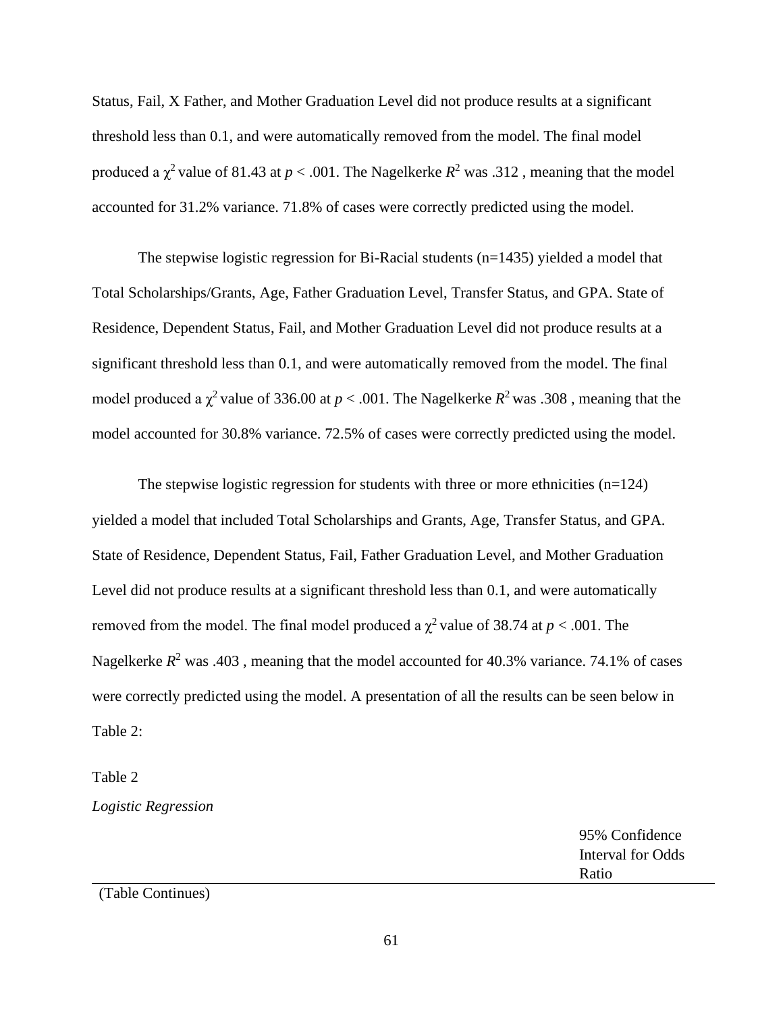Status, Fail, X Father, and Mother Graduation Level did not produce results at a significant threshold less than 0.1, and were automatically removed from the model. The final model produced a  $\chi^2$  value of 81.43 at  $p < .001$ . The Nagelkerke  $R^2$  was .312, meaning that the model accounted for 31.2% variance. 71.8% of cases were correctly predicted using the model.

The stepwise logistic regression for Bi-Racial students (n=1435) yielded a model that Total Scholarships/Grants, Age, Father Graduation Level, Transfer Status, and GPA. State of Residence, Dependent Status, Fail, and Mother Graduation Level did not produce results at a significant threshold less than 0.1, and were automatically removed from the model. The final model produced a  $\chi^2$  value of 336.00 at  $p < .001$ . The Nagelkerke  $R^2$  was .308, meaning that the model accounted for 30.8% variance. 72.5% of cases were correctly predicted using the model.

The stepwise logistic regression for students with three or more ethnicities  $(n=124)$ yielded a model that included Total Scholarships and Grants, Age, Transfer Status, and GPA. State of Residence, Dependent Status, Fail, Father Graduation Level, and Mother Graduation Level did not produce results at a significant threshold less than 0.1, and were automatically removed from the model. The final model produced a  $\chi^2$  value of 38.74 at  $p < .001$ . The Nagelkerke  $R^2$  was .403, meaning that the model accounted for 40.3% variance. 74.1% of cases were correctly predicted using the model. A presentation of all the results can be seen below in Table 2:

Table 2

*Logistic Regression*

|                  | 95% Confidence    |
|------------------|-------------------|
|                  | Interval for Odds |
|                  | Ratio             |
| $(T_0 1, C_0 1)$ |                   |

(Table Continues)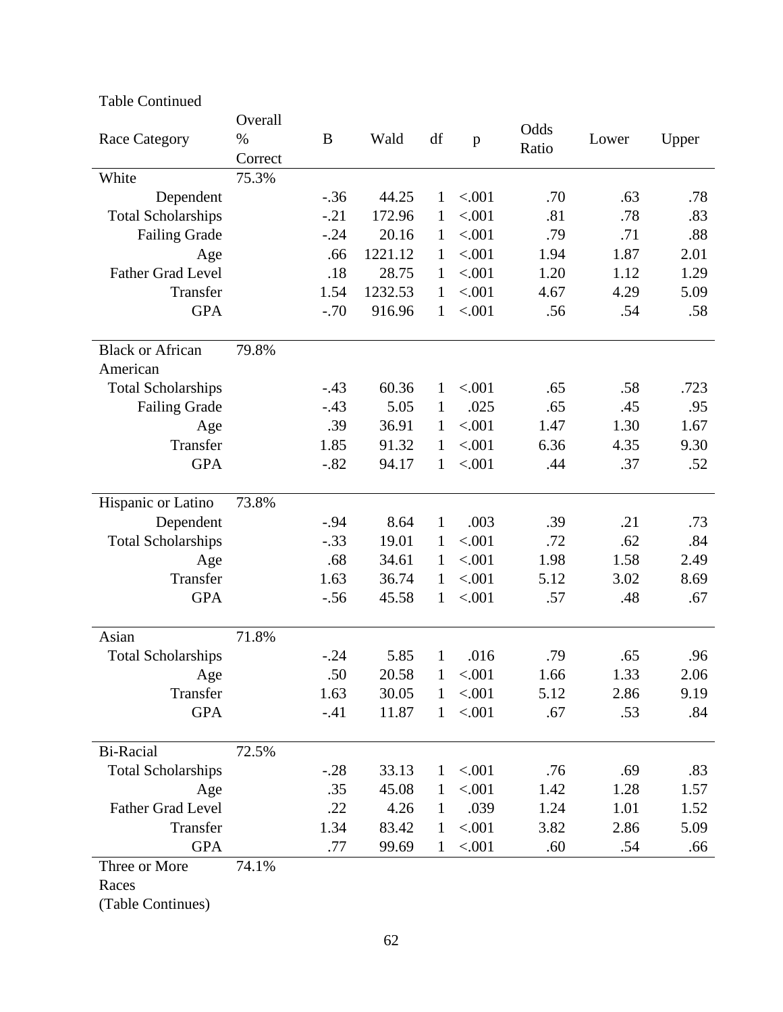| <b>Table Continued</b>    |                         |        |         |              |              |               |       |       |
|---------------------------|-------------------------|--------|---------|--------------|--------------|---------------|-------|-------|
| <b>Race Category</b>      | Overall<br>%<br>Correct | B      | Wald    | df           | $\mathbf{p}$ | Odds<br>Ratio | Lower | Upper |
| White                     | 75.3%                   |        |         |              |              |               |       |       |
| Dependent                 |                         | $-.36$ | 44.25   | 1            | < .001       | .70           | .63   | .78   |
| <b>Total Scholarships</b> |                         | $-.21$ | 172.96  | 1            | < .001       | .81           | .78   | .83   |
| <b>Failing Grade</b>      |                         | $-.24$ | 20.16   | 1            | < .001       | .79           | .71   | .88   |
| Age                       |                         | .66    | 1221.12 | $\mathbf{1}$ | < .001       | 1.94          | 1.87  | 2.01  |
| Father Grad Level         |                         | .18    | 28.75   | $\mathbf{1}$ | < .001       | 1.20          | 1.12  | 1.29  |
| Transfer                  |                         | 1.54   | 1232.53 | $\mathbf{1}$ | < .001       | 4.67          | 4.29  | 5.09  |
| <b>GPA</b>                |                         | $-.70$ | 916.96  | 1            | < .001       | .56           | .54   | .58   |
| <b>Black or African</b>   | 79.8%                   |        |         |              |              |               |       |       |
| American                  |                         |        |         |              |              |               |       |       |
| <b>Total Scholarships</b> |                         | $-.43$ | 60.36   | $\mathbf{1}$ | < .001       | .65           | .58   | .723  |
| <b>Failing Grade</b>      |                         | $-.43$ | 5.05    | $\mathbf{1}$ | .025         | .65           | .45   | .95   |
| Age                       |                         | .39    | 36.91   | 1            | < .001       | 1.47          | 1.30  | 1.67  |
| Transfer                  |                         | 1.85   | 91.32   | $\mathbf{1}$ | < .001       | 6.36          | 4.35  | 9.30  |
| <b>GPA</b>                |                         | $-.82$ | 94.17   | $\mathbf{1}$ | < .001       | .44           | .37   | .52   |
| Hispanic or Latino        | 73.8%                   |        |         |              |              |               |       |       |
| Dependent                 |                         | $-.94$ | 8.64    | $\mathbf{1}$ | .003         | .39           | .21   | .73   |
| <b>Total Scholarships</b> |                         | $-.33$ | 19.01   | 1            | < .001       | .72           | .62   | .84   |
| Age                       |                         | .68    | 34.61   | $\mathbf{1}$ | < .001       | 1.98          | 1.58  | 2.49  |
| Transfer                  |                         | 1.63   | 36.74   | $\mathbf{1}$ | < .001       | 5.12          | 3.02  | 8.69  |
| <b>GPA</b>                |                         | $-.56$ | 45.58   | 1            | < .001       | .57           | .48   | .67   |
| Asian                     | 71.8%                   |        |         |              |              |               |       |       |
| <b>Total Scholarships</b> |                         | $-.24$ | 5.85    | $\mathbf{1}$ | .016         | .79           | .65   | .96   |
| Age                       |                         | .50    | 20.58   | 1            | < .001       | 1.66          | 1.33  | 2.06  |
| Transfer                  |                         | 1.63   | 30.05   | $\mathbf{1}$ | < .001       | 5.12          | 2.86  | 9.19  |
| <b>GPA</b>                |                         | $-.41$ | 11.87   | $\mathbf{1}$ | < .001       | .67           | .53   | .84   |
| Bi-Racial                 | 72.5%                   |        |         |              |              |               |       |       |
| <b>Total Scholarships</b> |                         | $-.28$ | 33.13   | $\mathbf{1}$ | < .001       | .76           | .69   | .83   |
| Age                       |                         | .35    | 45.08   | 1            | < .001       | 1.42          | 1.28  | 1.57  |
| Father Grad Level         |                         | .22    | 4.26    | 1            | .039         | 1.24          | 1.01  | 1.52  |
| Transfer                  |                         | 1.34   | 83.42   | $\mathbf{1}$ | < .001       | 3.82          | 2.86  | 5.09  |
| <b>GPA</b>                |                         | .77    | 99.69   | $\mathbf{1}$ | < .001       | .60           | .54   | .66   |
| Three or More             | 74.1%                   |        |         |              |              |               |       |       |
| Races                     |                         |        |         |              |              |               |       |       |
|                           |                         |        |         |              |              |               |       |       |

(Table Continues)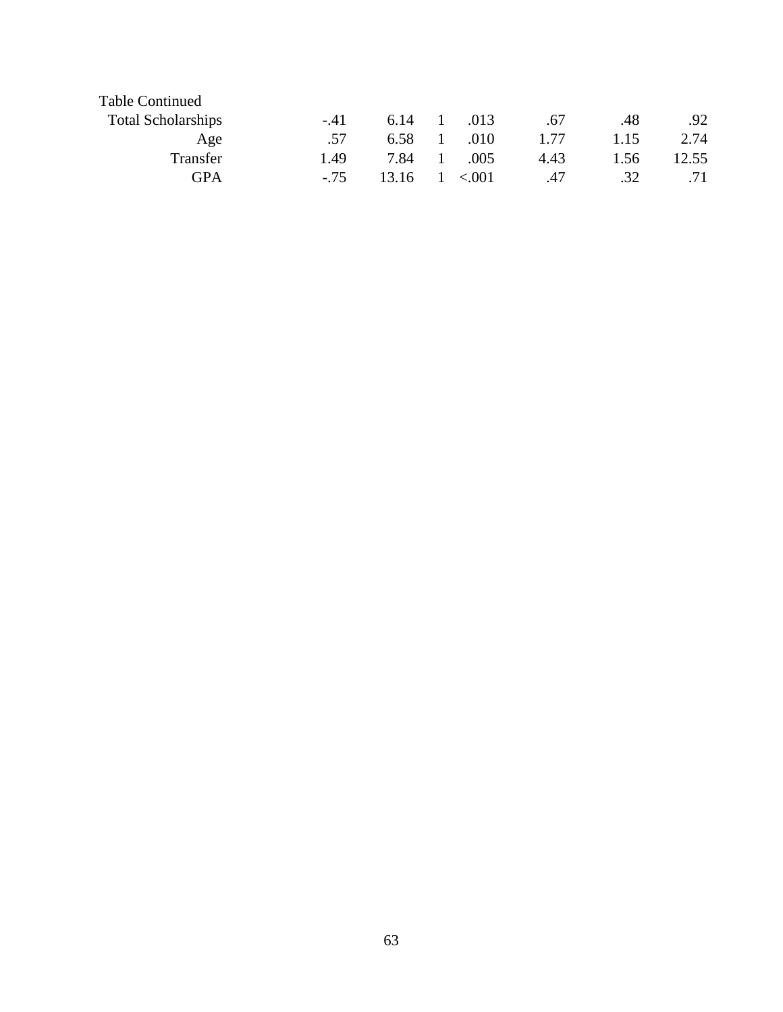| $-41$  | 6.14  | $\mathbf{1}$ | .013    | .67  | .48  | .92   |
|--------|-------|--------------|---------|------|------|-------|
| .57    | 6.58  |              | .010    | 1.77 | 1.15 | 2.74  |
| 1.49   | 7.84  |              | .005    | 4.43 | 1.56 | 12.55 |
| $-.75$ | 13.16 |              | < 0.001 | .47  | .32  | .71   |
|        |       |              |         |      |      |       |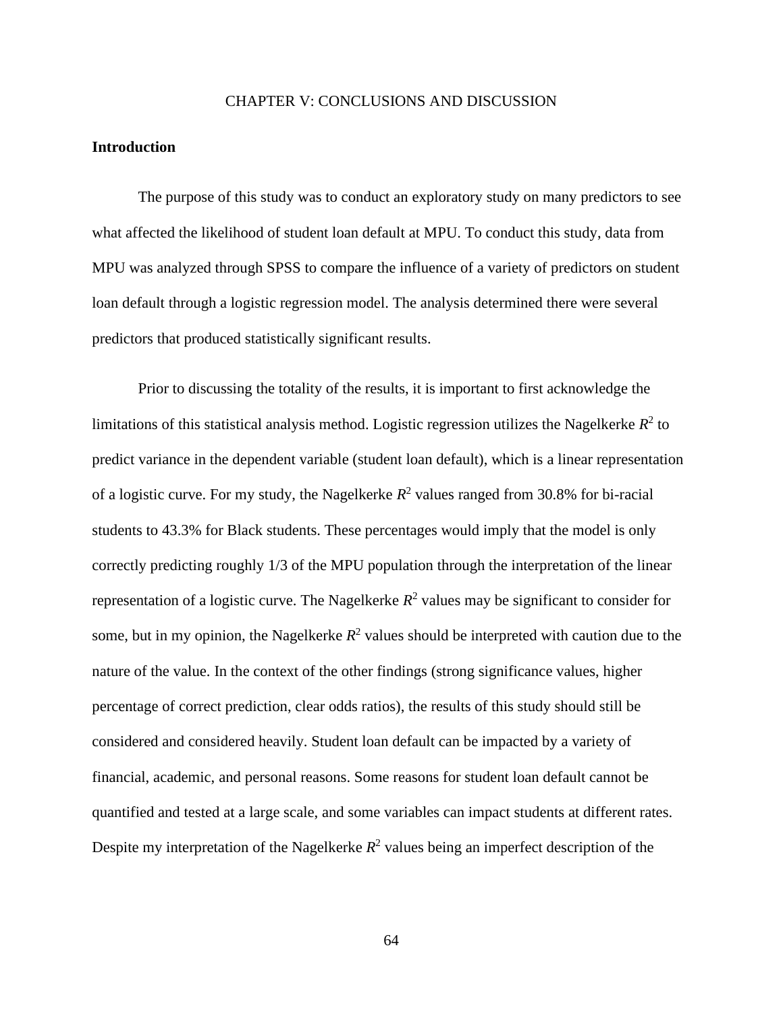#### CHAPTER V: CONCLUSIONS AND DISCUSSION

### **Introduction**

The purpose of this study was to conduct an exploratory study on many predictors to see what affected the likelihood of student loan default at MPU. To conduct this study, data from MPU was analyzed through SPSS to compare the influence of a variety of predictors on student loan default through a logistic regression model. The analysis determined there were several predictors that produced statistically significant results.

Prior to discussing the totality of the results, it is important to first acknowledge the limitations of this statistical analysis method. Logistic regression utilizes the Nagelkerke  $R^2$  to predict variance in the dependent variable (student loan default), which is a linear representation of a logistic curve. For my study, the Nagelkerke  $R^2$  values ranged from 30.8% for bi-racial students to 43.3% for Black students. These percentages would imply that the model is only correctly predicting roughly 1/3 of the MPU population through the interpretation of the linear representation of a logistic curve. The Nagelkerke  $R^2$  values may be significant to consider for some, but in my opinion, the Nagelkerke  $R^2$  values should be interpreted with caution due to the nature of the value. In the context of the other findings (strong significance values, higher percentage of correct prediction, clear odds ratios), the results of this study should still be considered and considered heavily. Student loan default can be impacted by a variety of financial, academic, and personal reasons. Some reasons for student loan default cannot be quantified and tested at a large scale, and some variables can impact students at different rates. Despite my interpretation of the Nagelkerke  $R^2$  values being an imperfect description of the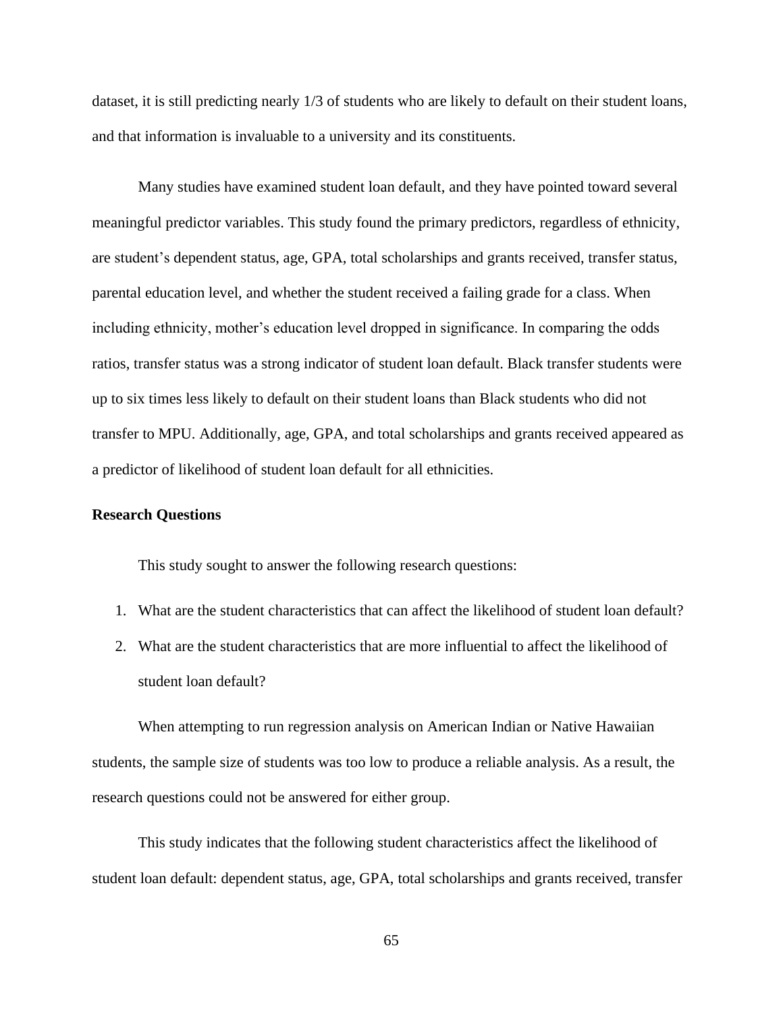dataset, it is still predicting nearly 1/3 of students who are likely to default on their student loans, and that information is invaluable to a university and its constituents.

Many studies have examined student loan default, and they have pointed toward several meaningful predictor variables. This study found the primary predictors, regardless of ethnicity, are student's dependent status, age, GPA, total scholarships and grants received, transfer status, parental education level, and whether the student received a failing grade for a class. When including ethnicity, mother's education level dropped in significance. In comparing the odds ratios, transfer status was a strong indicator of student loan default. Black transfer students were up to six times less likely to default on their student loans than Black students who did not transfer to MPU. Additionally, age, GPA, and total scholarships and grants received appeared as a predictor of likelihood of student loan default for all ethnicities.

# **Research Questions**

This study sought to answer the following research questions:

- 1. What are the student characteristics that can affect the likelihood of student loan default?
- 2. What are the student characteristics that are more influential to affect the likelihood of student loan default?

When attempting to run regression analysis on American Indian or Native Hawaiian students, the sample size of students was too low to produce a reliable analysis. As a result, the research questions could not be answered for either group.

This study indicates that the following student characteristics affect the likelihood of student loan default: dependent status, age, GPA, total scholarships and grants received, transfer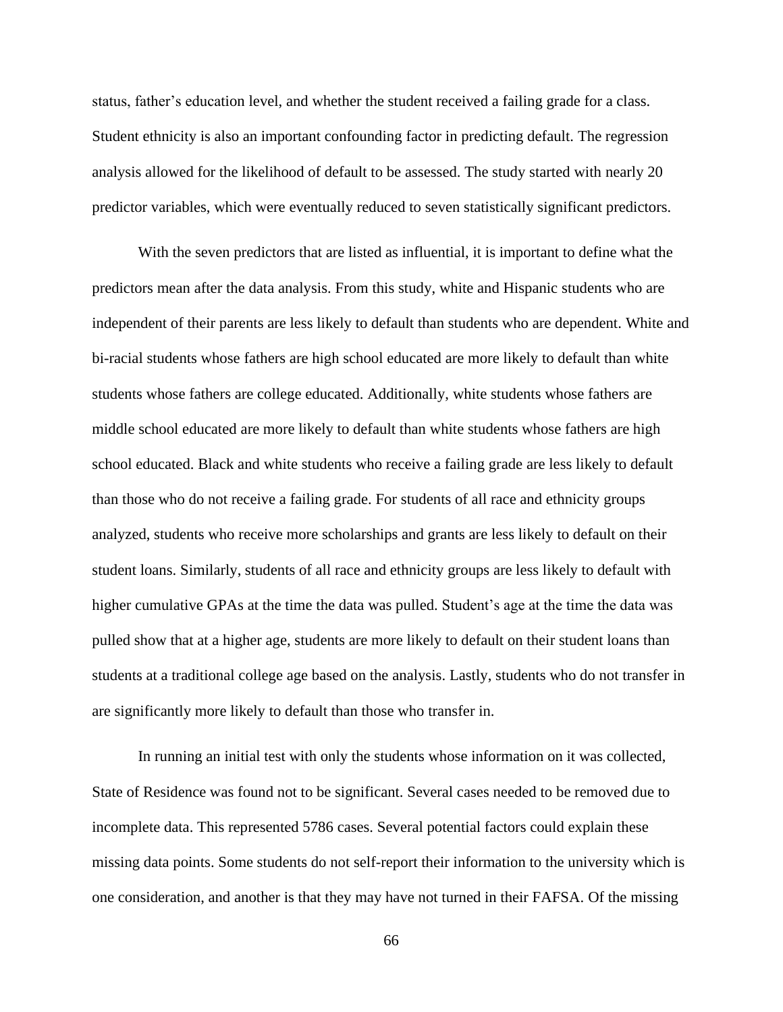status, father's education level, and whether the student received a failing grade for a class. Student ethnicity is also an important confounding factor in predicting default. The regression analysis allowed for the likelihood of default to be assessed. The study started with nearly 20 predictor variables, which were eventually reduced to seven statistically significant predictors.

With the seven predictors that are listed as influential, it is important to define what the predictors mean after the data analysis. From this study, white and Hispanic students who are independent of their parents are less likely to default than students who are dependent. White and bi-racial students whose fathers are high school educated are more likely to default than white students whose fathers are college educated. Additionally, white students whose fathers are middle school educated are more likely to default than white students whose fathers are high school educated. Black and white students who receive a failing grade are less likely to default than those who do not receive a failing grade. For students of all race and ethnicity groups analyzed, students who receive more scholarships and grants are less likely to default on their student loans. Similarly, students of all race and ethnicity groups are less likely to default with higher cumulative GPAs at the time the data was pulled. Student's age at the time the data was pulled show that at a higher age, students are more likely to default on their student loans than students at a traditional college age based on the analysis. Lastly, students who do not transfer in are significantly more likely to default than those who transfer in.

In running an initial test with only the students whose information on it was collected, State of Residence was found not to be significant. Several cases needed to be removed due to incomplete data. This represented 5786 cases. Several potential factors could explain these missing data points. Some students do not self-report their information to the university which is one consideration, and another is that they may have not turned in their FAFSA. Of the missing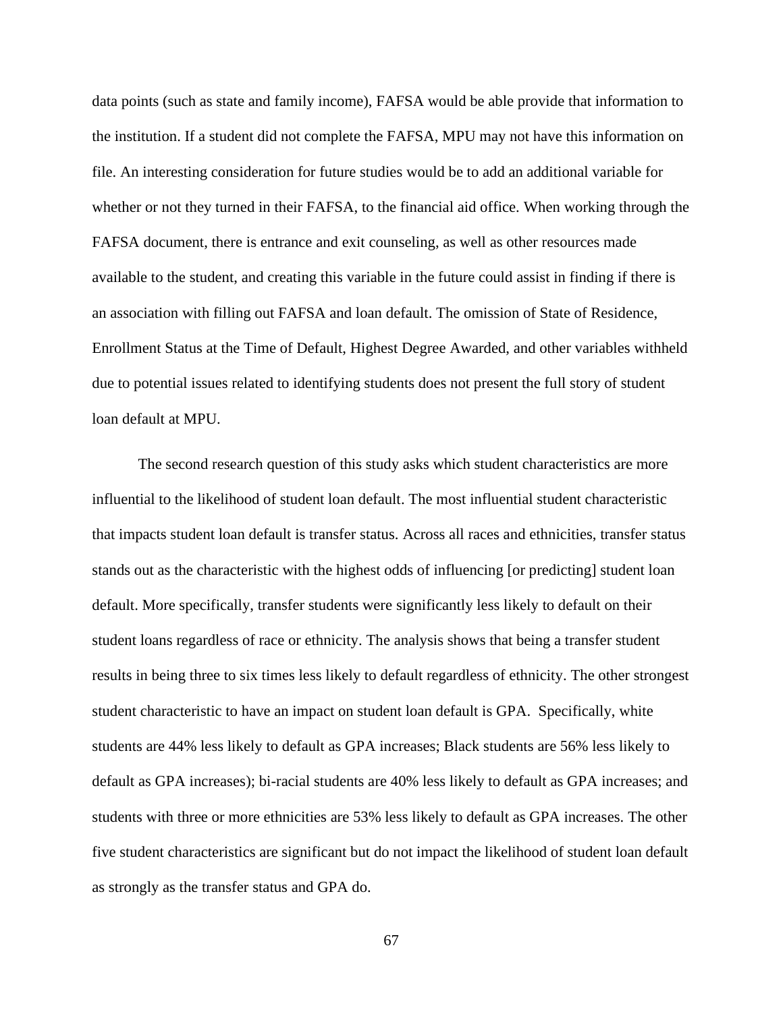data points (such as state and family income), FAFSA would be able provide that information to the institution. If a student did not complete the FAFSA, MPU may not have this information on file. An interesting consideration for future studies would be to add an additional variable for whether or not they turned in their FAFSA, to the financial aid office. When working through the FAFSA document, there is entrance and exit counseling, as well as other resources made available to the student, and creating this variable in the future could assist in finding if there is an association with filling out FAFSA and loan default. The omission of State of Residence, Enrollment Status at the Time of Default, Highest Degree Awarded, and other variables withheld due to potential issues related to identifying students does not present the full story of student loan default at MPU.

The second research question of this study asks which student characteristics are more influential to the likelihood of student loan default. The most influential student characteristic that impacts student loan default is transfer status. Across all races and ethnicities, transfer status stands out as the characteristic with the highest odds of influencing [or predicting] student loan default. More specifically, transfer students were significantly less likely to default on their student loans regardless of race or ethnicity. The analysis shows that being a transfer student results in being three to six times less likely to default regardless of ethnicity. The other strongest student characteristic to have an impact on student loan default is GPA. Specifically, white students are 44% less likely to default as GPA increases; Black students are 56% less likely to default as GPA increases); bi-racial students are 40% less likely to default as GPA increases; and students with three or more ethnicities are 53% less likely to default as GPA increases. The other five student characteristics are significant but do not impact the likelihood of student loan default as strongly as the transfer status and GPA do.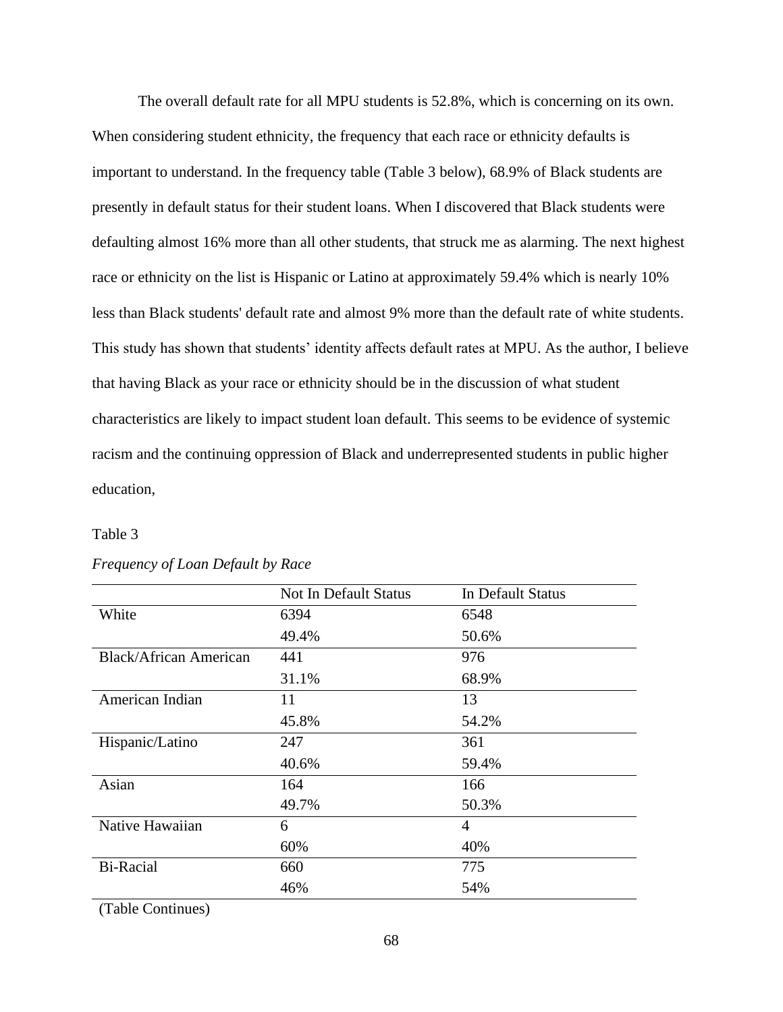The overall default rate for all MPU students is 52.8%, which is concerning on its own. When considering student ethnicity, the frequency that each race or ethnicity defaults is important to understand. In the frequency table (Table 3 below), 68.9% of Black students are presently in default status for their student loans. When I discovered that Black students were defaulting almost 16% more than all other students, that struck me as alarming. The next highest race or ethnicity on the list is Hispanic or Latino at approximately 59.4% which is nearly 10% less than Black students' default rate and almost 9% more than the default rate of white students. This study has shown that students' identity affects default rates at MPU. As the author, I believe that having Black as your race or ethnicity should be in the discussion of what student characteristics are likely to impact student loan default. This seems to be evidence of systemic racism and the continuing oppression of Black and underrepresented students in public higher education,

# Table 3

|                               | <b>Not In Default Status</b> | In Default Status |
|-------------------------------|------------------------------|-------------------|
| White                         | 6394                         | 6548              |
|                               | 49.4%                        | 50.6%             |
| <b>Black/African American</b> | 441                          | 976               |
|                               | 31.1%                        | 68.9%             |
| American Indian               | 11                           | 13                |
|                               | 45.8%                        | 54.2%             |
| Hispanic/Latino               | 247                          | 361               |
|                               | 40.6%                        | 59.4%             |
| Asian                         | 164                          | 166               |
|                               | 49.7%                        | 50.3%             |
| Native Hawaiian               | 6                            | 4                 |
|                               | 60%                          | 40%               |
| <b>Bi-Racial</b>              | 660                          | 775               |
|                               | 46%                          | 54%               |

# *Frequency of Loan Default by Race*

(Table Continues)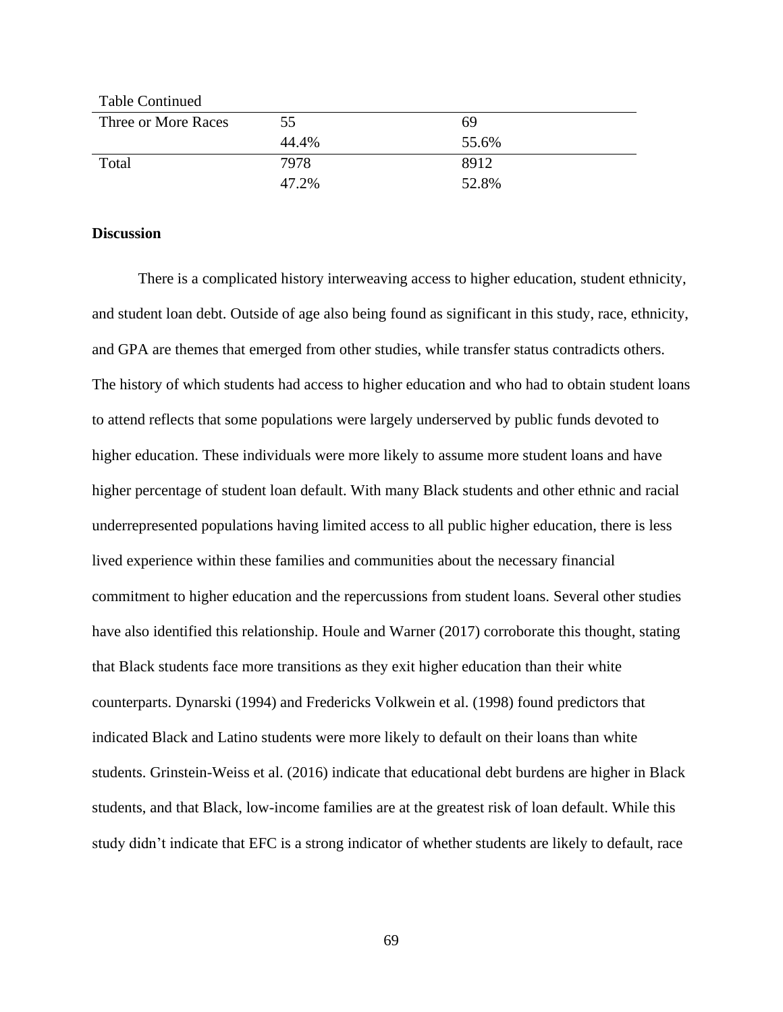| <b>Table Continued</b> |       |       |
|------------------------|-------|-------|
| Three or More Races    | 55    | 69    |
|                        | 44.4% | 55.6% |
| Total                  | 7978  | 8912  |
|                        | 47.2% | 52.8% |

### **Discussion**

There is a complicated history interweaving access to higher education, student ethnicity, and student loan debt. Outside of age also being found as significant in this study, race, ethnicity, and GPA are themes that emerged from other studies, while transfer status contradicts others. The history of which students had access to higher education and who had to obtain student loans to attend reflects that some populations were largely underserved by public funds devoted to higher education. These individuals were more likely to assume more student loans and have higher percentage of student loan default. With many Black students and other ethnic and racial underrepresented populations having limited access to all public higher education, there is less lived experience within these families and communities about the necessary financial commitment to higher education and the repercussions from student loans. Several other studies have also identified this relationship. Houle and Warner (2017) corroborate this thought, stating that Black students face more transitions as they exit higher education than their white counterparts. Dynarski (1994) and Fredericks Volkwein et al. (1998) found predictors that indicated Black and Latino students were more likely to default on their loans than white students. Grinstein-Weiss et al. (2016) indicate that educational debt burdens are higher in Black students, and that Black, low-income families are at the greatest risk of loan default. While this study didn't indicate that EFC is a strong indicator of whether students are likely to default, race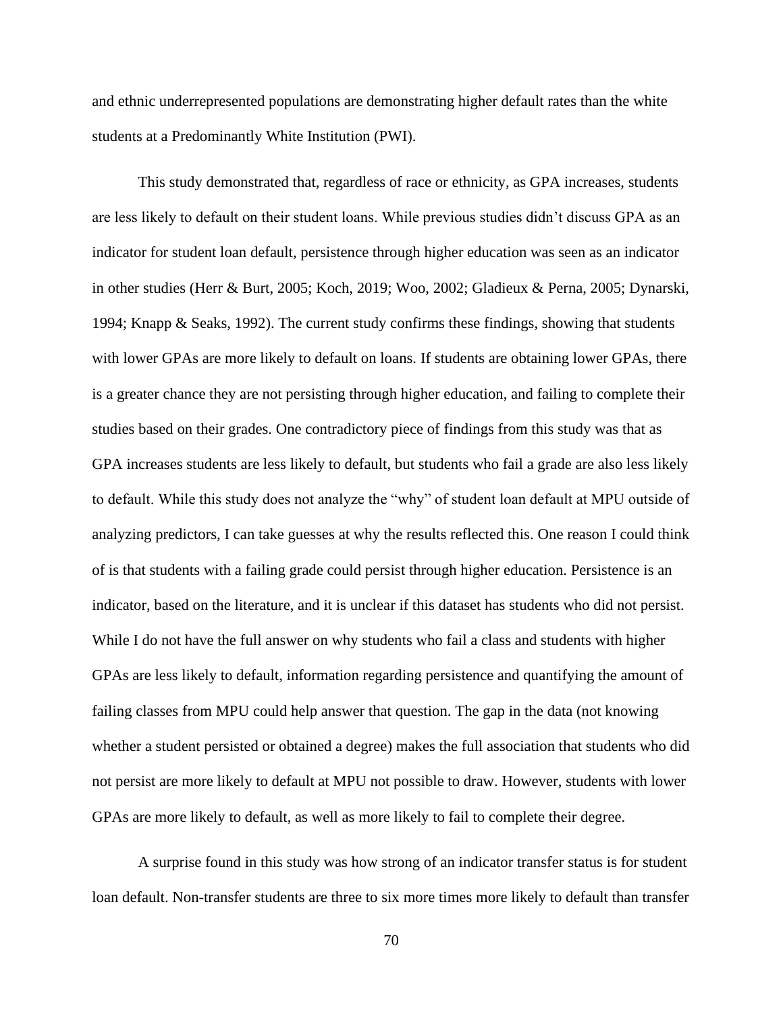and ethnic underrepresented populations are demonstrating higher default rates than the white students at a Predominantly White Institution (PWI).

This study demonstrated that, regardless of race or ethnicity, as GPA increases, students are less likely to default on their student loans. While previous studies didn't discuss GPA as an indicator for student loan default, persistence through higher education was seen as an indicator in other studies (Herr & Burt, 2005; Koch, 2019; Woo, 2002; Gladieux & Perna, 2005; Dynarski, 1994; Knapp & Seaks, 1992). The current study confirms these findings, showing that students with lower GPAs are more likely to default on loans. If students are obtaining lower GPAs, there is a greater chance they are not persisting through higher education, and failing to complete their studies based on their grades. One contradictory piece of findings from this study was that as GPA increases students are less likely to default, but students who fail a grade are also less likely to default. While this study does not analyze the "why" of student loan default at MPU outside of analyzing predictors, I can take guesses at why the results reflected this. One reason I could think of is that students with a failing grade could persist through higher education. Persistence is an indicator, based on the literature, and it is unclear if this dataset has students who did not persist. While I do not have the full answer on why students who fail a class and students with higher GPAs are less likely to default, information regarding persistence and quantifying the amount of failing classes from MPU could help answer that question. The gap in the data (not knowing whether a student persisted or obtained a degree) makes the full association that students who did not persist are more likely to default at MPU not possible to draw. However, students with lower GPAs are more likely to default, as well as more likely to fail to complete their degree.

A surprise found in this study was how strong of an indicator transfer status is for student loan default. Non-transfer students are three to six more times more likely to default than transfer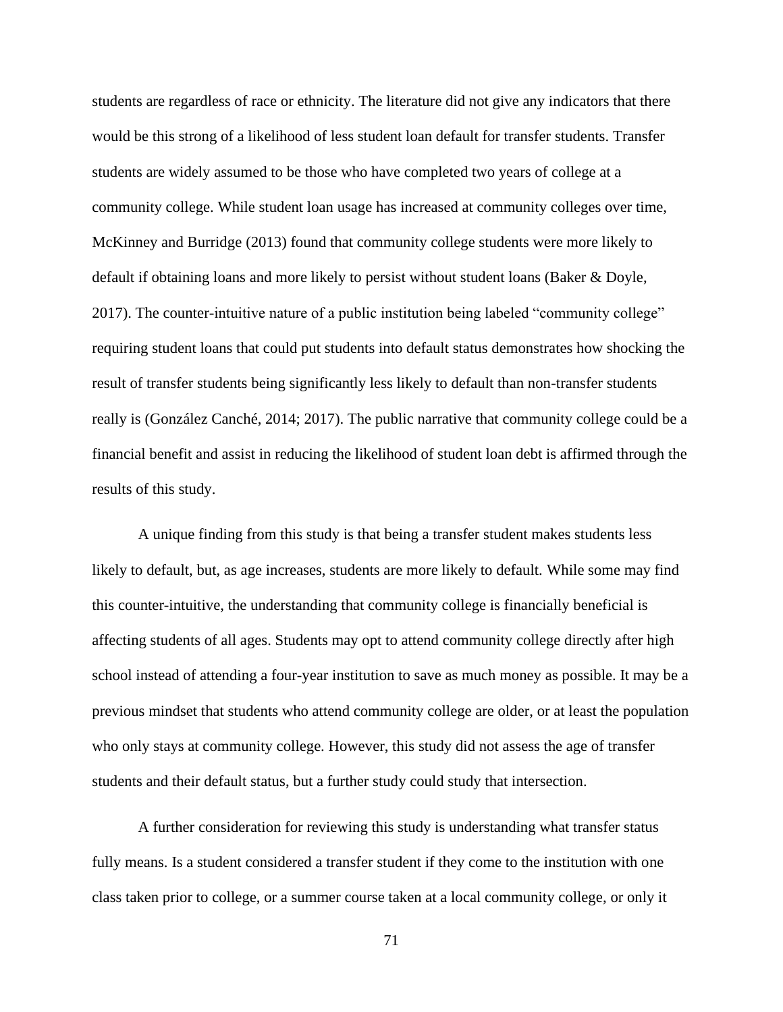students are regardless of race or ethnicity. The literature did not give any indicators that there would be this strong of a likelihood of less student loan default for transfer students. Transfer students are widely assumed to be those who have completed two years of college at a community college. While student loan usage has increased at community colleges over time, McKinney and Burridge (2013) found that community college students were more likely to default if obtaining loans and more likely to persist without student loans (Baker & Doyle, 2017). The counter-intuitive nature of a public institution being labeled "community college" requiring student loans that could put students into default status demonstrates how shocking the result of transfer students being significantly less likely to default than non-transfer students really is (González Canché, 2014; 2017). The public narrative that community college could be a financial benefit and assist in reducing the likelihood of student loan debt is affirmed through the results of this study.

A unique finding from this study is that being a transfer student makes students less likely to default, but, as age increases, students are more likely to default. While some may find this counter-intuitive, the understanding that community college is financially beneficial is affecting students of all ages. Students may opt to attend community college directly after high school instead of attending a four-year institution to save as much money as possible. It may be a previous mindset that students who attend community college are older, or at least the population who only stays at community college. However, this study did not assess the age of transfer students and their default status, but a further study could study that intersection.

A further consideration for reviewing this study is understanding what transfer status fully means. Is a student considered a transfer student if they come to the institution with one class taken prior to college, or a summer course taken at a local community college, or only it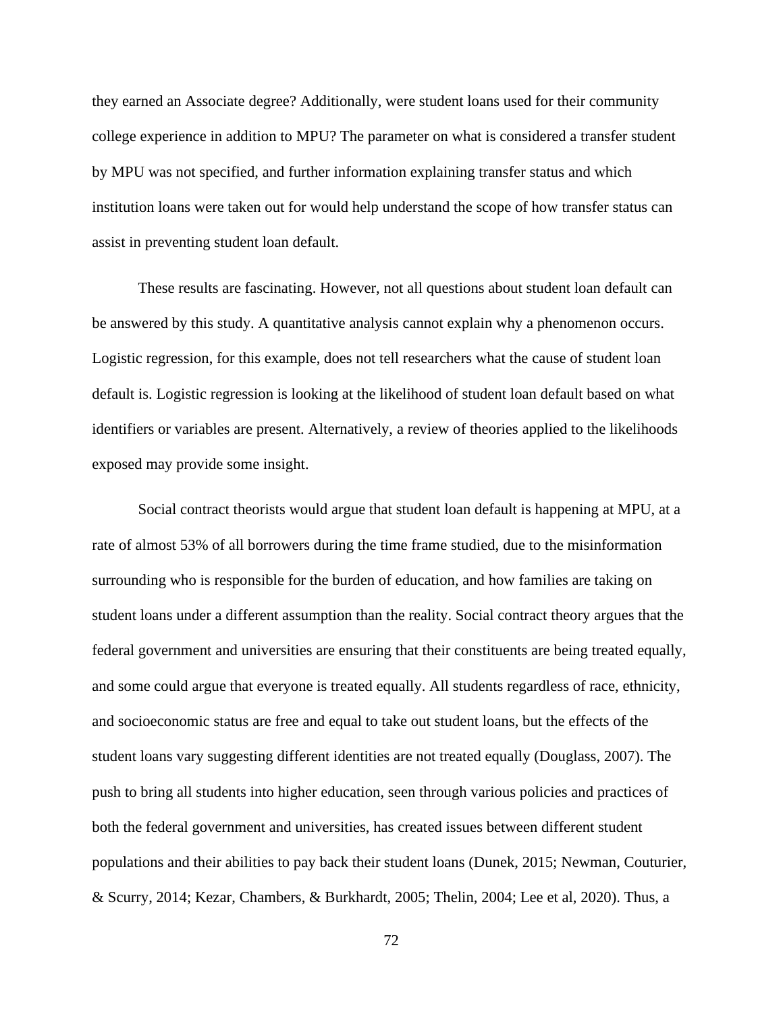they earned an Associate degree? Additionally, were student loans used for their community college experience in addition to MPU? The parameter on what is considered a transfer student by MPU was not specified, and further information explaining transfer status and which institution loans were taken out for would help understand the scope of how transfer status can assist in preventing student loan default.

These results are fascinating. However, not all questions about student loan default can be answered by this study. A quantitative analysis cannot explain why a phenomenon occurs. Logistic regression, for this example, does not tell researchers what the cause of student loan default is. Logistic regression is looking at the likelihood of student loan default based on what identifiers or variables are present. Alternatively, a review of theories applied to the likelihoods exposed may provide some insight.

Social contract theorists would argue that student loan default is happening at MPU, at a rate of almost 53% of all borrowers during the time frame studied, due to the misinformation surrounding who is responsible for the burden of education, and how families are taking on student loans under a different assumption than the reality. Social contract theory argues that the federal government and universities are ensuring that their constituents are being treated equally, and some could argue that everyone is treated equally. All students regardless of race, ethnicity, and socioeconomic status are free and equal to take out student loans, but the effects of the student loans vary suggesting different identities are not treated equally (Douglass, 2007). The push to bring all students into higher education, seen through various policies and practices of both the federal government and universities, has created issues between different student populations and their abilities to pay back their student loans (Dunek, 2015; Newman, Couturier, & Scurry, 2014; Kezar, Chambers, & Burkhardt, 2005; Thelin, 2004; Lee et al, 2020). Thus, a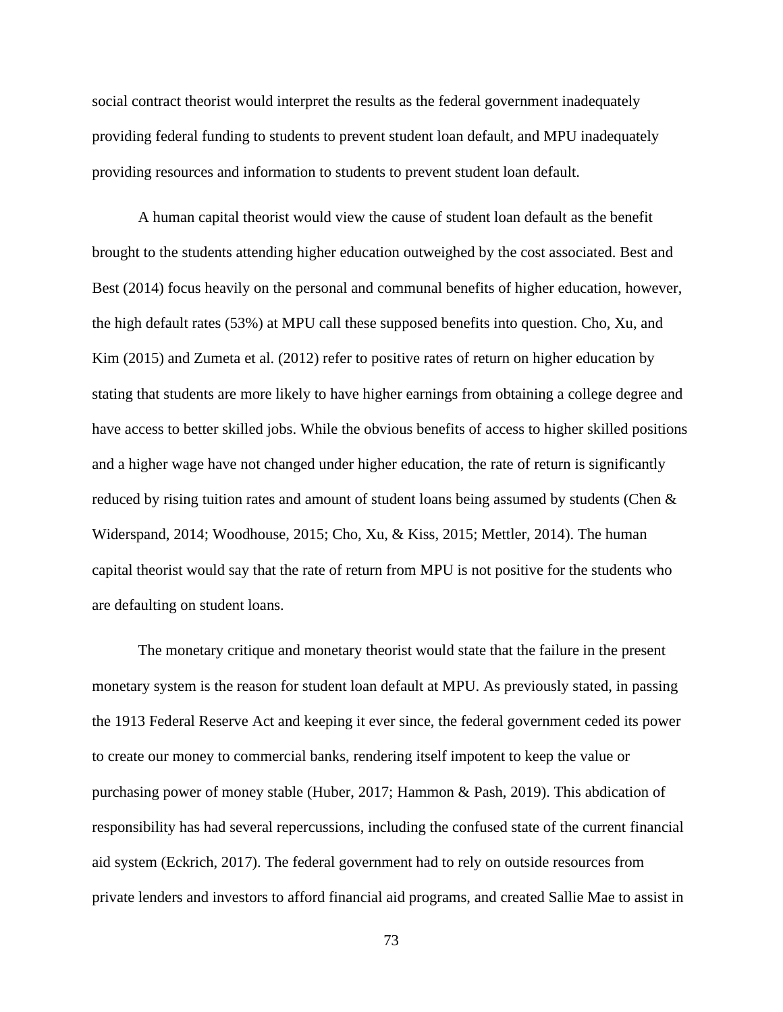social contract theorist would interpret the results as the federal government inadequately providing federal funding to students to prevent student loan default, and MPU inadequately providing resources and information to students to prevent student loan default.

A human capital theorist would view the cause of student loan default as the benefit brought to the students attending higher education outweighed by the cost associated. Best and Best (2014) focus heavily on the personal and communal benefits of higher education, however, the high default rates (53%) at MPU call these supposed benefits into question. Cho, Xu, and Kim (2015) and Zumeta et al. (2012) refer to positive rates of return on higher education by stating that students are more likely to have higher earnings from obtaining a college degree and have access to better skilled jobs. While the obvious benefits of access to higher skilled positions and a higher wage have not changed under higher education, the rate of return is significantly reduced by rising tuition rates and amount of student loans being assumed by students (Chen & Widerspand, 2014; Woodhouse, 2015; Cho, Xu, & Kiss, 2015; Mettler, 2014). The human capital theorist would say that the rate of return from MPU is not positive for the students who are defaulting on student loans.

The monetary critique and monetary theorist would state that the failure in the present monetary system is the reason for student loan default at MPU. As previously stated, in passing the 1913 Federal Reserve Act and keeping it ever since, the federal government ceded its power to create our money to commercial banks, rendering itself impotent to keep the value or purchasing power of money stable (Huber, 2017; Hammon & Pash, 2019). This abdication of responsibility has had several repercussions, including the confused state of the current financial aid system (Eckrich, 2017). The federal government had to rely on outside resources from private lenders and investors to afford financial aid programs, and created Sallie Mae to assist in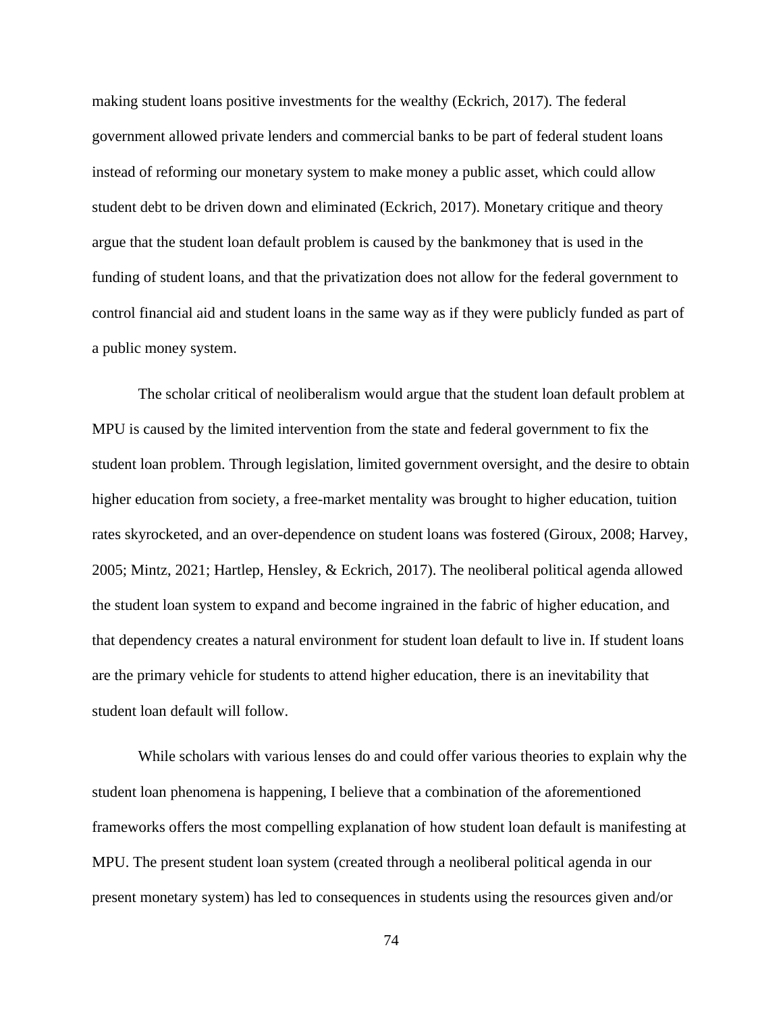making student loans positive investments for the wealthy (Eckrich, 2017). The federal government allowed private lenders and commercial banks to be part of federal student loans instead of reforming our monetary system to make money a public asset, which could allow student debt to be driven down and eliminated (Eckrich, 2017). Monetary critique and theory argue that the student loan default problem is caused by the bankmoney that is used in the funding of student loans, and that the privatization does not allow for the federal government to control financial aid and student loans in the same way as if they were publicly funded as part of a public money system.

The scholar critical of neoliberalism would argue that the student loan default problem at MPU is caused by the limited intervention from the state and federal government to fix the student loan problem. Through legislation, limited government oversight, and the desire to obtain higher education from society, a free-market mentality was brought to higher education, tuition rates skyrocketed, and an over-dependence on student loans was fostered (Giroux, 2008; Harvey, 2005; Mintz, 2021; Hartlep, Hensley, & Eckrich, 2017). The neoliberal political agenda allowed the student loan system to expand and become ingrained in the fabric of higher education, and that dependency creates a natural environment for student loan default to live in. If student loans are the primary vehicle for students to attend higher education, there is an inevitability that student loan default will follow.

While scholars with various lenses do and could offer various theories to explain why the student loan phenomena is happening, I believe that a combination of the aforementioned frameworks offers the most compelling explanation of how student loan default is manifesting at MPU. The present student loan system (created through a neoliberal political agenda in our present monetary system) has led to consequences in students using the resources given and/or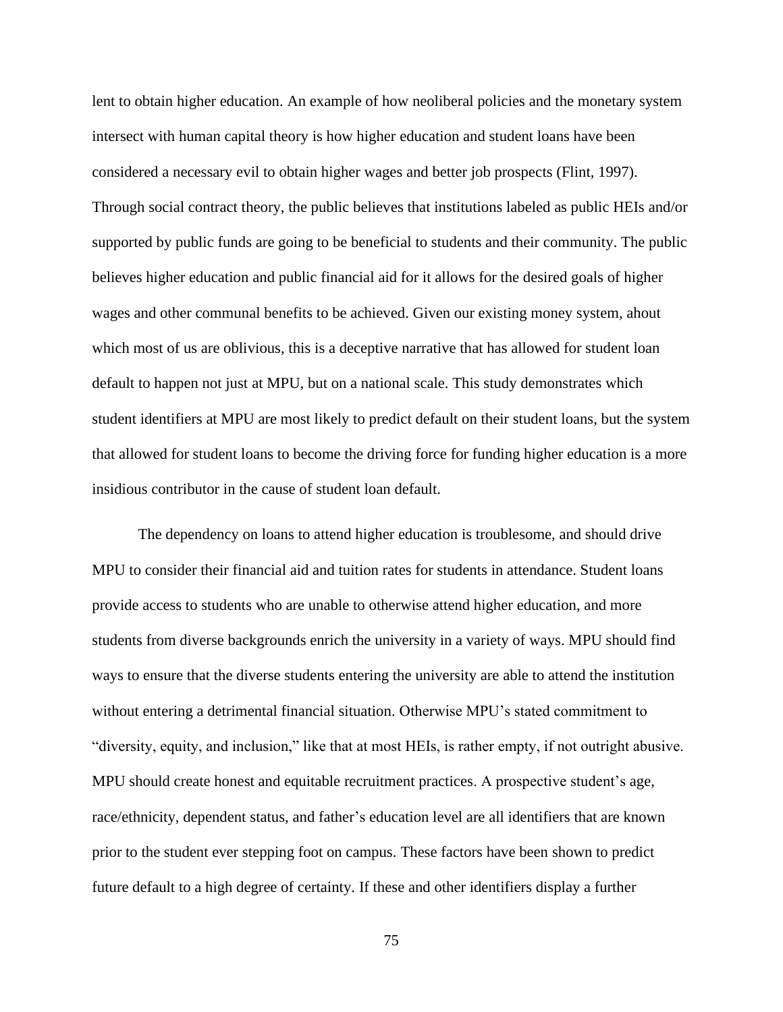lent to obtain higher education. An example of how neoliberal policies and the monetary system intersect with human capital theory is how higher education and student loans have been considered a necessary evil to obtain higher wages and better job prospects (Flint, 1997). Through social contract theory, the public believes that institutions labeled as public HEIs and/or supported by public funds are going to be beneficial to students and their community. The public believes higher education and public financial aid for it allows for the desired goals of higher wages and other communal benefits to be achieved. Given our existing money system, ahout which most of us are oblivious, this is a deceptive narrative that has allowed for student loan default to happen not just at MPU, but on a national scale. This study demonstrates which student identifiers at MPU are most likely to predict default on their student loans, but the system that allowed for student loans to become the driving force for funding higher education is a more insidious contributor in the cause of student loan default.

The dependency on loans to attend higher education is troublesome, and should drive MPU to consider their financial aid and tuition rates for students in attendance. Student loans provide access to students who are unable to otherwise attend higher education, and more students from diverse backgrounds enrich the university in a variety of ways. MPU should find ways to ensure that the diverse students entering the university are able to attend the institution without entering a detrimental financial situation. Otherwise MPU's stated commitment to "diversity, equity, and inclusion," like that at most HEIs, is rather empty, if not outright abusive. MPU should create honest and equitable recruitment practices. A prospective student's age, race/ethnicity, dependent status, and father's education level are all identifiers that are known prior to the student ever stepping foot on campus. These factors have been shown to predict future default to a high degree of certainty. If these and other identifiers display a further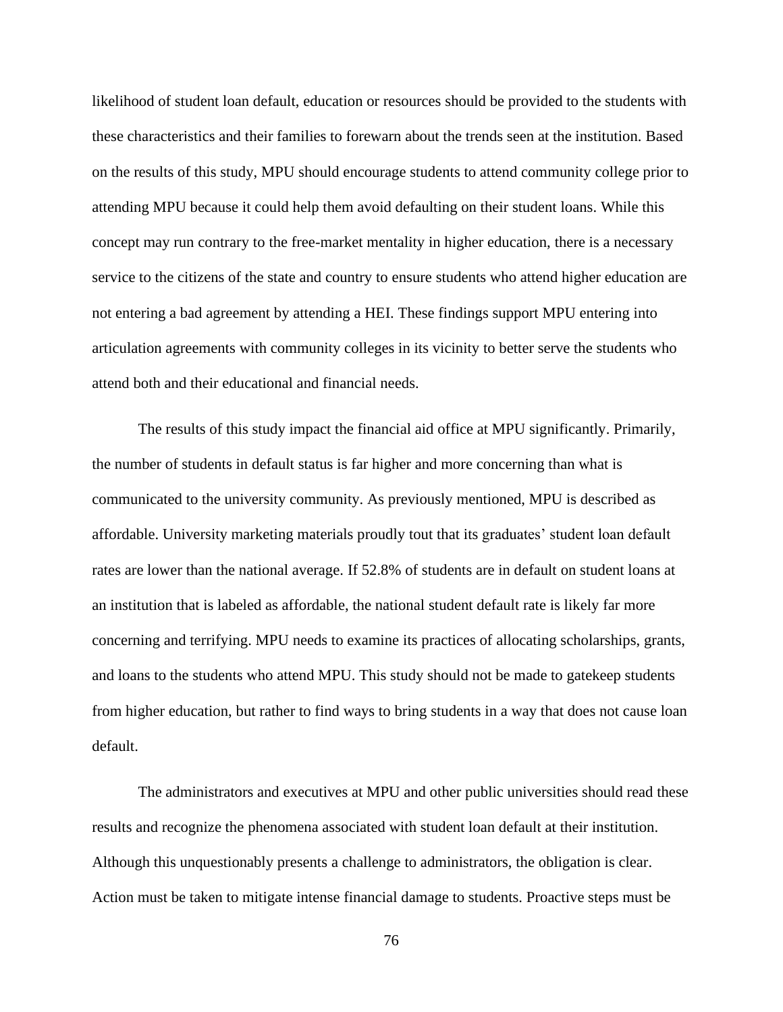likelihood of student loan default, education or resources should be provided to the students with these characteristics and their families to forewarn about the trends seen at the institution. Based on the results of this study, MPU should encourage students to attend community college prior to attending MPU because it could help them avoid defaulting on their student loans. While this concept may run contrary to the free-market mentality in higher education, there is a necessary service to the citizens of the state and country to ensure students who attend higher education are not entering a bad agreement by attending a HEI. These findings support MPU entering into articulation agreements with community colleges in its vicinity to better serve the students who attend both and their educational and financial needs.

The results of this study impact the financial aid office at MPU significantly. Primarily, the number of students in default status is far higher and more concerning than what is communicated to the university community. As previously mentioned, MPU is described as affordable. University marketing materials proudly tout that its graduates' student loan default rates are lower than the national average. If 52.8% of students are in default on student loans at an institution that is labeled as affordable, the national student default rate is likely far more concerning and terrifying. MPU needs to examine its practices of allocating scholarships, grants, and loans to the students who attend MPU. This study should not be made to gatekeep students from higher education, but rather to find ways to bring students in a way that does not cause loan default.

The administrators and executives at MPU and other public universities should read these results and recognize the phenomena associated with student loan default at their institution. Although this unquestionably presents a challenge to administrators, the obligation is clear. Action must be taken to mitigate intense financial damage to students. Proactive steps must be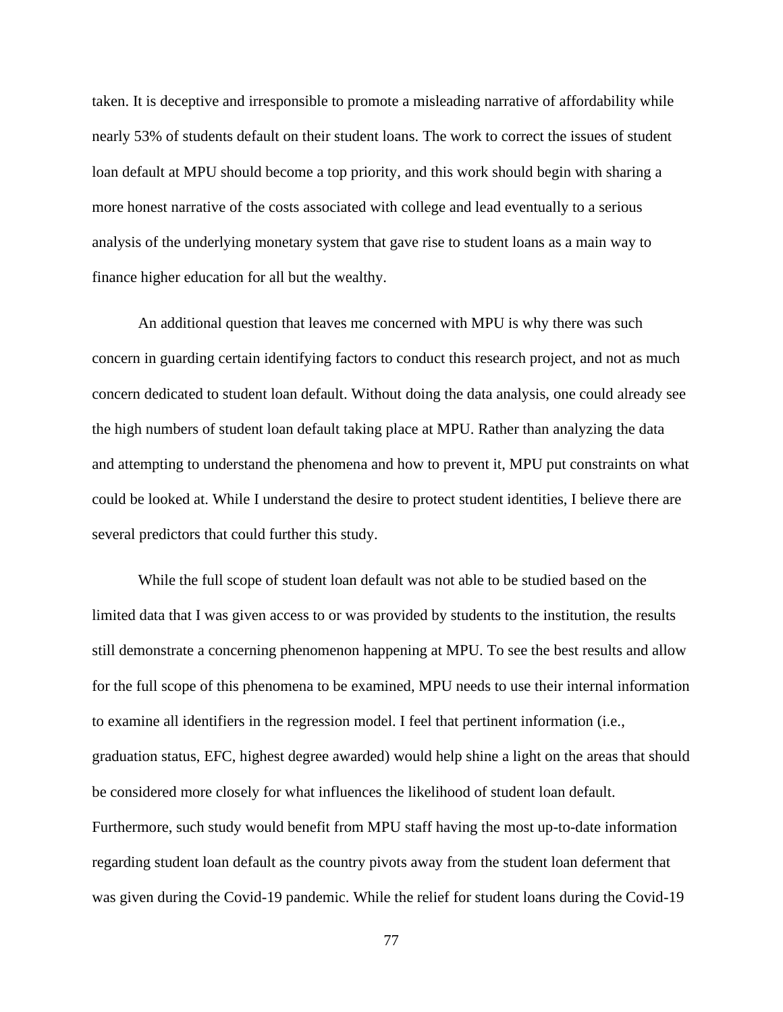taken. It is deceptive and irresponsible to promote a misleading narrative of affordability while nearly 53% of students default on their student loans. The work to correct the issues of student loan default at MPU should become a top priority, and this work should begin with sharing a more honest narrative of the costs associated with college and lead eventually to a serious analysis of the underlying monetary system that gave rise to student loans as a main way to finance higher education for all but the wealthy.

An additional question that leaves me concerned with MPU is why there was such concern in guarding certain identifying factors to conduct this research project, and not as much concern dedicated to student loan default. Without doing the data analysis, one could already see the high numbers of student loan default taking place at MPU. Rather than analyzing the data and attempting to understand the phenomena and how to prevent it, MPU put constraints on what could be looked at. While I understand the desire to protect student identities, I believe there are several predictors that could further this study.

While the full scope of student loan default was not able to be studied based on the limited data that I was given access to or was provided by students to the institution, the results still demonstrate a concerning phenomenon happening at MPU. To see the best results and allow for the full scope of this phenomena to be examined, MPU needs to use their internal information to examine all identifiers in the regression model. I feel that pertinent information (i.e., graduation status, EFC, highest degree awarded) would help shine a light on the areas that should be considered more closely for what influences the likelihood of student loan default. Furthermore, such study would benefit from MPU staff having the most up-to-date information regarding student loan default as the country pivots away from the student loan deferment that was given during the Covid-19 pandemic. While the relief for student loans during the Covid-19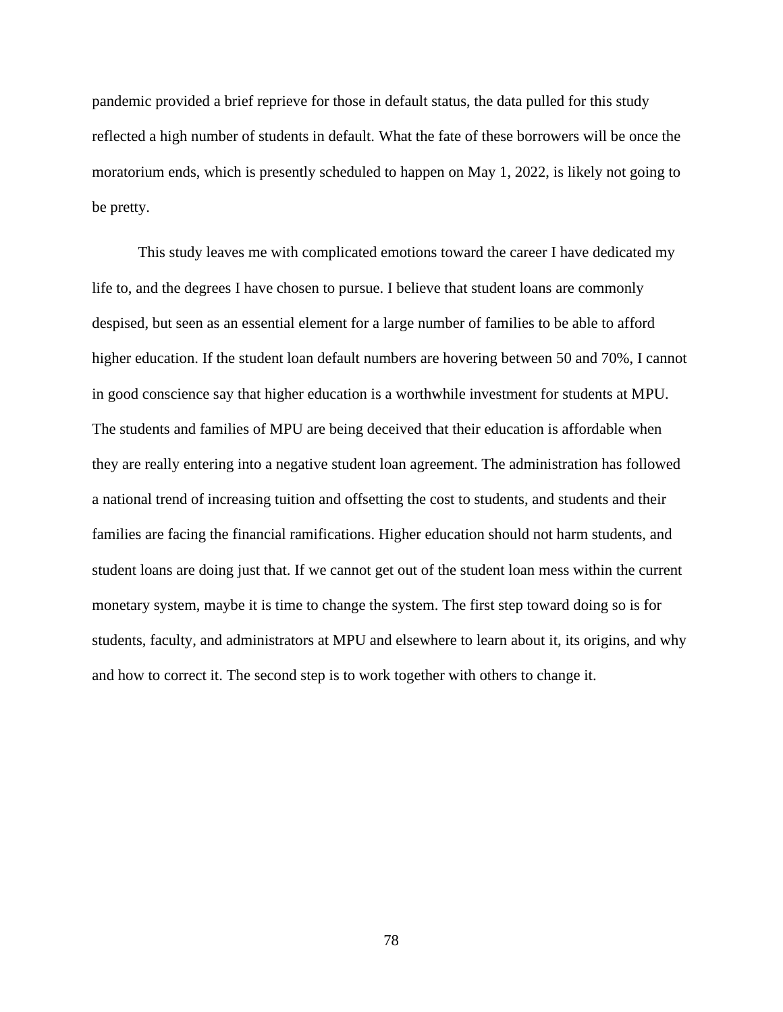pandemic provided a brief reprieve for those in default status, the data pulled for this study reflected a high number of students in default. What the fate of these borrowers will be once the moratorium ends, which is presently scheduled to happen on May 1, 2022, is likely not going to be pretty.

This study leaves me with complicated emotions toward the career I have dedicated my life to, and the degrees I have chosen to pursue. I believe that student loans are commonly despised, but seen as an essential element for a large number of families to be able to afford higher education. If the student loan default numbers are hovering between 50 and 70%, I cannot in good conscience say that higher education is a worthwhile investment for students at MPU. The students and families of MPU are being deceived that their education is affordable when they are really entering into a negative student loan agreement. The administration has followed a national trend of increasing tuition and offsetting the cost to students, and students and their families are facing the financial ramifications. Higher education should not harm students, and student loans are doing just that. If we cannot get out of the student loan mess within the current monetary system, maybe it is time to change the system. The first step toward doing so is for students, faculty, and administrators at MPU and elsewhere to learn about it, its origins, and why and how to correct it. The second step is to work together with others to change it.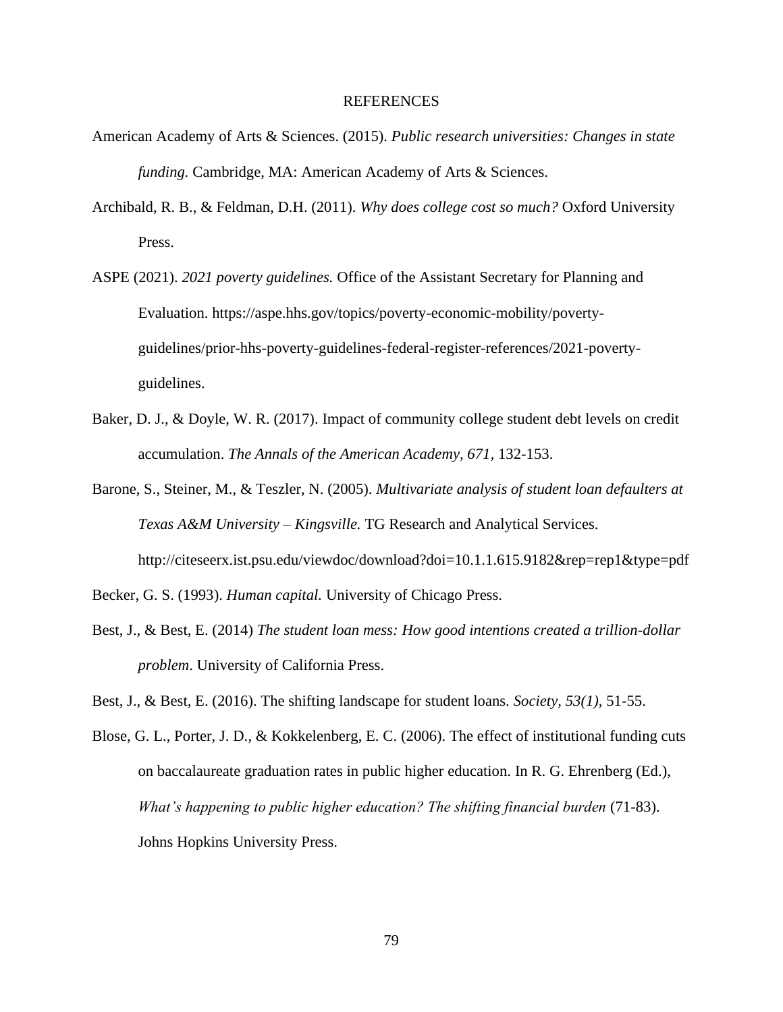#### REFERENCES

- American Academy of Arts & Sciences. (2015). *Public research universities: Changes in state funding.* Cambridge, MA: American Academy of Arts & Sciences.
- Archibald, R. B., & Feldman, D.H. (2011). *Why does college cost so much?* Oxford University Press.
- ASPE (2021). *2021 poverty guidelines.* Office of the Assistant Secretary for Planning and Evaluation. https://aspe.hhs.gov/topics/poverty-economic-mobility/povertyguidelines/prior-hhs-poverty-guidelines-federal-register-references/2021-povertyguidelines.
- Baker, D. J., & Doyle, W. R. (2017). Impact of community college student debt levels on credit accumulation. *The Annals of the American Academy, 671,* 132-153.
- Barone, S., Steiner, M., & Teszler, N. (2005). *Multivariate analysis of student loan defaulters at Texas A&M University – Kingsville.* TG Research and Analytical Services. http://citeseerx.ist.psu.edu/viewdoc/download?doi=10.1.1.615.9182&rep=rep1&type=pdf
- Becker, G. S. (1993). *Human capital.* University of Chicago Press.
- Best, J., & Best, E. (2014) *The student loan mess: How good intentions created a trillion-dollar problem*. University of California Press.
- Best, J., & Best, E. (2016). The shifting landscape for student loans. *Society, 53(1),* 51-55.
- Blose, G. L., Porter, J. D., & Kokkelenberg, E. C. (2006). The effect of institutional funding cuts on baccalaureate graduation rates in public higher education. In R. G. Ehrenberg (Ed.), *What's happening to public higher education? The shifting financial burden* (71-83). Johns Hopkins University Press.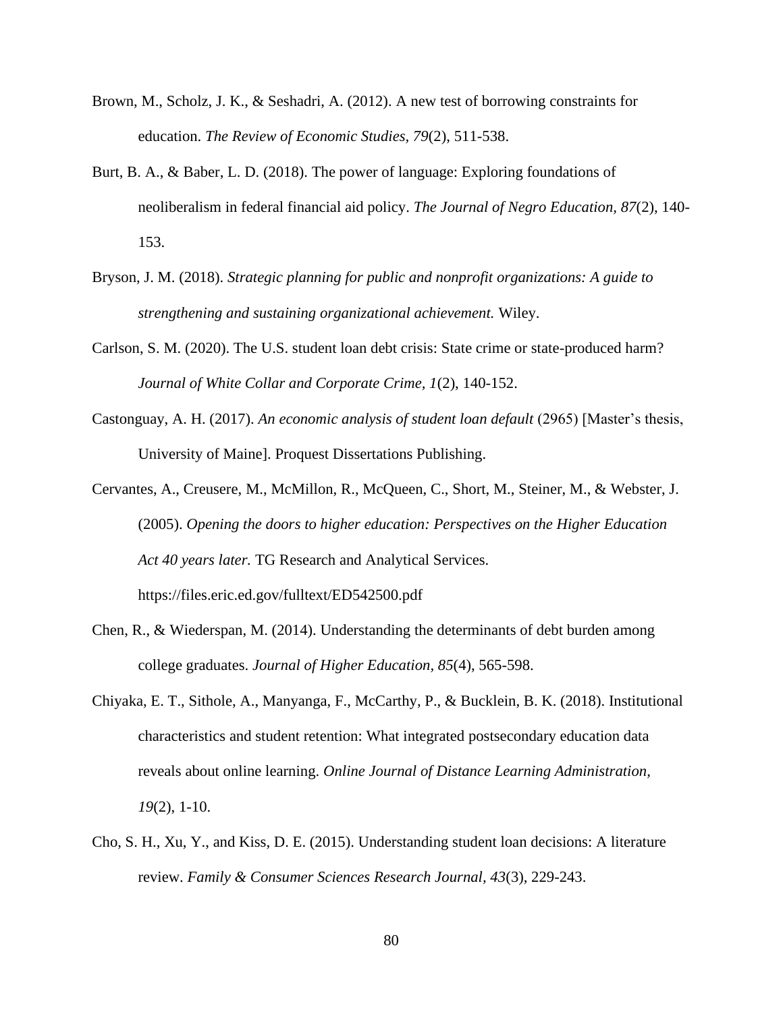- Brown, M., Scholz, J. K., & Seshadri, A. (2012). A new test of borrowing constraints for education. *The Review of Economic Studies, 79*(2), 511-538.
- Burt, B. A., & Baber, L. D. (2018). The power of language: Exploring foundations of neoliberalism in federal financial aid policy. *The Journal of Negro Education, 87*(2), 140- 153.
- Bryson, J. M. (2018). *Strategic planning for public and nonprofit organizations: A guide to strengthening and sustaining organizational achievement.* Wiley.
- Carlson, S. M. (2020). The U.S. student loan debt crisis: State crime or state-produced harm? *Journal of White Collar and Corporate Crime, 1*(2), 140-152.
- Castonguay, A. H. (2017). *An economic analysis of student loan default* (2965) [Master's thesis, University of Maine]. Proquest Dissertations Publishing.
- Cervantes, A., Creusere, M., McMillon, R., McQueen, C., Short, M., Steiner, M., & Webster, J. (2005). *Opening the doors to higher education: Perspectives on the Higher Education Act 40 years later.* TG Research and Analytical Services. https://files.eric.ed.gov/fulltext/ED542500.pdf
- Chen, R., & Wiederspan, M. (2014). Understanding the determinants of debt burden among college graduates. *Journal of Higher Education, 85*(4), 565-598.
- Chiyaka, E. T., Sithole, A., Manyanga, F., McCarthy, P., & Bucklein, B. K. (2018). Institutional characteristics and student retention: What integrated postsecondary education data reveals about online learning. *Online Journal of Distance Learning Administration, 19*(2), 1-10.
- Cho, S. H., Xu, Y., and Kiss, D. E. (2015). Understanding student loan decisions: A literature review. *Family & Consumer Sciences Research Journal, 43*(3), 229-243.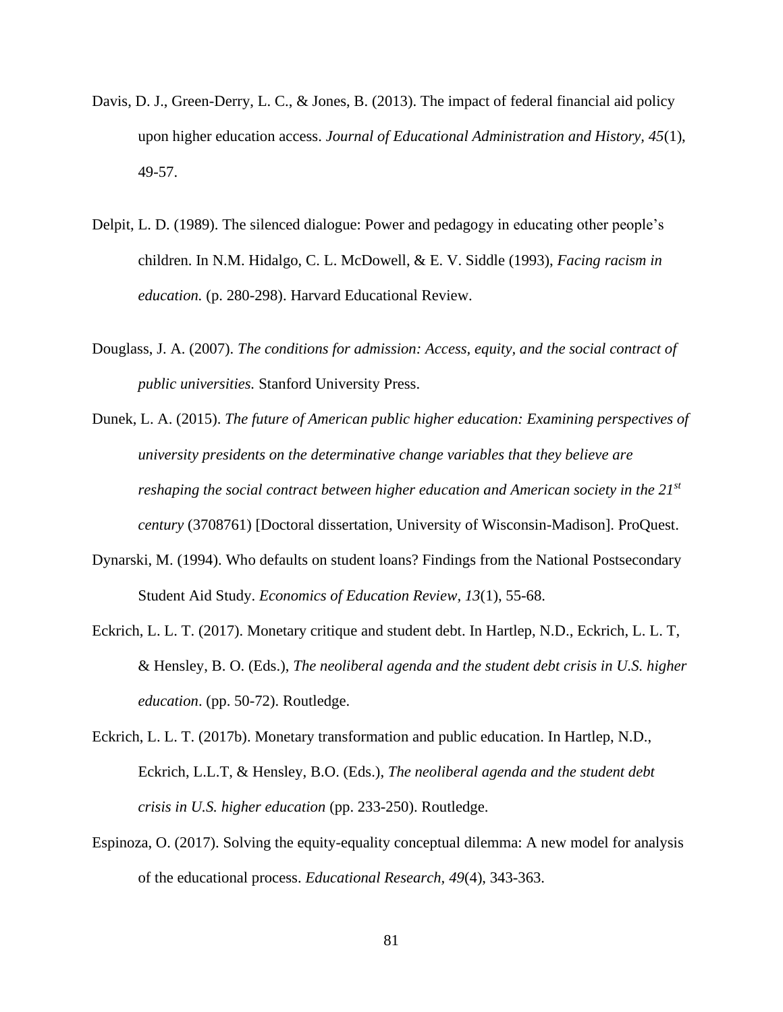- Davis, D. J., Green-Derry, L. C., & Jones, B. (2013). The impact of federal financial aid policy upon higher education access. *Journal of Educational Administration and History, 45*(1), 49-57.
- Delpit, L. D. (1989). The silenced dialogue: Power and pedagogy in educating other people's children. In N.M. Hidalgo, C. L. McDowell, & E. V. Siddle (1993), *Facing racism in education.* (p. 280-298). Harvard Educational Review.
- Douglass, J. A. (2007). *The conditions for admission: Access, equity, and the social contract of public universities.* Stanford University Press.
- Dunek, L. A. (2015). *The future of American public higher education: Examining perspectives of university presidents on the determinative change variables that they believe are reshaping the social contract between higher education and American society in the 21st century* (3708761) [Doctoral dissertation, University of Wisconsin-Madison]. ProQuest.
- Dynarski, M. (1994). Who defaults on student loans? Findings from the National Postsecondary Student Aid Study. *Economics of Education Review, 13*(1), 55-68.
- Eckrich, L. L. T. (2017). Monetary critique and student debt. In Hartlep, N.D., Eckrich, L. L. T, & Hensley, B. O. (Eds.), *The neoliberal agenda and the student debt crisis in U.S. higher education*. (pp. 50-72). Routledge.
- Eckrich, L. L. T. (2017b). Monetary transformation and public education. In Hartlep, N.D., Eckrich, L.L.T, & Hensley, B.O. (Eds.), *The neoliberal agenda and the student debt crisis in U.S. higher education* (pp. 233-250). Routledge.
- Espinoza, O. (2017). Solving the equity-equality conceptual dilemma: A new model for analysis of the educational process. *Educational Research, 49*(4), 343-363.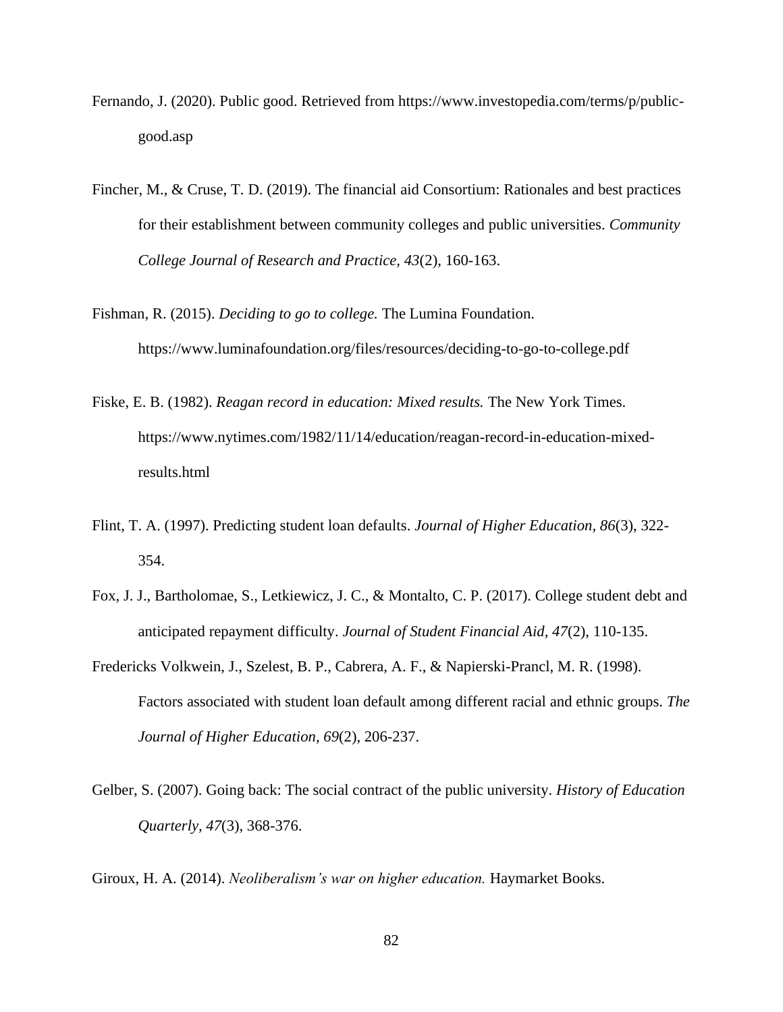- Fernando, J. (2020). Public good. Retrieved from https://www.investopedia.com/terms/p/publicgood.asp
- Fincher, M., & Cruse, T. D. (2019). The financial aid Consortium: Rationales and best practices for their establishment between community colleges and public universities. *Community College Journal of Research and Practice, 43*(2), 160-163.
- Fishman, R. (2015). *Deciding to go to college.* The Lumina Foundation. https://www.luminafoundation.org/files/resources/deciding-to-go-to-college.pdf
- Fiske, E. B. (1982). *Reagan record in education: Mixed results.* The New York Times. https://www.nytimes.com/1982/11/14/education/reagan-record-in-education-mixedresults.html
- Flint, T. A. (1997). Predicting student loan defaults. *Journal of Higher Education, 86*(3), 322- 354.
- Fox, J. J., Bartholomae, S., Letkiewicz, J. C., & Montalto, C. P. (2017). College student debt and anticipated repayment difficulty. *Journal of Student Financial Aid, 47*(2), 110-135.
- Fredericks Volkwein, J., Szelest, B. P., Cabrera, A. F., & Napierski-Prancl, M. R. (1998). Factors associated with student loan default among different racial and ethnic groups. *The Journal of Higher Education, 69*(2), 206-237.
- Gelber, S. (2007). Going back: The social contract of the public university. *History of Education Quarterly, 47*(3), 368-376.

Giroux, H. A. (2014). *Neoliberalism's war on higher education.* Haymarket Books.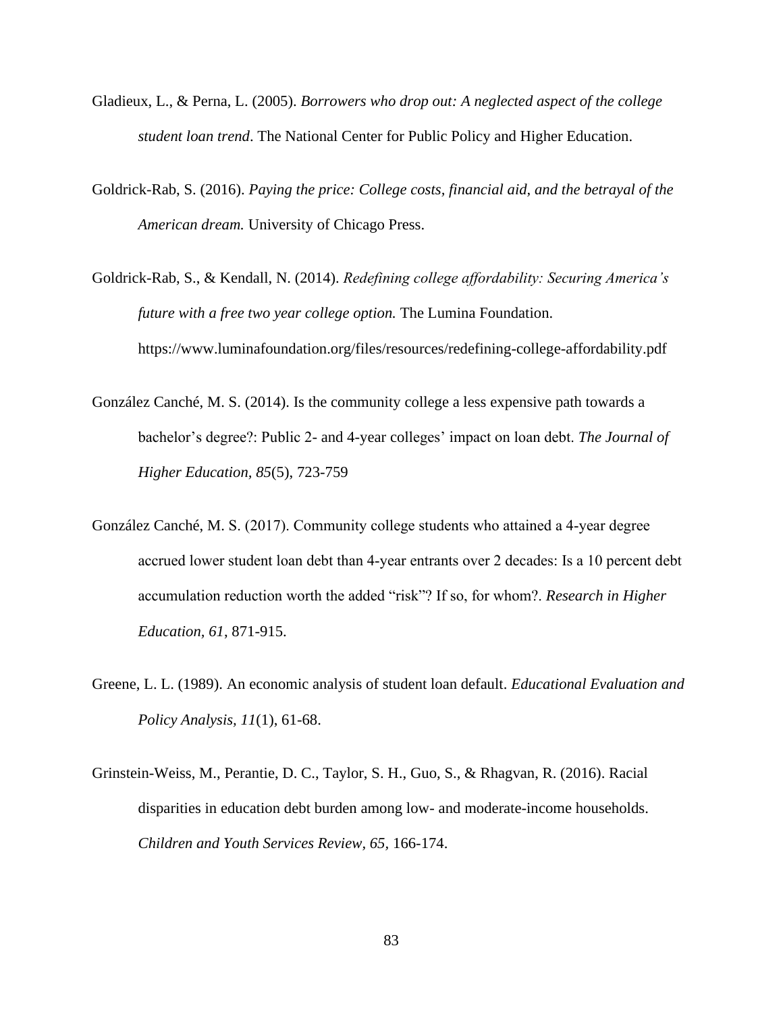- Gladieux, L., & Perna, L. (2005). *Borrowers who drop out: A neglected aspect of the college student loan trend*. The National Center for Public Policy and Higher Education.
- Goldrick-Rab, S. (2016). *Paying the price: College costs, financial aid, and the betrayal of the American dream.* University of Chicago Press.
- Goldrick-Rab, S., & Kendall, N. (2014). *Redefining college affordability: Securing America's future with a free two year college option.* The Lumina Foundation. https://www.luminafoundation.org/files/resources/redefining-college-affordability.pdf
- González Canché, M. S. (2014). Is the community college a less expensive path towards a bachelor's degree?: Public 2- and 4-year colleges' impact on loan debt. *The Journal of Higher Education, 85*(5), 723-759
- González Canché, M. S. (2017). Community college students who attained a 4‐year degree accrued lower student loan debt than 4‐year entrants over 2 decades: Is a 10 percent debt accumulation reduction worth the added "risk"? If so, for whom?. *Research in Higher Education, 61*, 871-915.
- Greene, L. L. (1989). An economic analysis of student loan default. *Educational Evaluation and Policy Analysis, 11*(1), 61-68.
- Grinstein-Weiss, M., Perantie, D. C., Taylor, S. H., Guo, S., & Rhagvan, R. (2016). Racial disparities in education debt burden among low- and moderate-income households. *Children and Youth Services Review, 65,* 166-174.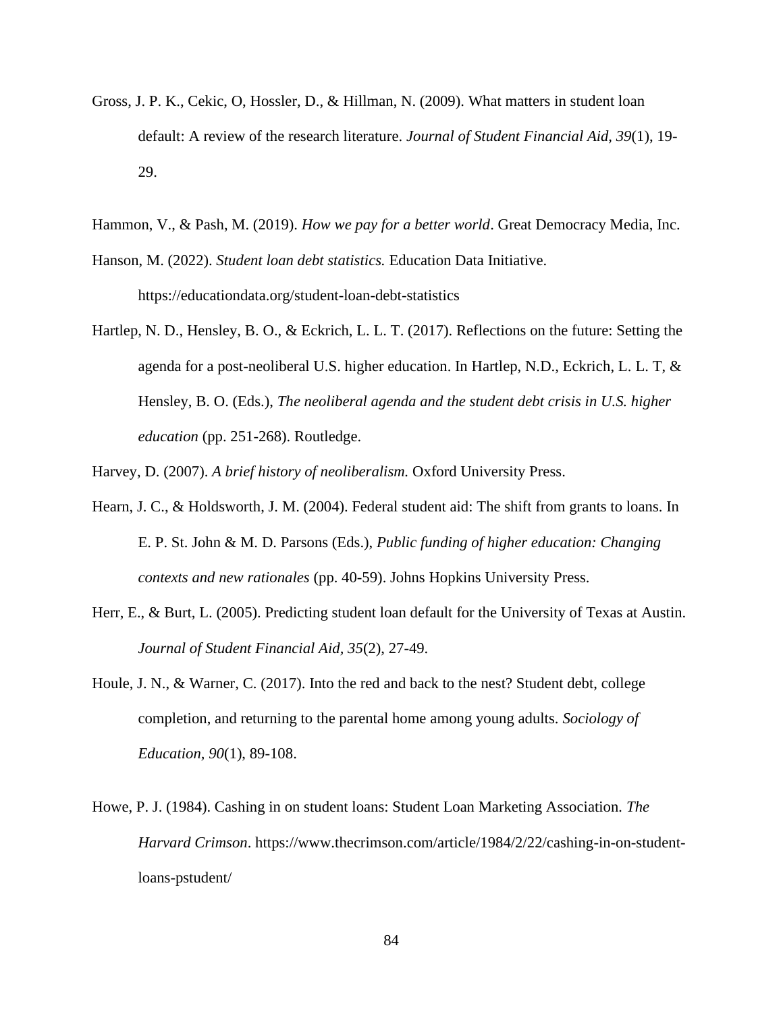- Gross, J. P. K., Cekic, O, Hossler, D., & Hillman, N. (2009). What matters in student loan default: A review of the research literature. *Journal of Student Financial Aid, 39*(1), 19- 29.
- Hammon, V., & Pash, M. (2019). *How we pay for a better world*. Great Democracy Media, Inc.
- Hanson, M. (2022). *Student loan debt statistics.* Education Data Initiative. https://educationdata.org/student-loan-debt-statistics
- Hartlep, N. D., Hensley, B. O., & Eckrich, L. L. T. (2017). Reflections on the future: Setting the agenda for a post-neoliberal U.S. higher education. In Hartlep, N.D., Eckrich, L. L. T, & Hensley, B. O. (Eds.), *The neoliberal agenda and the student debt crisis in U.S. higher education* (pp. 251-268). Routledge.

Harvey, D. (2007). *A brief history of neoliberalism.* Oxford University Press.

- Hearn, J. C., & Holdsworth, J. M. (2004). Federal student aid: The shift from grants to loans. In E. P. St. John & M. D. Parsons (Eds.), *Public funding of higher education: Changing contexts and new rationales* (pp. 40-59). Johns Hopkins University Press.
- Herr, E., & Burt, L. (2005). Predicting student loan default for the University of Texas at Austin. *Journal of Student Financial Aid, 35*(2), 27-49.
- Houle, J. N., & Warner, C. (2017). Into the red and back to the nest? Student debt, college completion, and returning to the parental home among young adults. *Sociology of Education, 90*(1), 89-108.
- Howe, P. J. (1984). Cashing in on student loans: Student Loan Marketing Association*. The Harvard Crimson*. https://www.thecrimson.com/article/1984/2/22/cashing-in-on-studentloans-pstudent/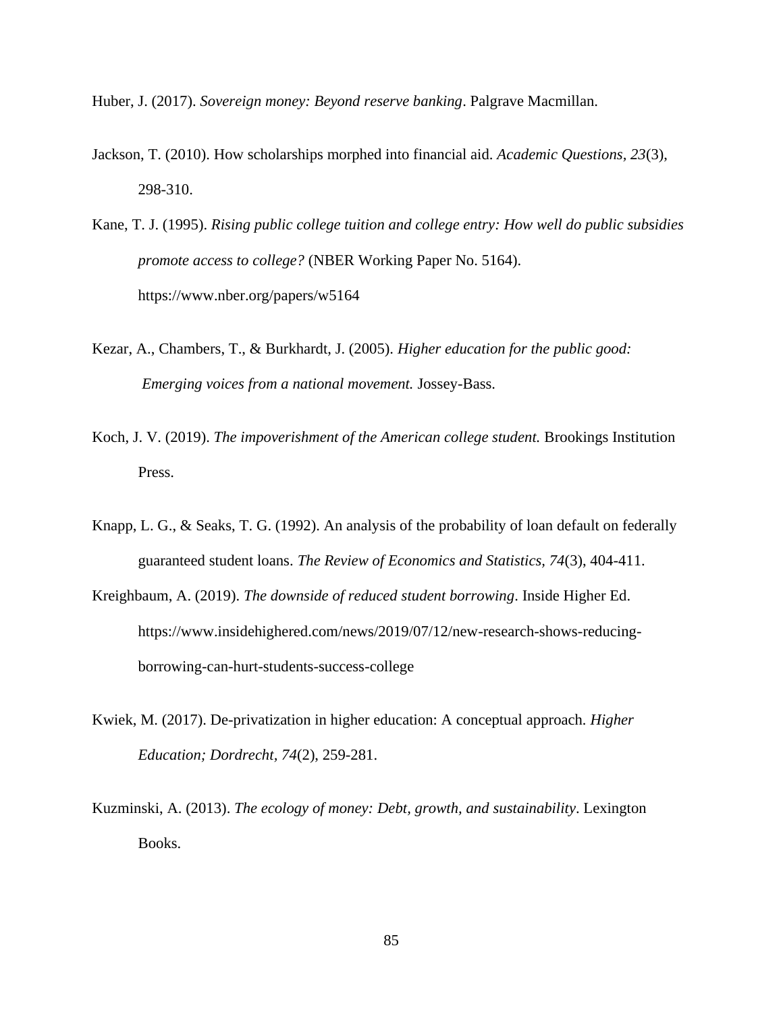Huber, J. (2017). *Sovereign money: Beyond reserve banking*. Palgrave Macmillan.

- Jackson, T. (2010). How scholarships morphed into financial aid. *Academic Questions, 23*(3), 298-310.
- Kane, T. J. (1995). *Rising public college tuition and college entry: How well do public subsidies promote access to college?* (NBER Working Paper No. 5164). https://www.nber.org/papers/w5164
- Kezar, A., Chambers, T., & Burkhardt, J. (2005). *Higher education for the public good: Emerging voices from a national movement.* Jossey-Bass.
- Koch, J. V. (2019). *The impoverishment of the American college student.* Brookings Institution Press.
- Knapp, L. G., & Seaks, T. G. (1992). An analysis of the probability of loan default on federally guaranteed student loans. *The Review of Economics and Statistics, 74*(3), 404-411.
- Kreighbaum, A. (2019). *The downside of reduced student borrowing*. Inside Higher Ed. https://www.insidehighered.com/news/2019/07/12/new-research-shows-reducingborrowing-can-hurt-students-success-college
- Kwiek, M. (2017). De-privatization in higher education: A conceptual approach*. Higher Education; Dordrecht, 74*(2), 259-281.
- Kuzminski, A. (2013). *The ecology of money: Debt, growth, and sustainability*. Lexington Books.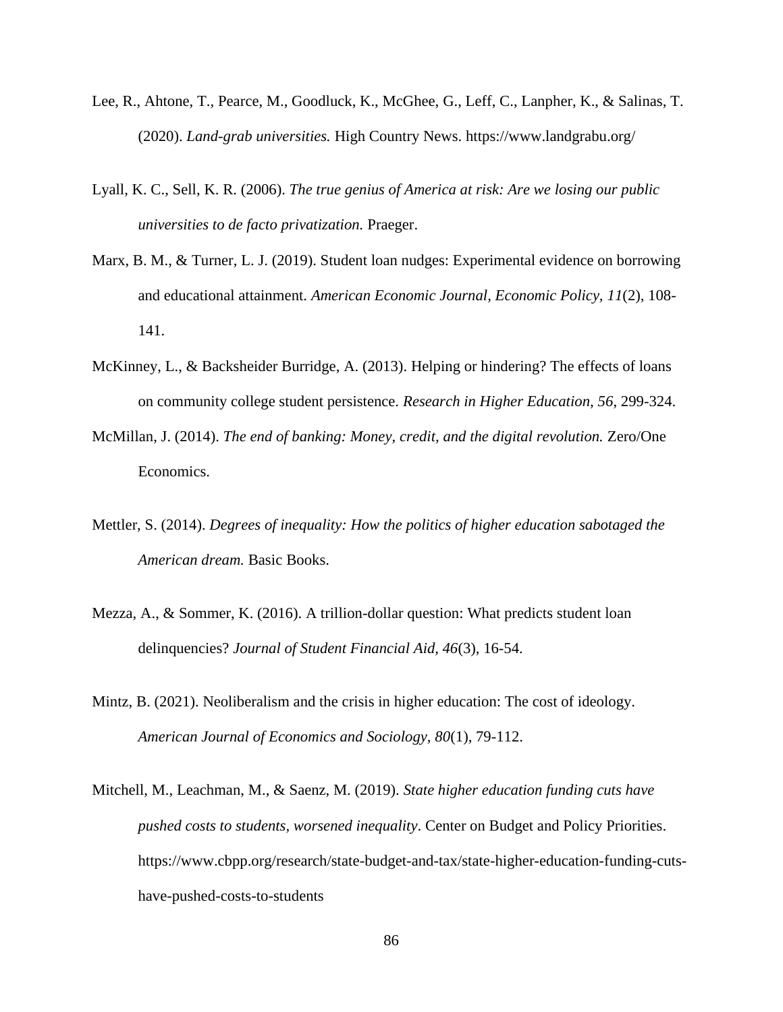- Lee, R., Ahtone, T., Pearce, M., Goodluck, K., McGhee, G., Leff, C., Lanpher, K., & Salinas, T. (2020). *Land-grab universities.* High Country News. https://www.landgrabu.org/
- Lyall, K. C., Sell, K. R. (2006). *The true genius of America at risk: Are we losing our public universities to de facto privatization.* Praeger.
- Marx, B. M., & Turner, L. J. (2019). Student loan nudges: Experimental evidence on borrowing and educational attainment. *American Economic Journal, Economic Policy, 11*(2), 108- 141.
- McKinney, L., & Backsheider Burridge, A. (2013). Helping or hindering? The effects of loans on community college student persistence. *Research in Higher Education, 56*, 299-324.
- McMillan, J. (2014). *The end of banking: Money, credit, and the digital revolution.* Zero/One Economics.
- Mettler, S. (2014). *Degrees of inequality: How the politics of higher education sabotaged the American dream.* Basic Books.
- Mezza, A., & Sommer, K. (2016). A trillion-dollar question: What predicts student loan delinquencies? *Journal of Student Financial Aid, 46*(3), 16-54.
- Mintz, B. (2021). Neoliberalism and the crisis in higher education: The cost of ideology. *American Journal of Economics and Sociology, 80*(1)*,* 79-112.
- Mitchell, M., Leachman, M., & Saenz, M. (2019). *State higher education funding cuts have pushed costs to students, worsened inequality*. Center on Budget and Policy Priorities. https://www.cbpp.org/research/state-budget-and-tax/state-higher-education-funding-cutshave-pushed-costs-to-students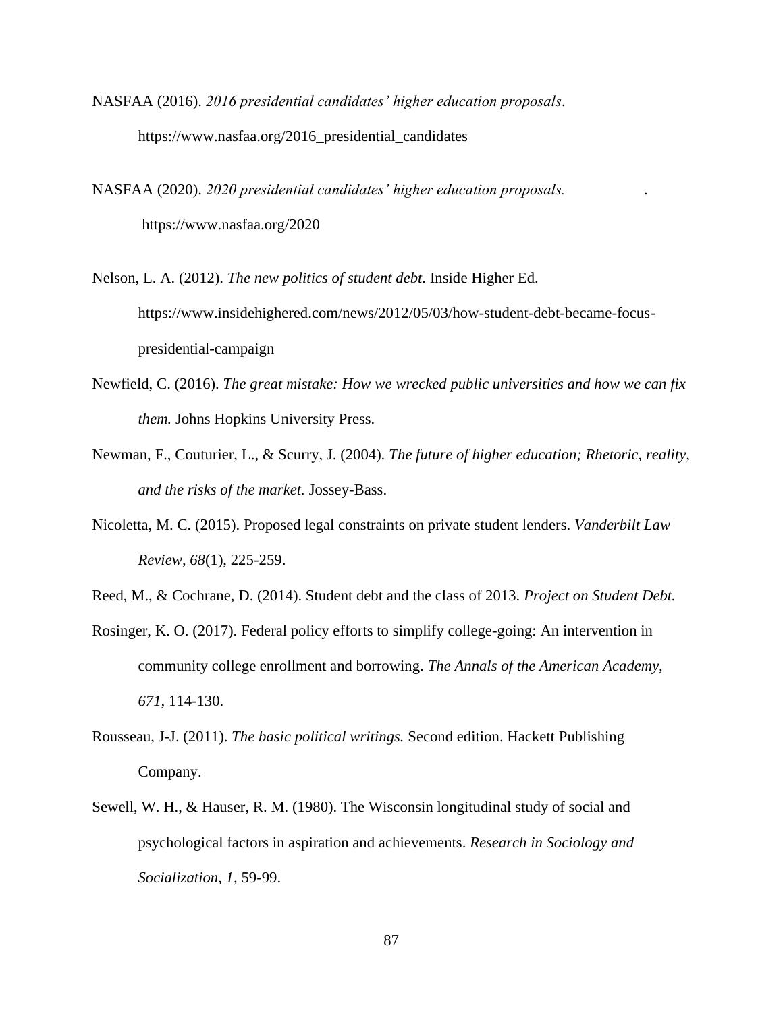- NASFAA (2016). *2016 presidential candidates' higher education proposals*. https://www.nasfaa.org/2016\_presidential\_candidates
- NASFAA (2020). *2020 presidential candidates' higher education proposals. .* https://www.nasfaa.org/2020
- Nelson, L. A. (2012). *The new politics of student debt.* Inside Higher Ed. https://www.insidehighered.com/news/2012/05/03/how-student-debt-became-focuspresidential-campaign
- Newfield, C. (2016). *The great mistake: How we wrecked public universities and how we can fix them.* Johns Hopkins University Press.
- Newman, F., Couturier, L., & Scurry, J. (2004). *The future of higher education; Rhetoric, reality, and the risks of the market.* Jossey-Bass.
- Nicoletta, M. C. (2015). Proposed legal constraints on private student lenders. *Vanderbilt Law Review, 68*(1), 225-259.
- Reed, M., & Cochrane, D. (2014). Student debt and the class of 2013. *Project on Student Debt.*
- Rosinger, K. O. (2017). Federal policy efforts to simplify college-going: An intervention in community college enrollment and borrowing. *The Annals of the American Academy, 671,* 114-130.
- Rousseau, J-J. (2011). *The basic political writings.* Second edition. Hackett Publishing Company.
- Sewell, W. H., & Hauser, R. M. (1980). The Wisconsin longitudinal study of social and psychological factors in aspiration and achievements. *Research in Sociology and Socialization, 1,* 59-99.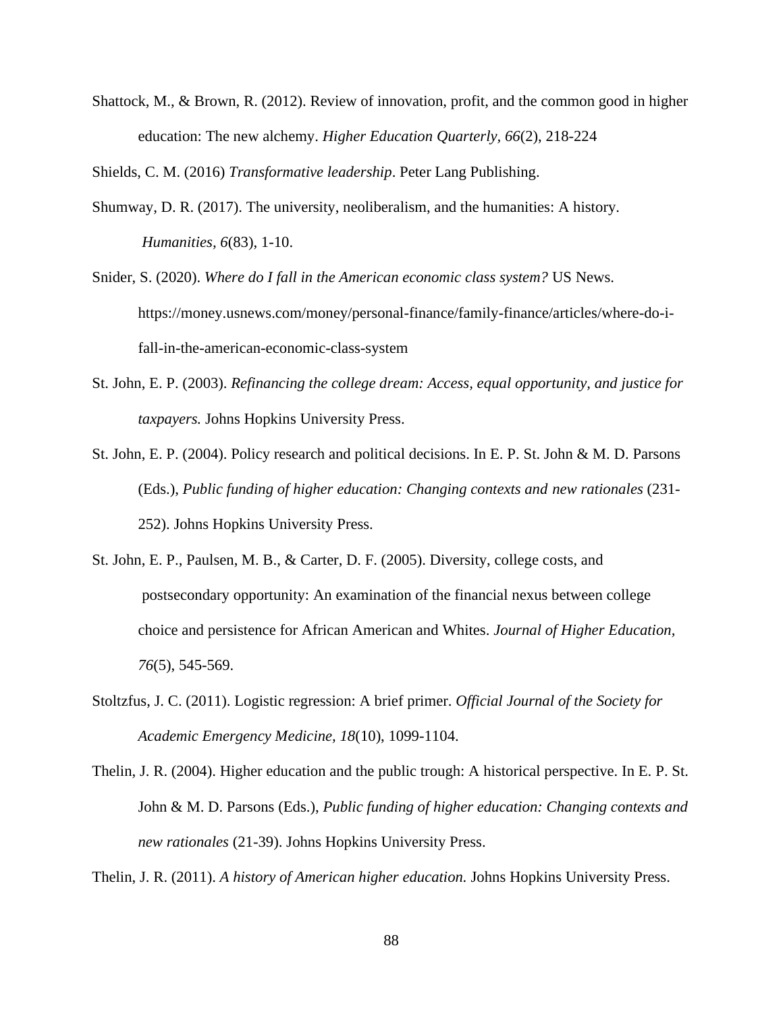Shattock, M., & Brown, R. (2012). Review of innovation, profit, and the common good in higher education: The new alchemy. *Higher Education Quarterly, 66*(2), 218-224

Shields, C. M. (2016) *Transformative leadership*. Peter Lang Publishing.

- Shumway, D. R. (2017). The university, neoliberalism, and the humanities: A history. *Humanities, 6*(83), 1-10.
- Snider, S. (2020). *Where do I fall in the American economic class system?* US News. https://money.usnews.com/money/personal-finance/family-finance/articles/where-do-ifall-in-the-american-economic-class-system
- St. John, E. P. (2003). *Refinancing the college dream: Access, equal opportunity, and justice for taxpayers.* Johns Hopkins University Press.
- St. John, E. P. (2004). Policy research and political decisions. In E. P. St. John & M. D. Parsons (Eds.), *Public funding of higher education: Changing contexts and new rationales* (231- 252). Johns Hopkins University Press.
- St. John, E. P., Paulsen, M. B., & Carter, D. F. (2005). Diversity, college costs, and postsecondary opportunity: An examination of the financial nexus between college choice and persistence for African American and Whites. *Journal of Higher Education, 76*(5), 545-569.
- Stoltzfus, J. C. (2011). Logistic regression: A brief primer. *Official Journal of the Society for Academic Emergency Medicine, 18*(10), 1099-1104.
- Thelin, J. R. (2004). Higher education and the public trough: A historical perspective. In E. P. St. John & M. D. Parsons (Eds.), *Public funding of higher education: Changing contexts and new rationales* (21-39). Johns Hopkins University Press.

Thelin, J. R. (2011). *A history of American higher education.* Johns Hopkins University Press.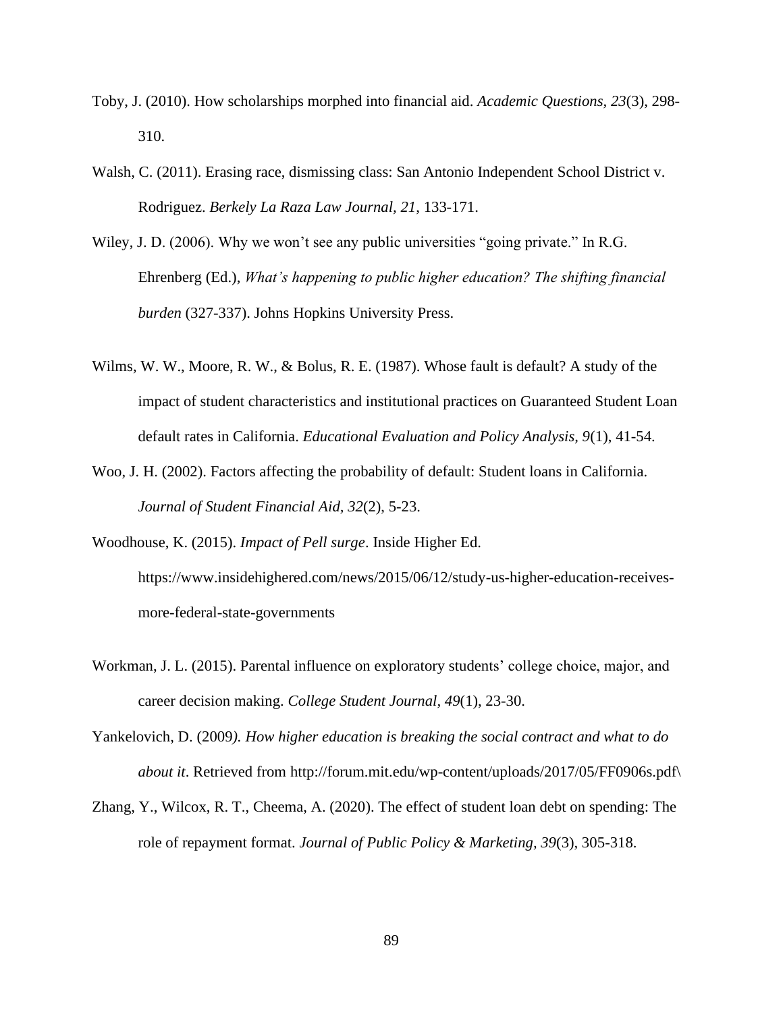- Toby, J. (2010). How scholarships morphed into financial aid. *Academic Questions, 23*(3), 298- 310.
- Walsh, C. (2011). Erasing race, dismissing class: San Antonio Independent School District v. Rodriguez. *Berkely La Raza Law Journal, 21*, 133-171.
- Wiley, J. D. (2006). Why we won't see any public universities "going private." In R.G. Ehrenberg (Ed.), *What's happening to public higher education? The shifting financial burden* (327-337). Johns Hopkins University Press.
- Wilms, W. W., Moore, R. W., & Bolus, R. E. (1987). Whose fault is default? A study of the impact of student characteristics and institutional practices on Guaranteed Student Loan default rates in California. *Educational Evaluation and Policy Analysis, 9*(1), 41-54.
- Woo, J. H. (2002). Factors affecting the probability of default: Student loans in California. *Journal of Student Financial Aid, 32*(2), 5-23.

Woodhouse, K. (2015). *Impact of Pell surge*. Inside Higher Ed. https://www.insidehighered.com/news/2015/06/12/study-us-higher-education-receivesmore-federal-state-governments

- Workman, J. L. (2015). Parental influence on exploratory students' college choice, major, and career decision making. *College Student Journal, 49*(1), 23-30.
- Yankelovich, D. (2009*). How higher education is breaking the social contract and what to do about it*. Retrieved from http://forum.mit.edu/wp-content/uploads/2017/05/FF0906s.pdf\
- Zhang, Y., Wilcox, R. T., Cheema, A. (2020). The effect of student loan debt on spending: The role of repayment format. *Journal of Public Policy & Marketing, 39*(3), 305-318.